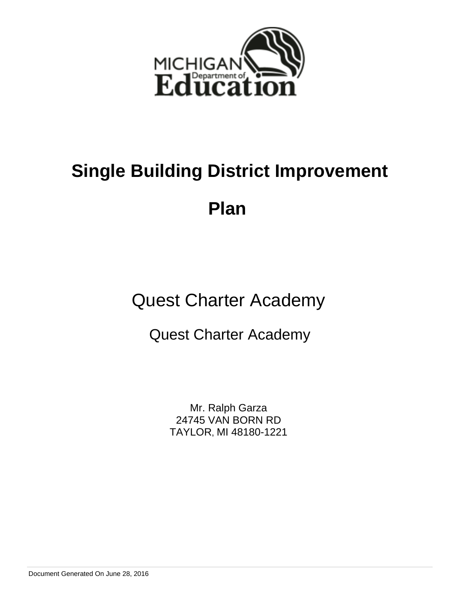

# **Single Building District Improvement**

**Plan** 

Quest Charter Academy

Quest Charter Academy

Mr. Ralph Garza 24745 VAN BORN RD TAYLOR, MI 48180-1221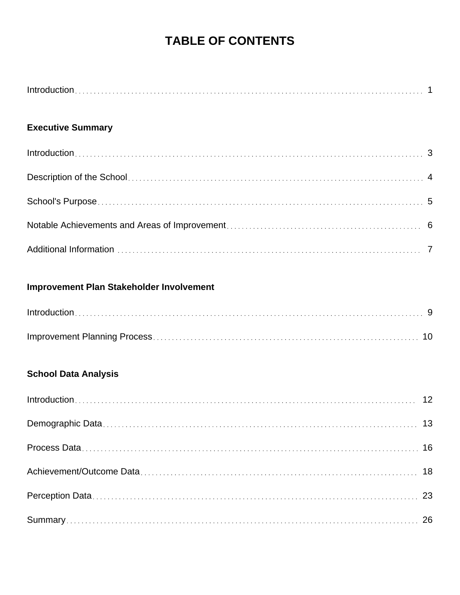## **TABLE OF CONTENTS**

## **Executive Summary**

## **Improvement Plan Stakeholder Involvement**

## **School Data Analysis**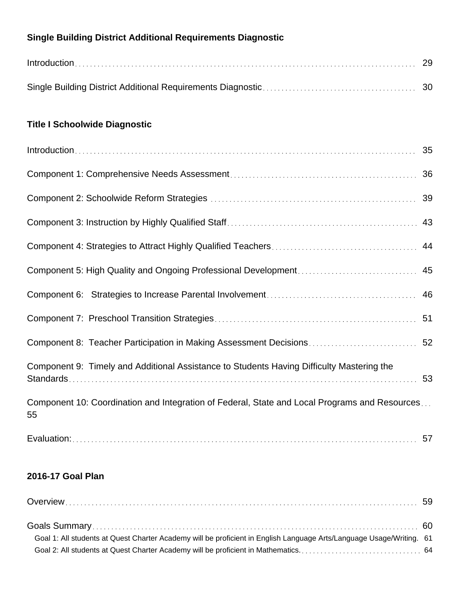## **Single Building District Additional Requirements Diagnostic**

## **Title I Schoolwide Diagnostic**

| Component 8: Teacher Participation in Making Assessment Decisions 52                                |    |
|-----------------------------------------------------------------------------------------------------|----|
| Component 9: Timely and Additional Assistance to Students Having Difficulty Mastering the           | 53 |
| Component 10: Coordination and Integration of Federal, State and Local Programs and Resources<br>55 |    |
|                                                                                                     |    |

## **2016-17 Goal Plan**

| Goal 1: All students at Quest Charter Academy will be proficient in English Language Arts/Language Usage/Writing. 61 |  |
|----------------------------------------------------------------------------------------------------------------------|--|
|                                                                                                                      |  |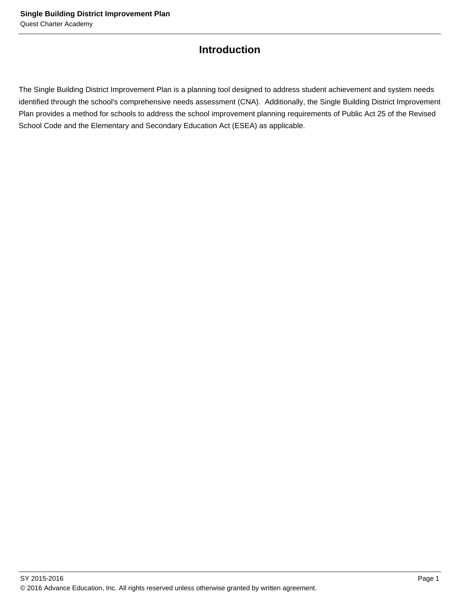## **Introduction**

The Single Building District Improvement Plan is a planning tool designed to address student achievement and system needs identified through the school's comprehensive needs assessment (CNA). Additionally, the Single Building District Improvement Plan provides a method for schools to address the school improvement planning requirements of Public Act 25 of the Revised School Code and the Elementary and Secondary Education Act (ESEA) as applicable.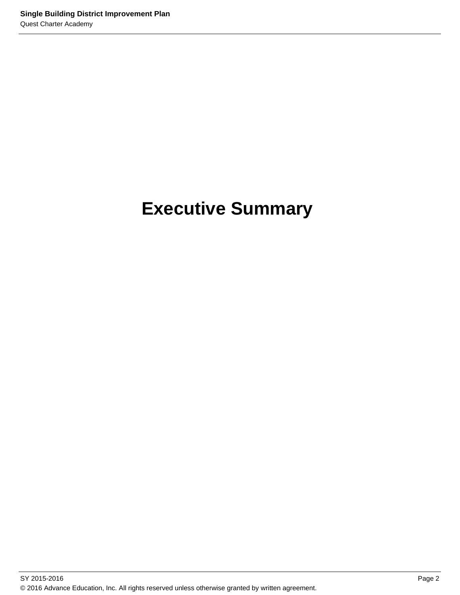# **Executive Summary**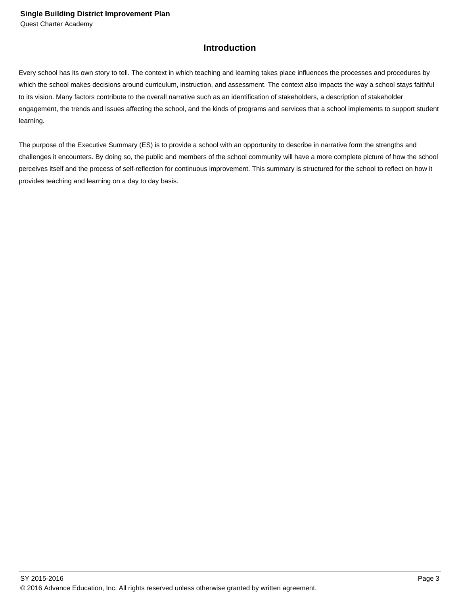## **Introduction**

Every school has its own story to tell. The context in which teaching and learning takes place influences the processes and procedures by which the school makes decisions around curriculum, instruction, and assessment. The context also impacts the way a school stays faithful to its vision. Many factors contribute to the overall narrative such as an identification of stakeholders, a description of stakeholder engagement, the trends and issues affecting the school, and the kinds of programs and services that a school implements to support student learning.

The purpose of the Executive Summary (ES) is to provide a school with an opportunity to describe in narrative form the strengths and challenges it encounters. By doing so, the public and members of the school community will have a more complete picture of how the school perceives itself and the process of self-reflection for continuous improvement. This summary is structured for the school to reflect on how it provides teaching and learning on a day to day basis.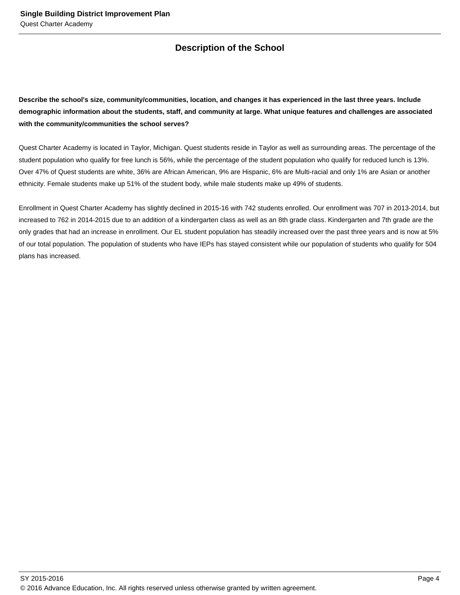## **Description of the School**

**Describe the school's size, community/communities, location, and changes it has experienced in the last three years. Include demographic information about the students, staff, and community at large. What unique features and challenges are associated with the community/communities the school serves?**

Quest Charter Academy is located in Taylor, Michigan. Quest students reside in Taylor as well as surrounding areas. The percentage of the student population who qualify for free lunch is 56%, while the percentage of the student population who qualify for reduced lunch is 13%. Over 47% of Quest students are white, 36% are African American, 9% are Hispanic, 6% are Multi-racial and only 1% are Asian or another ethnicity. Female students make up 51% of the student body, while male students make up 49% of students.

Enrollment in Quest Charter Academy has slightly declined in 2015-16 with 742 students enrolled. Our enrollment was 707 in 2013-2014, but increased to 762 in 2014-2015 due to an addition of a kindergarten class as well as an 8th grade class. Kindergarten and 7th grade are the only grades that had an increase in enrollment. Our EL student population has steadily increased over the past three years and is now at 5% of our total population. The population of students who have IEPs has stayed consistent while our population of students who qualify for 504 plans has increased.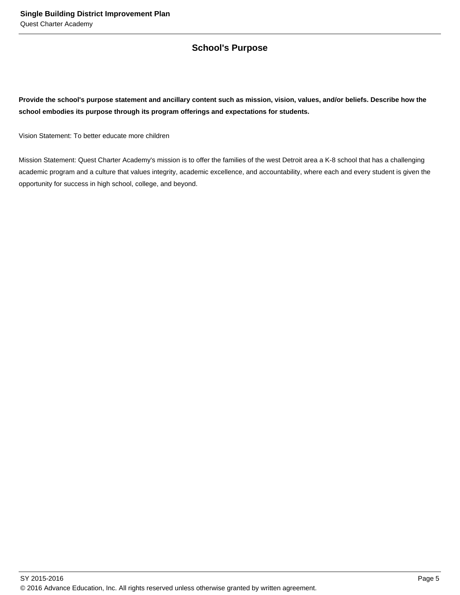## **School's Purpose**

**Provide the school's purpose statement and ancillary content such as mission, vision, values, and/or beliefs. Describe how the school embodies its purpose through its program offerings and expectations for students.**

Vision Statement: To better educate more children

Mission Statement: Quest Charter Academy's mission is to offer the families of the west Detroit area a K-8 school that has a challenging academic program and a culture that values integrity, academic excellence, and accountability, where each and every student is given the opportunity for success in high school, college, and beyond.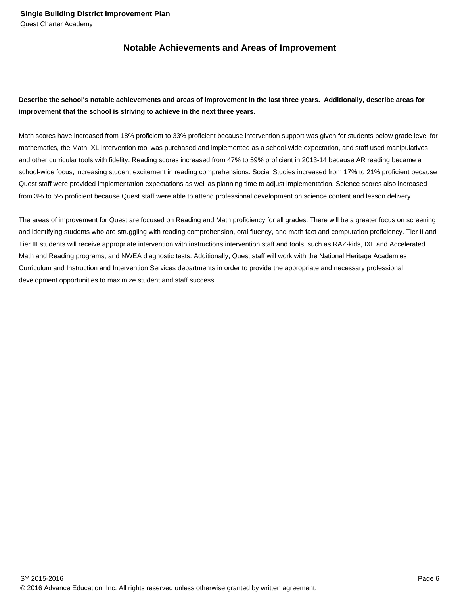## **Notable Achievements and Areas of Improvement**

## **Describe the school's notable achievements and areas of improvement in the last three years. Additionally, describe areas for improvement that the school is striving to achieve in the next three years.**

Math scores have increased from 18% proficient to 33% proficient because intervention support was given for students below grade level for mathematics, the Math IXL intervention tool was purchased and implemented as a school-wide expectation, and staff used manipulatives and other curricular tools with fidelity. Reading scores increased from 47% to 59% proficient in 2013-14 because AR reading became a school-wide focus, increasing student excitement in reading comprehensions. Social Studies increased from 17% to 21% proficient because Quest staff were provided implementation expectations as well as planning time to adjust implementation. Science scores also increased from 3% to 5% proficient because Quest staff were able to attend professional development on science content and lesson delivery.

The areas of improvement for Quest are focused on Reading and Math proficiency for all grades. There will be a greater focus on screening and identifying students who are struggling with reading comprehension, oral fluency, and math fact and computation proficiency. Tier II and Tier III students will receive appropriate intervention with instructions intervention staff and tools, such as RAZ-kids, IXL and Accelerated Math and Reading programs, and NWEA diagnostic tests. Additionally, Quest staff will work with the National Heritage Academies Curriculum and Instruction and Intervention Services departments in order to provide the appropriate and necessary professional development opportunities to maximize student and staff success.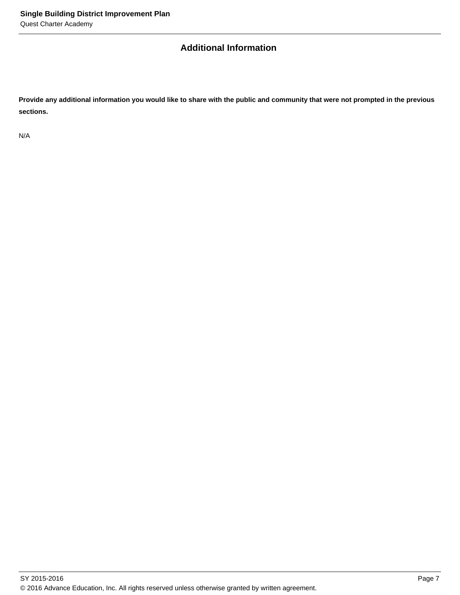## **Additional Information**

**Provide any additional information you would like to share with the public and community that were not prompted in the previous sections.**

N/A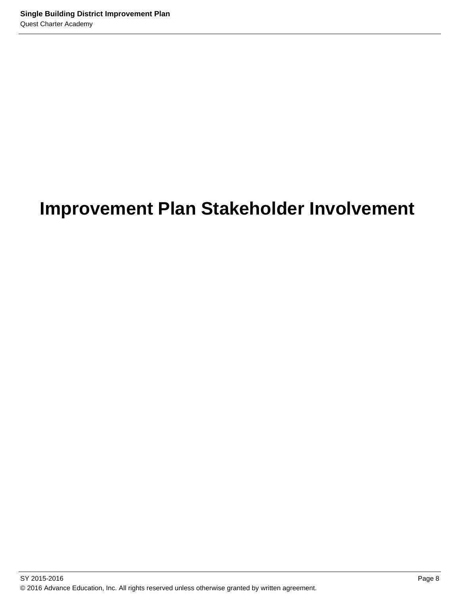# **Improvement Plan Stakeholder Involvement**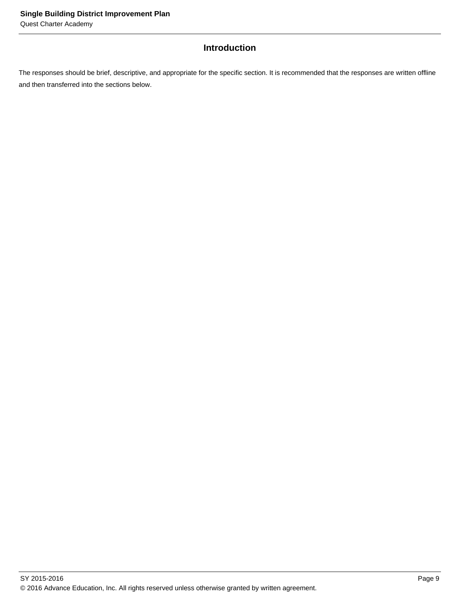## **Introduction**

The responses should be brief, descriptive, and appropriate for the specific section. It is recommended that the responses are written offline and then transferred into the sections below.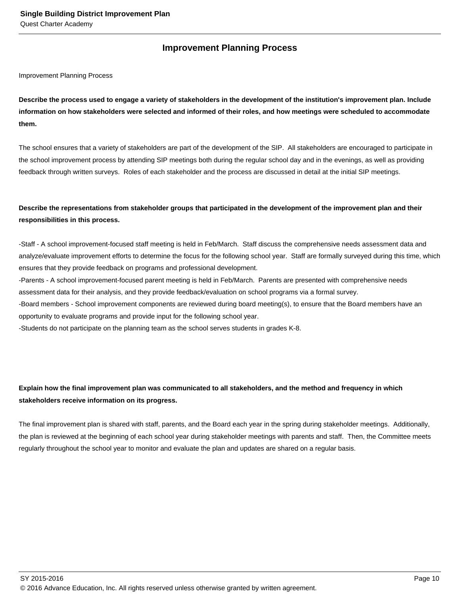## **Improvement Planning Process**

Improvement Planning Process

**Describe the process used to engage a variety of stakeholders in the development of the institution's improvement plan. Include information on how stakeholders were selected and informed of their roles, and how meetings were scheduled to accommodate them.** 

The school ensures that a variety of stakeholders are part of the development of the SIP. All stakeholders are encouraged to participate in the school improvement process by attending SIP meetings both during the regular school day and in the evenings, as well as providing feedback through written surveys. Roles of each stakeholder and the process are discussed in detail at the initial SIP meetings.

## **Describe the representations from stakeholder groups that participated in the development of the improvement plan and their responsibilities in this process.**

- Staff - A school improvement-focused staff meeting is held in Feb/March. Staff discuss the comprehensive needs assessment data and analyze/evaluate improvement efforts to determine the focus for the following school year. Staff are formally surveyed during this time, which ensures that they provide feedback on programs and professional development.

- Parents - A school improvement-focused parent meeting is held in Feb/March. Parents are presented with comprehensive needs assessment data for their analysis, and they provide feedback/evaluation on school programs via a formal survey.

- Board members - School improvement components are reviewed during board meeting(s), to ensure that the Board members have an opportunity to evaluate programs and provide input for the following school year.

- Students do not participate on the planning team as the school serves students in grades K-8.

## **Explain how the final improvement plan was communicated to all stakeholders, and the method and frequency in which stakeholders receive information on its progress.**

The final improvement plan is shared with staff, parents, and the Board each year in the spring during stakeholder meetings. Additionally, the plan is reviewed at the beginning of each school year during stakeholder meetings with parents and staff. Then, the Committee meets regularly throughout the school year to monitor and evaluate the plan and updates are shared on a regular basis.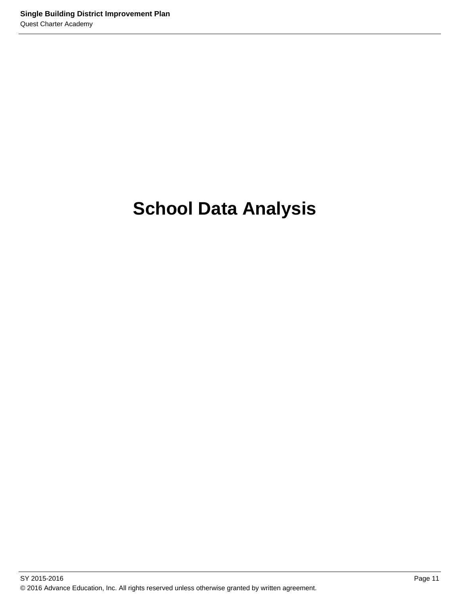# **School Data Analysis**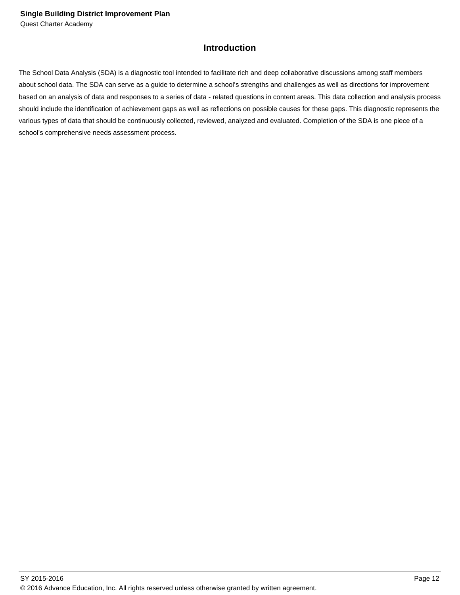## **Introduction**

The School Data Analysis (SDA) is a diagnostic tool intended to facilitate rich and deep collaborative discussions among staff members about school data. The SDA can serve as a guide to determine a school's strengths and challenges as well as directions for improvement based on an analysis of data and responses to a series of data - related questions in content areas. This data collection and analysis process should include the identification of achievement gaps as well as reflections on possible causes for these gaps. This diagnostic represents the various types of data that should be continuously collected, reviewed, analyzed and evaluated. Completion of the SDA is one piece of a school's comprehensive needs assessment process.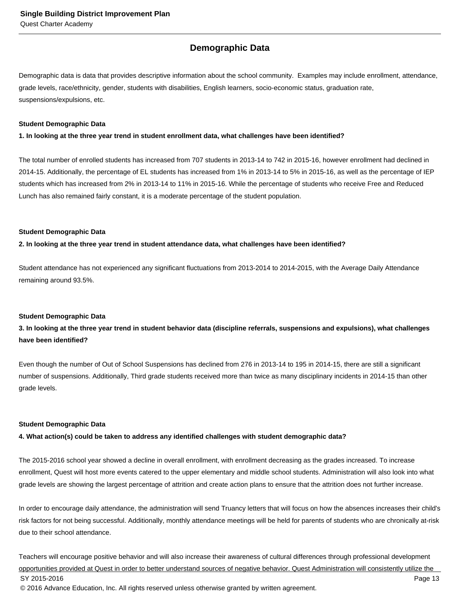## **Demographic Data**

Demographic data is data that provides descriptive information about the school community. Examples may include enrollment, attendance, grade levels, race/ethnicity, gender, students with disabilities, English learners, socio-economic status, graduation rate, suspensions/expulsions, etc.

#### **Student Demographic Data**

**1. In looking at the three year trend in student enrollment data, what challenges have been identified?**

The total number of enrolled students has increased from 707 students in 2013-14 to 742 in 2015-16, however enrollment had declined in 2014-15. Additionally, the percentage of EL students has increased from 1% in 2013-14 to 5% in 2015-16, as well as the percentage of IEP students which has increased from 2% in 2013-14 to 11% in 2015-16. While the percentage of students who receive Free and Reduced Lunch has also remained fairly constant, it is a moderate percentage of the student population.

#### **Student Demographic Data**

**2. In looking at the three year trend in student attendance data, what challenges have been identified?**

Student attendance has not experienced any significant fluctuations from 2013-2014 to 2014-2015, with the Average Daily Attendance remaining around 93.5%.

#### **Student Demographic Data**

### **3. In looking at the three year trend in student behavior data (discipline referrals, suspensions and expulsions), what challenges have been identified?**

Even though the number of Out of School Suspensions has declined from 276 in 2013-14 to 195 in 2014-15, there are still a significant number of suspensions. Additionally, Third grade students received more than twice as many disciplinary incidents in 2014-15 than other grade levels.

#### **Student Demographic Data**

**4. What action(s) could be taken to address any identified challenges with student demographic data?**

The 2015-2016 school year showed a decline in overall enrollment, with enrollment decreasing as the grades increased. To increase enrollment, Quest will host more events catered to the upper elementary and middle school students. Administration will also look into what grade levels are showing the largest percentage of attrition and create action plans to ensure that the attrition does not further increase.

In order to encourage daily attendance, the administration will send Truancy letters that will focus on how the absences increases their child's risk factors for not being successful. Additionally, monthly attendance meetings will be held for parents of students who are chronically at-risk due to their school attendance.

Teachers will encourage positive behavior and will also increase their awareness of cultural differences through professional development opportunities provided at Quest in order to better understand sources of negative behavior. Quest Administration will consistently utilize the SY 2015-2016 Page 13 © 2016 Advance Education, Inc. All rights reserved unless otherwise granted by written agreement.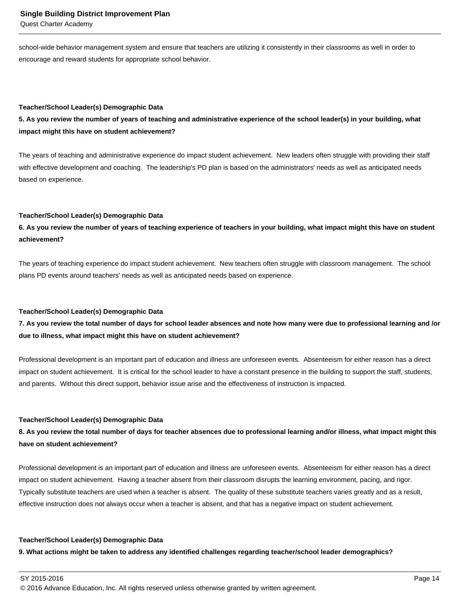Quest Charter Academy

school-wide behavior management system and ensure that teachers are utilizing it consistently in their classrooms as well in order to encourage and reward students for appropriate school behavior.

#### **Teacher/School Leader(s) Demographic Data**

**5. As you review the number of years of teaching and administrative experience of the school leader(s) in your building, what impact might this have on student achievement?**

The years of teaching and administrative experience do impact student achievement. New leaders often struggle with providing their staff with effective development and coaching. The leadership's PD plan is based on the administrators' needs as well as anticipated needs based on experience.

#### **Teacher/School Leader(s) Demographic Data**

**6. As you review the number of years of teaching experience of teachers in your building, what impact might this have on student achievement?**

The years of teaching experience do impact student achievement. New teachers often struggle with classroom management. The school plans PD events around teachers' needs as well as anticipated needs based on experience.

#### **Teacher/School Leader(s) Demographic Data**

**7. As you review the total number of days for school leader absences and note how many were due to professional learning and /or due to illness, what impact might this have on student achievement?**

Professional development is an important part of education and illness are unforeseen events. Absenteeism for either reason has a direct impact on student achievement. It is critical for the school leader to have a constant presence in the building to support the staff, students, and parents. Without this direct support, behavior issue arise and the effectiveness of instruction is impacted.

#### **Teacher/School Leader(s) Demographic Data**

**8. As you review the total number of days for teacher absences due to professional learning and/or illness, what impact might this have on student achievement?**

Professional development is an important part of education and illness are unforeseen events. Absenteeism for either reason has a direct impact on student achievement. Having a teacher absent from their classroom disrupts the learning environment, pacing, and rigor. Typically substitute teachers are used when a teacher is absent. The quality of these substitute teachers varies greatly and as a result, effective instruction does not always occur when a teacher is absent, and that has a negative impact on student achievement.

#### **Teacher/School Leader(s) Demographic Data**

**9. What actions might be taken to address any identified challenges regarding teacher/school leader demographics?**

SY 2015-2016 Page 14

© 2016 Advance Education, Inc. All rights reserved unless otherwise granted by written agreement.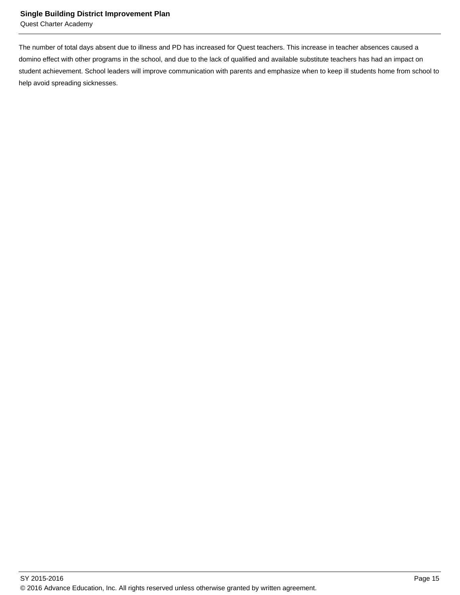Quest Charter Academy

The number of total days absent due to illness and PD has increased for Quest teachers. This increase in teacher absences caused a domino effect with other programs in the school, and due to the lack of qualified and available substitute teachers has had an impact on student achievement. School leaders will improve communication with parents and emphasize when to keep ill students home from school to help avoid spreading sicknesses.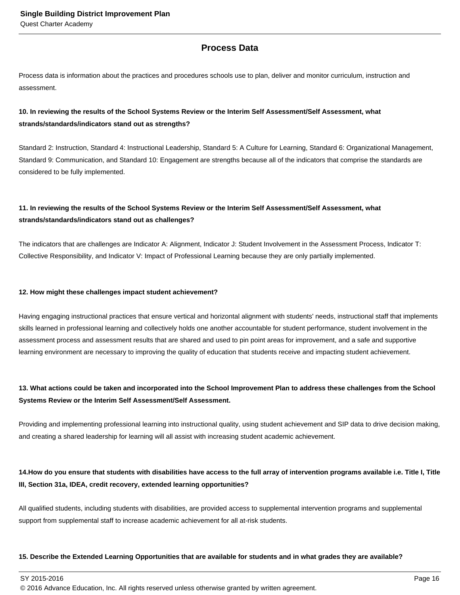## **Process Data**

Process data is information about the practices and procedures schools use to plan, deliver and monitor curriculum, instruction and assessment.

### **10. In reviewing the results of the School Systems Review or the Interim Self Assessment/Self Assessment, what strands/standards/indicators stand out as strengths?**

Standard 2: Instruction, Standard 4: Instructional Leadership, Standard 5: A Culture for Learning, Standard 6: Organizational Management, Standard 9: Communication, and Standard 10: Engagement are strengths because all of the indicators that comprise the standards are considered to be fully implemented.

## **11. In reviewing the results of the School Systems Review or the Interim Self Assessment/Self Assessment, what strands/standards/indicators stand out as challenges?**

The indicators that are challenges are Indicator A: Alignment, Indicator J: Student Involvement in the Assessment Process, Indicator T: Collective Responsibility, and Indicator V: Impact of Professional Learning because they are only partially implemented.

#### **12. How might these challenges impact student achievement?**

Having engaging instructional practices that ensure vertical and horizontal alignment with students' needs, instructional staff that implements skills learned in professional learning and collectively holds one another accountable for student performance, student involvement in the assessment process and assessment results that are shared and used to pin point areas for improvement, and a safe and supportive learning environment are necessary to improving the quality of education that students receive and impacting student achievement.

## **13. What actions could be taken and incorporated into the School Improvement Plan to address these challenges from the School Systems Review or the Interim Self Assessment/Self Assessment.**

Providing and implementing professional learning into instructional quality, using student achievement and SIP data to drive decision making, and creating a shared leadership for learning will all assist with increasing student academic achievement.

### 14. How do you ensure that students with disabilities have access to the full array of intervention programs available i.e. Title I, Title **III, Section 31a, IDEA, credit recovery, extended learning opportunities?**

All qualified students, including students with disabilities, are provided access to supplemental intervention programs and supplemental support from supplemental staff to increase academic achievement for all at-risk students.

#### **15. Describe the Extended Learning Opportunities that are available for students and in what grades they are available?**

 $\,$  SY 2015-2016  $\,$  Page 16  $\,$  Page 16  $\,$  Page 16  $\,$  Page 16  $\,$  Page 16  $\,$  Page 16  $\,$  Page 16  $\,$  Page 16  $\,$  Page 16  $\,$  Page 16  $\,$  Page 16  $\,$  Page 16  $\,$  Page 16  $\,$  Page 16  $\,$  Page 16  $\,$  Pag

© 2016 Advance Education, Inc. All rights reserved unless otherwise granted by written agreement.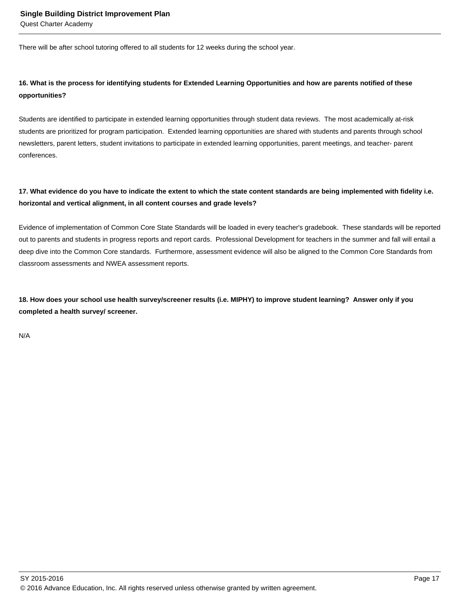Quest Charter Academy

There will be after school tutoring offered to all students for 12 weeks during the school year.

## **16. What is the process for identifying students for Extended Learning Opportunities and how are parents notified of these opportunities?**

Students are identified to participate in extended learning opportunities through student data reviews. The most academically at-risk students are prioritized for program participation. Extended learning opportunities are shared with students and parents through school newsletters, parent letters, student invitations to participate in extended learning opportunities, parent meetings, and teacher- parent conferences.

### **17. What evidence do you have to indicate the extent to which the state content standards are being implemented with fidelity i.e. horizontal and vertical alignment, in all content courses and grade levels?**

Evidence of implementation of Common Core State Standards will be loaded in every teacher's gradebook. These standards will be reported out to parents and students in progress reports and report cards. Professional Development for teachers in the summer and fall will entail a deep dive into the Common Core standards. Furthermore, assessment evidence will also be aligned to the Common Core Standards from classroom assessments and NWEA assessment reports.

**18. How does your school use health survey/screener results (i.e. MIPHY) to improve student learning? Answer only if you completed a health survey/ screener.**

N/A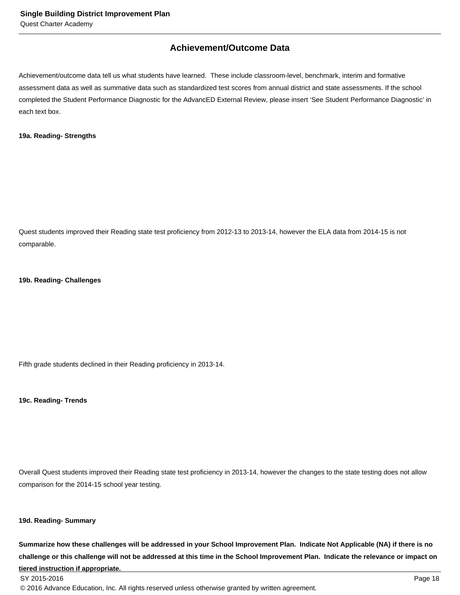## **Achievement/Outcome Data**

Achievement/outcome data tell us what students have learned. These include classroom-level, benchmark, interim and formative assessment data as well as summative data such as standardized test scores from annual district and state assessments. If the school completed the Student Performance Diagnostic for the AdvancED External Review, please insert 'See Student Performance Diagnostic' in each text box.

#### **19a. Reading- Strengths**

Quest students improved their Reading state test proficiency from 2012-13 to 2013-14, however the ELA data from 2014-15 is not comparable.

#### **19b. Reading- Challenges**

Fifth grade students declined in their Reading proficiency in 2013-14.

**19c. Reading- Trends**

Overall Quest students improved their Reading state test proficiency in 2013-14, however the changes to the state testing does not allow comparison for the 2014-15 school year testing.

#### **19d. Reading- Summary**

**Summarize how these challenges will be addressed in your School Improvement Plan. Indicate Not Applicable (NA) if there is no challenge or this challenge will not be addressed at this time in the School Improvement Plan. Indicate the relevance or impact on tiered instruction if appropriate.**

© 2016 Advance Education, Inc. All rights reserved unless otherwise granted by written agreement.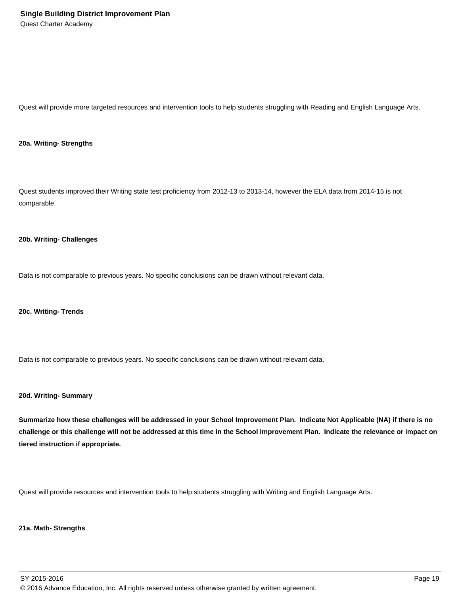Quest will provide more targeted resources and intervention tools to help students struggling with Reading and English Language Arts.

#### **20a. Writing- Strengths**

Quest students improved their Writing state test proficiency from 2012-13 to 2013-14, however the ELA data from 2014-15 is not comparable.

#### **20b. Writing- Challenges**

Data is not comparable to previous years. No specific conclusions can be drawn without relevant data.

**20c. Writing- Trends**

Data is not comparable to previous years. No specific conclusions can be drawn without relevant data.

#### **20d. Writing- Summary**

**Summarize how these challenges will be addressed in your School Improvement Plan. Indicate Not Applicable (NA) if there is no challenge or this challenge will not be addressed at this time in the School Improvement Plan. Indicate the relevance or impact on tiered instruction if appropriate.**

Quest will provide resources and intervention tools to help students struggling with Writing and English Language Arts.

#### **21a. Math- Strengths**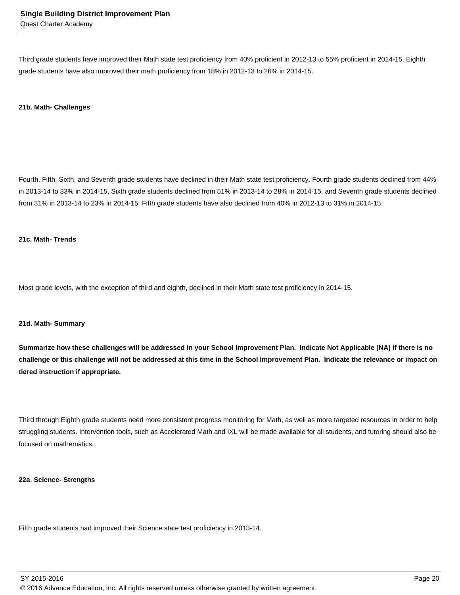Third grade students have improved their Math state test proficiency from 40% proficient in 2012-13 to 55% proficient in 2014-15. Eighth grade students have also improved their math proficiency from 18% in 2012-13 to 26% in 2014-15.

#### **21b. Math- Challenges**

Fourth, Fifth, Sixth, and Seventh grade students have declined in their Math state test proficiency. Fourth grade students declined from 44% in 2013-14 to 33% in 2014-15, Sixth grade students declined from 51% in 2013-14 to 28% in 2014-15, and Seventh grade students declined from 31% in 2013-14 to 23% in 2014-15. Fifth grade students have also declined from 40% in 2012-13 to 31% in 2014-15.

#### **21c. Math- Trends**

Most grade levels, with the exception of third and eighth, declined in their Math state test proficiency in 2014-15.

#### **21d. Math- Summary**

**Summarize how these challenges will be addressed in your School Improvement Plan. Indicate Not Applicable (NA) if there is no challenge or this challenge will not be addressed at this time in the School Improvement Plan. Indicate the relevance or impact on tiered instruction if appropriate.**

Third through Eighth grade students need more consistent progress monitoring for Math, as well as more targeted resources in order to help struggling students. Intervention tools, such as Accelerated Math and IXL will be made available for all students, and tutoring should also be focused on mathematics.

#### **22a. Science- Strengths**

Fifth grade students had improved their Science state test proficiency in 2013-14.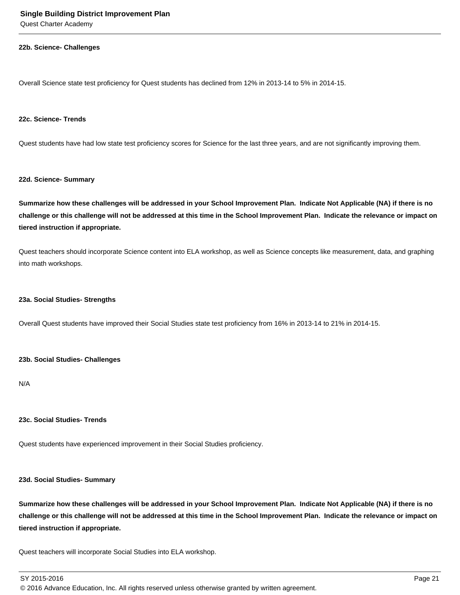Quest Charter Academy

#### **22b. Science- Challenges**

Overall Science state test proficiency for Quest students has declined from 12% in 2013-14 to 5% in 2014-15.

#### **22c. Science- Trends**

Quest students have had low state test proficiency scores for Science for the last three years, and are not significantly improving them.

#### **22d. Science- Summary**

**Summarize how these challenges will be addressed in your School Improvement Plan. Indicate Not Applicable (NA) if there is no challenge or this challenge will not be addressed at this time in the School Improvement Plan. Indicate the relevance or impact on tiered instruction if appropriate.**

Quest teachers should incorporate Science content into ELA workshop, as well as Science concepts like measurement, data, and graphing into math workshops.

#### **23a. Social Studies- Strengths**

Overall Quest students have improved their Social Studies state test proficiency from 16% in 2013-14 to 21% in 2014-15.

#### **23b. Social Studies- Challenges**

N/A

#### **23c. Social Studies- Trends**

Quest students have experienced improvement in their Social Studies proficiency.

#### **23d. Social Studies- Summary**

**Summarize how these challenges will be addressed in your School Improvement Plan. Indicate Not Applicable (NA) if there is no challenge or this challenge will not be addressed at this time in the School Improvement Plan. Indicate the relevance or impact on tiered instruction if appropriate.**

Quest teachers will incorporate Social Studies into ELA workshop.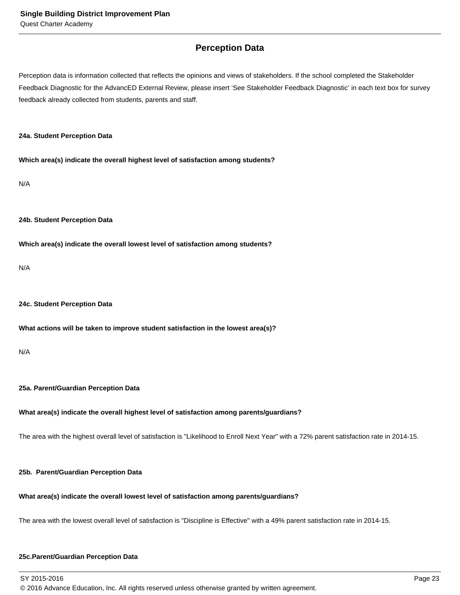## **Perception Data**

Perception data is information collected that reflects the opinions and views of stakeholders. If the school completed the Stakeholder Feedback Diagnostic for the AdvancED External Review, please insert 'See Stakeholder Feedback Diagnostic' in each text box for survey feedback already collected from students, parents and staff.

#### **24a. Student Perception Data**

**Which area(s) indicate the overall highest level of satisfaction among students?**

N/A

#### **24b. Student Perception Data**

**Which area(s) indicate the overall lowest level of satisfaction among students?**

N/A

#### **24c. Student Perception Data**

#### **What actions will be taken to improve student satisfaction in the lowest area(s)?**

N/A

#### **25a. Parent/Guardian Perception Data**

#### **What area(s) indicate the overall highest level of satisfaction among parents/guardians?**

The area with the highest overall level of satisfaction is "Likelihood to Enroll Next Year" with a 72% parent satisfaction rate in 2014-15.

#### **25b. Parent/Guardian Perception Data**

#### **What area(s) indicate the overall lowest level of satisfaction among parents/guardians?**

The area with the lowest overall level of satisfaction is "Discipline is Effective" with a 49% parent satisfaction rate in 2014-15.

#### **25c. Parent/Guardian Perception Data**

SY 2015-2016 Page 23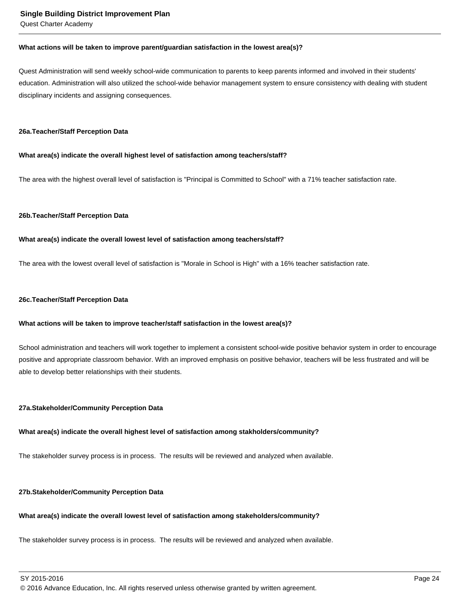Quest Charter Academy

#### **What actions will be taken to improve parent/guardian satisfaction in the lowest area(s)?**

Quest Administration will send weekly school-wide communication to parents to keep parents informed and involved in their students' education. Administration will also utilized the school-wide behavior management system to ensure consistency with dealing with student disciplinary incidents and assigning consequences.

#### **26a. Teacher/Staff Perception Data**

#### **What area(s) indicate the overall highest level of satisfaction among teachers/staff?**

The area with the highest overall level of satisfaction is "Principal is Committed to School" with a 71% teacher satisfaction rate.

#### **26b. Teacher/Staff Perception Data**

#### **What area(s) indicate the overall lowest level of satisfaction among teachers/staff?**

The area with the lowest overall level of satisfaction is "Morale in School is High" with a 16% teacher satisfaction rate.

#### **26c. Teacher/Staff Perception Data**

#### **What actions will be taken to improve teacher/staff satisfaction in the lowest area(s)?**

School administration and teachers will work together to implement a consistent school-wide positive behavior system in order to encourage positive and appropriate classroom behavior. With an improved emphasis on positive behavior, teachers will be less frustrated and will be able to develop better relationships with their students.

#### **27a. Stakeholder/Community Perception Data**

#### **What area(s) indicate the overall highest level of satisfaction among stakholders/community?**

The stakeholder survey process is in process. The results will be reviewed and analyzed when available.

#### **27b. Stakeholder/Community Perception Data**

#### **What area(s) indicate the overall lowest level of satisfaction among stakeholders/community?**

The stakeholder survey process is in process. The results will be reviewed and analyzed when available.

SY 2015-2016 Page 24

© 2016 Advance Education, Inc. All rights reserved unless otherwise granted by written agreement.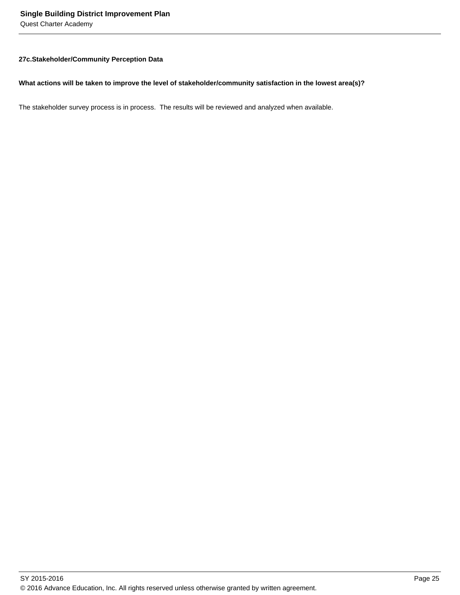Quest Charter Academy

#### **27c. Stakeholder/Community Perception Data**

#### **What actions will be taken to improve the level of stakeholder/community satisfaction in the lowest area(s)?**

The stakeholder survey process is in process. The results will be reviewed and analyzed when available.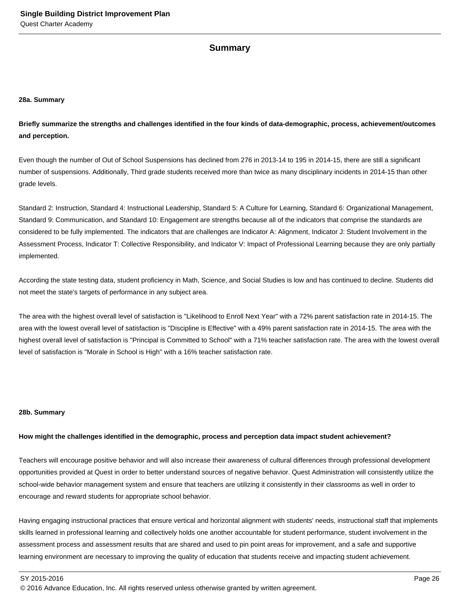#### **Summary**

#### **28a. Summary**

**Briefly summarize the strengths and challenges identified in the four kinds of data-demographic, process, achievement/outcomes and perception.**

Even though the number of Out of School Suspensions has declined from 276 in 2013-14 to 195 in 2014-15, there are still a significant number of suspensions. Additionally, Third grade students received more than twice as many disciplinary incidents in 2014-15 than other grade levels.

Standard 2: Instruction, Standard 4: Instructional Leadership, Standard 5: A Culture for Learning, Standard 6: Organizational Management, Standard 9: Communication, and Standard 10: Engagement are strengths because all of the indicators that comprise the standards are considered to be fully implemented. The indicators that are challenges are Indicator A: Alignment, Indicator J: Student Involvement in the Assessment Process, Indicator T: Collective Responsibility, and Indicator V: Impact of Professional Learning because they are only partially implemented.

According the state testing data, student proficiency in Math, Science, and Social Studies is low and has continued to decline. Students did not meet the state's targets of performance in any subject area.

The area with the highest overall level of satisfaction is "Likelihood to Enroll Next Year" with a 72% parent satisfaction rate in 2014-15. The area with the lowest overall level of satisfaction is "Discipline is Effective" with a 49% parent satisfaction rate in 2014-15. The area with the highest overall level of satisfaction is "Principal is Committed to School" with a 71% teacher satisfaction rate. The area with the lowest overall level of satisfaction is "Morale in School is High" with a 16% teacher satisfaction rate.

#### **28b. Summary**

#### **How might the challenges identified in the demographic, process and perception data impact student achievement?**

Teachers will encourage positive behavior and will also increase their awareness of cultural differences through professional development opportunities provided at Quest in order to better understand sources of negative behavior. Quest Administration will consistently utilize the school-wide behavior management system and ensure that teachers are utilizing it consistently in their classrooms as well in order to encourage and reward students for appropriate school behavior.

Having engaging instructional practices that ensure vertical and horizontal alignment with students' needs, instructional staff that implements skills learned in professional learning and collectively holds one another accountable for student performance, student involvement in the assessment process and assessment results that are shared and used to pin point areas for improvement, and a safe and supportive learning environment are necessary to improving the quality of education that students receive and impacting student achievement.

© 2016 Advance Education, Inc. All rights reserved unless otherwise granted by written agreement.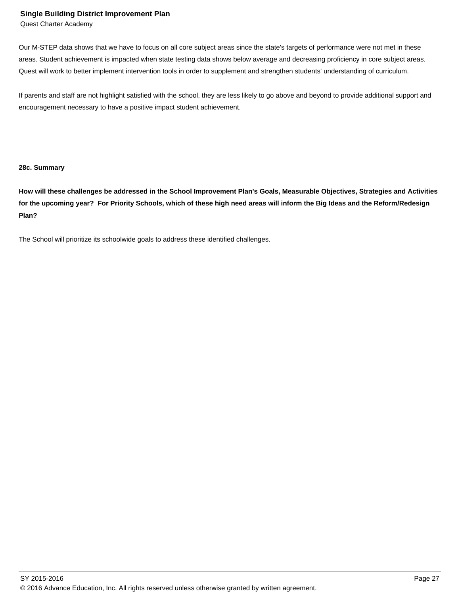#### **Single Building District Improvement Plan**

Quest Charter Academy

Our M-STEP data shows that we have to focus on all core subject areas since the state's targets of performance were not met in these areas. Student achievement is impacted when state testing data shows below average and decreasing proficiency in core subject areas. Quest will work to better implement intervention tools in order to supplement and strengthen students' understanding of curriculum.

If parents and staff are not highlight satisfied with the school, they are less likely to go above and beyond to provide additional support and encouragement necessary to have a positive impact student achievement.

#### **28c. Summary**

**How will these challenges be addressed in the School Improvement Plan's Goals, Measurable Objectives, Strategies and Activities for the upcoming year? For Priority Schools, which of these high need areas will inform the Big Ideas and the Reform/Redesign Plan?**

The School will prioritize its schoolwide goals to address these identified challenges.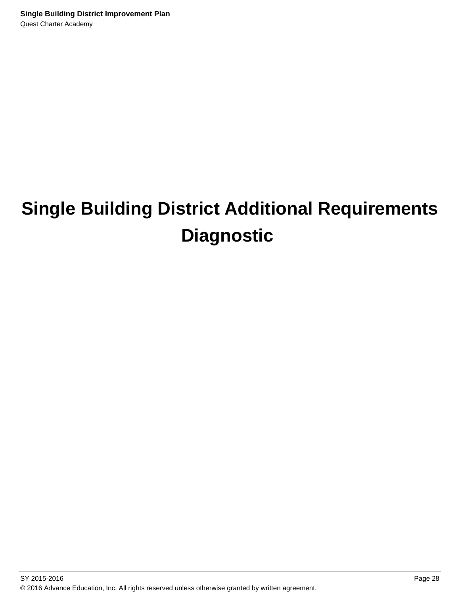# **Single Building District Additional Requirements Diagnostic**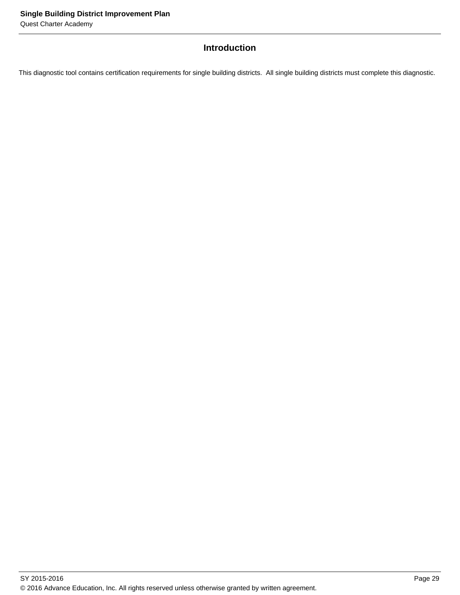## **Introduction**

This diagnostic tool contains certification requirements for single building districts. All single building districts must complete this diagnostic.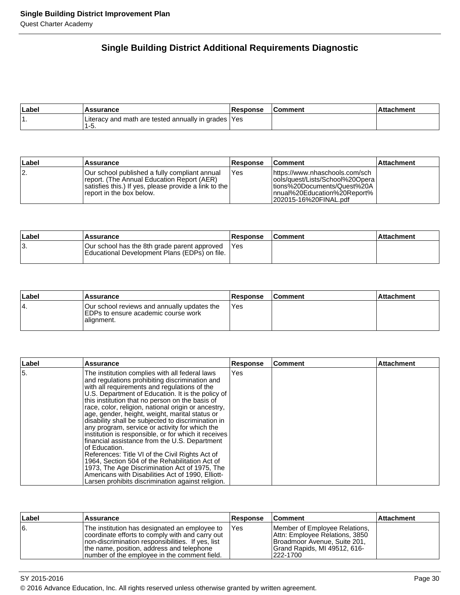## **Single Building District Additional Requirements Diagnostic**

| Label | <b>\ssurance</b>                                             | <b>Response</b> | Comment | hment |
|-------|--------------------------------------------------------------|-----------------|---------|-------|
|       | Literacy and math are tested annually in grades  Yes<br>ס-י. |                 |         |       |

| ∣Label | Assurance                                                                                                                                                                         | <b>Response</b> | <b>Comment</b>                                                                                                                                                 | <b>Attachment</b> |
|--------|-----------------------------------------------------------------------------------------------------------------------------------------------------------------------------------|-----------------|----------------------------------------------------------------------------------------------------------------------------------------------------------------|-------------------|
| 12.    | IOur school published a fully compliant annual<br>report. (The Annual Education Report (AER)<br>satisfies this.) If yes, please provide a link to the<br>report in the box below. | <b>Yes</b>      | lhttps://www.nhaschools.com/sch<br>lools/quest/Lists/School%20Operal<br>ltions%20Documents/Quest%20A<br>Innual%20Education%20Report%<br>l202015-16%20FINAL.pdf |                   |

| Label | <b>Assurance</b>                                                                              | <b>Response</b> | <b>Comment</b> | ⊺Attachment |
|-------|-----------------------------------------------------------------------------------------------|-----------------|----------------|-------------|
| ΙЗ.   | Our school has the 8th grade parent approved<br>Educational Development Plans (EDPs) on file. | <b>IYes</b>     |                |             |

| Label | Assurance                                                                                        | <b>Response</b> | <b>Comment</b> | ⊺Attachment |
|-------|--------------------------------------------------------------------------------------------------|-----------------|----------------|-------------|
| 14.   | Our school reviews and annually updates the<br>EDPs to ensure academic course work<br>alignment. | IYes            |                |             |

| ∣Label | <b>Assurance</b>                                                                                                                                                                                                                                                                                                                                                                                                                                                                                                                                                                                                                                                                                                                                                                                                                                                    | <b>Response</b> | l Comment | <b>Attachment</b> |
|--------|---------------------------------------------------------------------------------------------------------------------------------------------------------------------------------------------------------------------------------------------------------------------------------------------------------------------------------------------------------------------------------------------------------------------------------------------------------------------------------------------------------------------------------------------------------------------------------------------------------------------------------------------------------------------------------------------------------------------------------------------------------------------------------------------------------------------------------------------------------------------|-----------------|-----------|-------------------|
| 15.    | The institution complies with all federal laws<br>and regulations prohibiting discrimination and<br>with all requirements and regulations of the<br>U.S. Department of Education. It is the policy of<br>this institution that no person on the basis of<br>race, color, religion, national origin or ancestry,<br>age, gender, height, weight, marital status or<br>disability shall be subjected to discrimination in<br>any program, service or activity for which the<br>institution is responsible, or for which it receives<br>financial assistance from the U.S. Department<br>of Education.<br>References: Title VI of the Civil Rights Act of<br>1964, Section 504 of the Rehabilitation Act of<br>1973, The Age Discrimination Act of 1975, The<br>Americans with Disabilities Act of 1990, Elliott-<br>Larsen prohibits discrimination against religion. | Yes             |           |                   |

| Label | <b>Assurance</b>                                                                                                                                                                                                                                     | ∣Response | ∣Comment                                                                                                                                    | ∣Attachment |
|-------|------------------------------------------------------------------------------------------------------------------------------------------------------------------------------------------------------------------------------------------------------|-----------|---------------------------------------------------------------------------------------------------------------------------------------------|-------------|
| 6.    | The institution has designated an employee to<br>coordinate efforts to comply with and carry out<br>Inon-discrimination responsibilities. If yes, list<br>the name, position, address and telephone<br>Inumber of the employee in the comment field. | Yes       | Member of Employee Relations,<br>Attn: Employee Relations, 3850<br>Broadmoor Avenue, Suite 201,<br>Grand Rapids, MI 49512, 616-<br>222-1700 |             |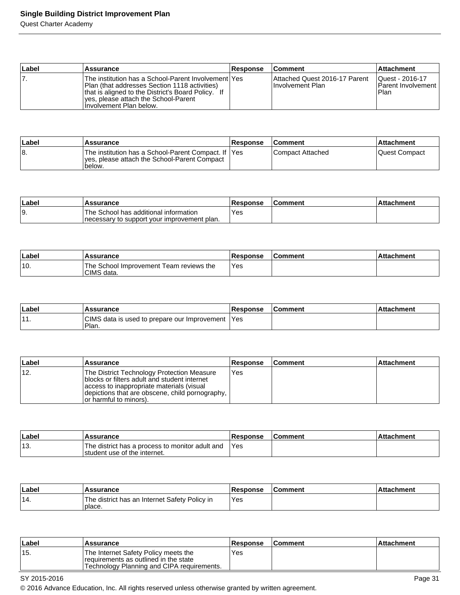## **Single Building District Improvement Plan**

Quest Charter Academy

| ∣Label | <b>Assurance</b>                                                                                                                                                                                                                | <b>Response</b> | <b>Comment</b>                                            | <b>Attachment</b>                                    |
|--------|---------------------------------------------------------------------------------------------------------------------------------------------------------------------------------------------------------------------------------|-----------------|-----------------------------------------------------------|------------------------------------------------------|
|        | The institution has a School-Parent Involvement lYes<br> Plan (that addresses Section 1118 activities)<br>that is aligned to the District's Board Policy. If<br>ves, please attach the School-Parent<br>Hnvolvement Plan below. |                 | Attached Quest 2016-17 Parent<br><b>Ilnvolvement Plan</b> | Quest - 2016-17<br><b>Parent Involvement</b><br>Plan |

| ∣Label | <b>Assurance</b>                                                                                               | <b>Response</b> | <b>Comment</b>     | ⊺Attachment   |
|--------|----------------------------------------------------------------------------------------------------------------|-----------------|--------------------|---------------|
| 18.    | The institution has a School-Parent Compact. If  Yes<br>yes, please attach the School-Parent Compact<br>below. |                 | l Compact Attached | Quest Compact |

| ∣Labe | Assurance                                                                             | Response | Comment | achment |
|-------|---------------------------------------------------------------------------------------|----------|---------|---------|
| 19.   | The School has additional information<br>Inecessary to support your improvement plan. | Yes      |         |         |

| Labe. | <b>Assurance</b>                                      | <b>Response</b> | ∣Comment | l Attachment |
|-------|-------------------------------------------------------|-----------------|----------|--------------|
| '10.  | The School Improvement Team reviews the<br>CIMS data. | 'Yes            |          |              |

| Label               | Assurance                                               | <b>Response</b> | <b>Comment</b> | chment<br>∴∆tta |
|---------------------|---------------------------------------------------------|-----------------|----------------|-----------------|
| $\overline{A}$<br>. | CIMS data is used to prepare our Improvement 1<br>Plan. | 'Yes            |                |                 |

| Label | Assurance                                                                                                                                                                                                              | <b>Response</b> | <b>Comment</b> | <b>Attachment</b> |
|-------|------------------------------------------------------------------------------------------------------------------------------------------------------------------------------------------------------------------------|-----------------|----------------|-------------------|
| 112.  | The District Technology Protection Measure<br>blocks or filters adult and student internet<br>access to inappropriate materials (visual<br>depictions that are obscene, child pornography,  <br>or harmful to minors). | <b>Yes</b>      |                |                   |

| Labe | <b>Assurance</b>                                                                | <b>Response</b> | <b>Comment</b> | <b>Attachment</b> |
|------|---------------------------------------------------------------------------------|-----------------|----------------|-------------------|
| ็13. | The district has a process to monitor adult and<br>student use of the internet. | 'Yes            |                |                   |

| ∣Label | Assurance                                               | <b>Response</b> | ∣Comment | ∣Attachment |
|--------|---------------------------------------------------------|-----------------|----------|-------------|
| '14.   | The district has an Internet Safety Policy in<br>place. | Yes             |          |             |

| ∣Label | Assurance                                                                                                                    | <b>Response</b> | l Comment | ∣Attachment∶ |
|--------|------------------------------------------------------------------------------------------------------------------------------|-----------------|-----------|--------------|
| '15.   | The Internet Safety Policy meets the<br>requirements as outlined in the state<br>'Technology Planning and CIPA requirements. | Yes             |           |              |

SY 2015-2016 **Page 31** 

© 2016 Advance Education, Inc. All rights reserved unless otherwise granted by written agreement.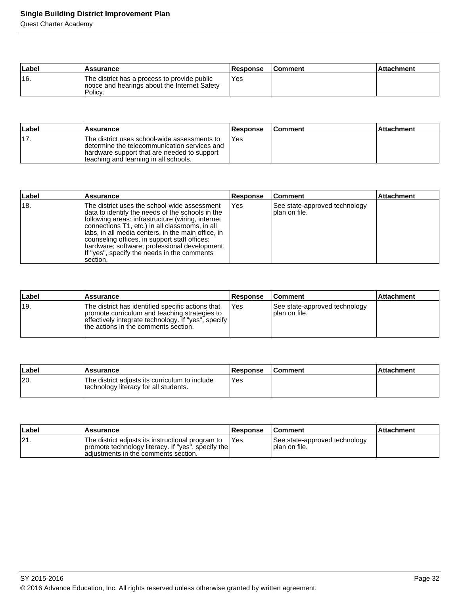## **Single Building District Improvement Plan**

Quest Charter Academy

| Label | Assurance                                                                                                | <b>Response</b> | <b>Comment</b> | ∣Attachment |
|-------|----------------------------------------------------------------------------------------------------------|-----------------|----------------|-------------|
| 16.   | The district has a process to provide public<br>notice and hearings about the Internet Safety<br>Policy. | <b>Yes</b>      |                |             |

| ∣Label | <b>Assurance</b>                                                                                                                                                                      | Response | <b>Comment</b> | ∣Attachment |
|--------|---------------------------------------------------------------------------------------------------------------------------------------------------------------------------------------|----------|----------------|-------------|
| '17.   | The district uses school-wide assessments to<br>Idetermine the telecommunication services and<br>hardware support that are needed to support<br>teaching and learning in all schools. | 'Yes     |                |             |

| Label          | <b>Assurance</b>                                                                                                                                                                                                                                                                                                                                                                                                              | <b>Response</b> | <b>Comment</b>                                 | <b>Attachment</b> |
|----------------|-------------------------------------------------------------------------------------------------------------------------------------------------------------------------------------------------------------------------------------------------------------------------------------------------------------------------------------------------------------------------------------------------------------------------------|-----------------|------------------------------------------------|-------------------|
| <sup>18.</sup> | The district uses the school-wide assessment<br>data to identify the needs of the schools in the<br>following areas: infrastructure (wiring, internet<br>connections T1, etc.) in all classrooms, in all<br>Ilabs, in all media centers, in the main office, in<br>counseling offices, in support staff offices;<br>Ihardware; software; professional development.<br>If "yes", specify the needs in the comments<br>section. | Yes             | See state-approved technology<br>plan on file. |                   |

| Label | Assurance                                                                                                                                                                                           | Response | <b>Comment</b>                                   | <b>Attachment</b> |
|-------|-----------------------------------------------------------------------------------------------------------------------------------------------------------------------------------------------------|----------|--------------------------------------------------|-------------------|
| !19.  | The district has identified specific actions that<br>promote curriculum and teaching strategies to<br>effectively integrate technology. If "yes", specify '<br>the actions in the comments section. | Yes      | See state-approved technology<br>I plan on file. |                   |

| ∣Label | <b>Assurance</b>                                                                        | Response | <b>Comment</b> | ∣Attachment∶ |
|--------|-----------------------------------------------------------------------------------------|----------|----------------|--------------|
| 20.    | The district adjusts its curriculum to include<br>technology literacy for all students. | Yes      |                |              |

| ∣Label | <b>Assurance</b>                                                                                                                                | <b>Response</b> | <b>Comment</b>                                   | ∣Attachment |
|--------|-------------------------------------------------------------------------------------------------------------------------------------------------|-----------------|--------------------------------------------------|-------------|
| 21.    | The district adjusts its instructional program to<br>promote technology literacy. If "yes", specify the<br>adiustments in the comments section. | <b>IYes</b>     | See state-approved technology<br>I plan on file. |             |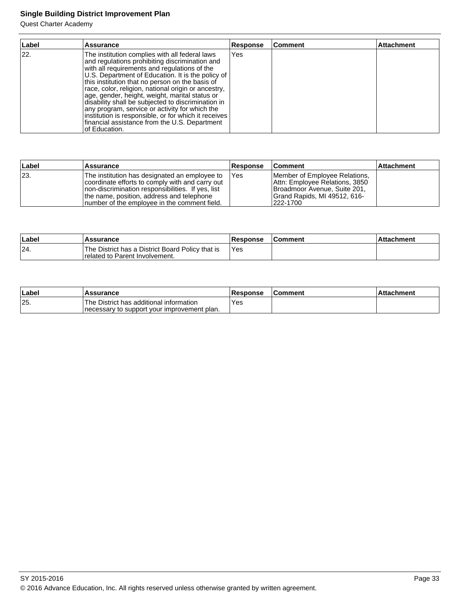# **Single Building District Improvement Plan**

Quest Charter Academy

| Label | <b>Assurance</b>                                                                                                                                                                                                                                                                                                                                                                                                                                                                                                                                                                                    | <b>Response</b> | Comment | <b>Attachment</b> |
|-------|-----------------------------------------------------------------------------------------------------------------------------------------------------------------------------------------------------------------------------------------------------------------------------------------------------------------------------------------------------------------------------------------------------------------------------------------------------------------------------------------------------------------------------------------------------------------------------------------------------|-----------------|---------|-------------------|
| 22.   | The institution complies with all federal laws<br>and regulations prohibiting discrimination and<br>with all requirements and regulations of the<br>U.S. Department of Education. It is the policy of<br>this institution that no person on the basis of<br>race, color, religion, national origin or ancestry,<br>age, gender, height, weight, marital status or<br>disability shall be subjected to discrimination in<br>any program, service or activity for which the<br>institution is responsible, or for which it receives<br>financial assistance from the U.S. Department<br>of Education. | Yes             |         |                   |

| ∣Label | <b>Assurance</b>                                                                                                                                                                                                                                     | <b>Response</b> | <b>Comment</b>                                                                                                                              | ∣Attachment |
|--------|------------------------------------------------------------------------------------------------------------------------------------------------------------------------------------------------------------------------------------------------------|-----------------|---------------------------------------------------------------------------------------------------------------------------------------------|-------------|
| 23.    | The institution has designated an employee to<br>coordinate efforts to comply with and carry out<br>Inon-discrimination responsibilities. If yes, list<br>the name, position, address and telephone<br>Inumber of the employee in the comment field. | <b>IYes</b>     | Member of Employee Relations,<br>Attn: Employee Relations, 3850<br>Broadmoor Avenue, Suite 201,<br>Grand Rapids, MI 49512, 616-<br>222-1700 |             |

| Label | <b>Assurance</b>                                                                            | <b>Response</b> | <b>Comment</b> | Attachment |
|-------|---------------------------------------------------------------------------------------------|-----------------|----------------|------------|
| 24.   | The District has a District Board Policy that is<br><b>I</b> related to Parent Involvement. | 'Yes            |                |            |

| ∣Label | <b>Assurance</b>                                                                         | <b>Response</b> | <b>IComment</b> | <b>Attachment</b> |
|--------|------------------------------------------------------------------------------------------|-----------------|-----------------|-------------------|
| 25.    | 'The District has additional information<br>Inecessary to support your improvement plan. | `Yes            |                 |                   |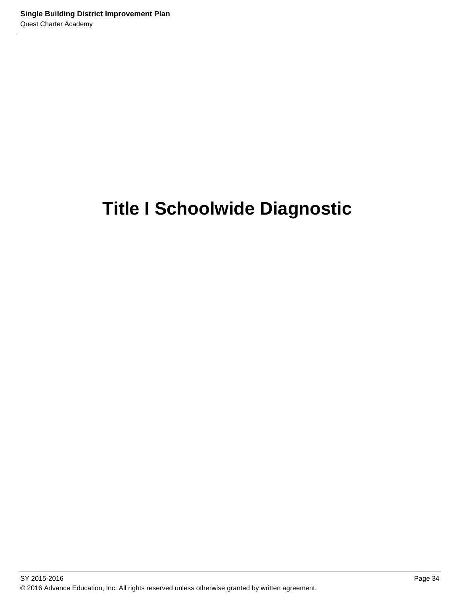# **Title I Schoolwide Diagnostic**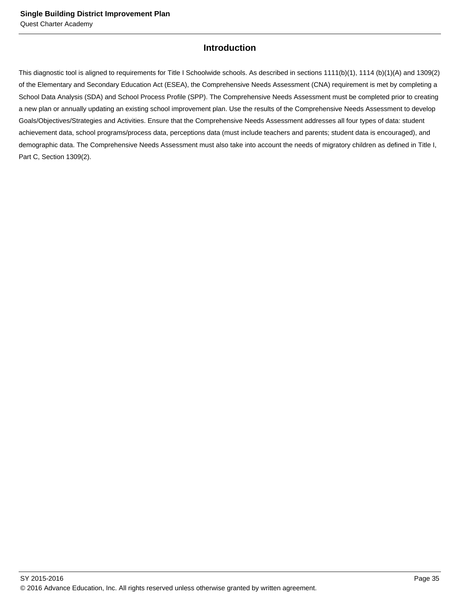# **Introduction**

This diagnostic tool is aligned to requirements for Title I Schoolwide schools. As described in sections 1111(b)(1), 1114 (b)(1)(A) and 1309(2) of the Elementary and Secondary Education Act (ESEA), the Comprehensive Needs Assessment (CNA) requirement is met by completing a School Data Analysis (SDA) and School Process Profile (SPP). The Comprehensive Needs Assessment must be completed prior to creating a new plan or annually updating an existing school improvement plan. Use the results of the Comprehensive Needs Assessment to develop Goals/Objectives/Strategies and Activities. Ensure that the Comprehensive Needs Assessment addresses all four types of data: student achievement data, school programs/process data, perceptions data (must include teachers and parents; student data is encouraged), and demographic data. The Comprehensive Needs Assessment must also take into account the needs of migratory children as defined in Title I, Part C, Section 1309(2).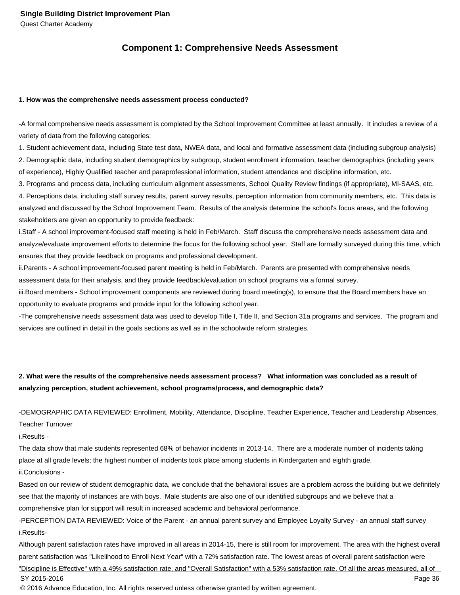## **Component 1: Comprehensive Needs Assessment**

#### **1. How was the comprehensive needs assessment process conducted?**

- A formal comprehensive needs assessment is completed by the School Improvement Committee at least annually. It includes a review of a variety of data from the following categories:

1. Student achievement data, including State test data, NWEA data, and local and formative assessment data (including subgroup analysis) 2. Demographic data, including student demographics by subgroup, student enrollment information, teacher demographics (including years of experience), Highly Qualified teacher and paraprofessional information, student attendance and discipline information, etc.

3. Programs and process data, including curriculum alignment assessments, School Quality Review findings (if appropriate), MI-SAAS, etc. 4. Perceptions data, including staff survey results, parent survey results, perception information from community members, etc. This data is analyzed and discussed by the School Improvement Team. Results of the analysis determine the school's focus areas, and the following stakeholders are given an opportunity to provide feedback:

i. Staff - A school improvement-focused staff meeting is held in Feb/March. Staff discuss the comprehensive needs assessment data and analyze/evaluate improvement efforts to determine the focus for the following school year. Staff are formally surveyed during this time, which ensures that they provide feedback on programs and professional development.

ii. Parents - A school improvement-focused parent meeting is held in Feb/March. Parents are presented with comprehensive needs assessment data for their analysis, and they provide feedback/evaluation on school programs via a formal survey.

iii. Board members - School improvement components are reviewed during board meeting(s), to ensure that the Board members have an opportunity to evaluate programs and provide input for the following school year.

- The comprehensive needs assessment data was used to develop Title I, Title II, and Section 31a programs and services. The program and services are outlined in detail in the goals sections as well as in the schoolwide reform strategies.

# **2. What were the results of the comprehensive needs assessment process? What information was concluded as a result of analyzing perception, student achievement, school programs/process, and demographic data?**

- DEMOGRAPHIC DATA REVIEWED: Enrollment, Mobility, Attendance, Discipline, Teacher Experience, Teacher and Leadership Absences,

Teacher Turnover

i. Results -

The data show that male students represented 68% of behavior incidents in 2013-14. There are a moderate number of incidents taking place at all grade levels; the highest number of incidents took place among students in Kindergarten and eighth grade.

ii. Conclusions -

Based on our review of student demographic data, we conclude that the behavioral issues are a problem across the building but we definitely see that the majority of instances are with boys. Male students are also one of our identified subgroups and we believe that a comprehensive plan for support will result in increased academic and behavioral performance.

- PERCEPTION DATA REVIEWED: Voice of the Parent - an annual parent survey and Employee Loyalty Survey - an annual staff survey i. Results-

Although parent satisfaction rates have improved in all areas in 2014-15, there is still room for improvement. The area with the highest overall parent satisfaction was "Likelihood to Enroll Next Year" with a 72% satisfaction rate. The lowest areas of overall parent satisfaction were "Discipline is Effective" with a 49% satisfaction rate, and "Overall Satisfaction" with a 53% satisfaction rate. Of all the areas measured, all of

SY 2015-2016 Page 36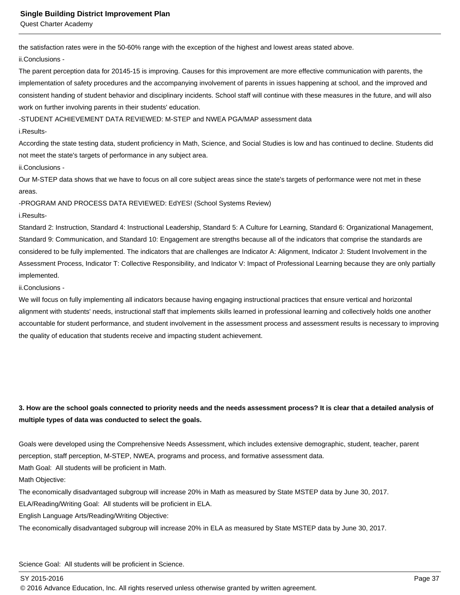the satisfaction rates were in the 50-60% range with the exception of the highest and lowest areas stated above.

ii. Conclusions -

The parent perception data for 20145-15 is improving. Causes for this improvement are more effective communication with parents, the implementation of safety procedures and the accompanying involvement of parents in issues happening at school, and the improved and consistent handing of student behavior and disciplinary incidents. School staff will continue with these measures in the future, and will also work on further involving parents in their students' education.

- STUDENT ACHIEVEMENT DATA REVIEWED: M-STEP and NWEA PGA/MAP assessment data

i. Results-

According the state testing data, student proficiency in Math, Science, and Social Studies is low and has continued to decline. Students did not meet the state's targets of performance in any subject area.

ii. Conclusions -

Our M-STEP data shows that we have to focus on all core subject areas since the state's targets of performance were not met in these areas.

- PROGRAM AND PROCESS DATA REVIEWED: EdYES! (School Systems Review)

#### i. Results-

Standard 2: Instruction, Standard 4: Instructional Leadership, Standard 5: A Culture for Learning, Standard 6: Organizational Management, Standard 9: Communication, and Standard 10: Engagement are strengths because all of the indicators that comprise the standards are considered to be fully implemented. The indicators that are challenges are Indicator A: Alignment, Indicator J: Student Involvement in the Assessment Process, Indicator T: Collective Responsibility, and Indicator V: Impact of Professional Learning because they are only partially implemented.

#### ii. Conclusions -

We will focus on fully implementing all indicators because having engaging instructional practices that ensure vertical and horizontal alignment with students' needs, instructional staff that implements skills learned in professional learning and collectively holds one another accountable for student performance, and student involvement in the assessment process and assessment results is necessary to improving the quality of education that students receive and impacting student achievement.

## **3. How are the school goals connected to priority needs and the needs assessment process? It is clear that a detailed analysis of multiple types of data was conducted to select the goals.**

Goals were developed using the Comprehensive Needs Assessment, which includes extensive demographic, student, teacher, parent perception, staff perception, M-STEP, NWEA, programs and process, and formative assessment data.

Math Goal: All students will be proficient in Math.

Math Objective:

The economically disadvantaged subgroup will increase 20% in Math as measured by State MSTEP data by June 30, 2017.

ELA/Reading/Writing Goal: All students will be proficient in ELA.

English Language Arts/Reading/Writing Objective:

The economically disadvantaged subgroup will increase 20% in ELA as measured by State MSTEP data by June 30, 2017.

Science Goal: All students will be proficient in Science.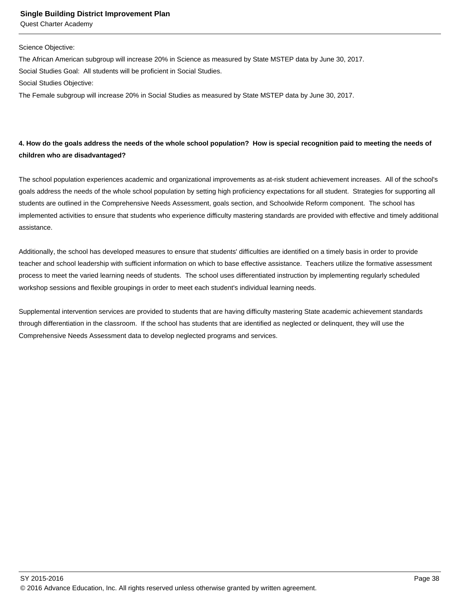#### **Single Building District Improvement Plan**

Quest Charter Academy

#### Science Objective:

The African American subgroup will increase 20% in Science as measured by State MSTEP data by June 30, 2017. Social Studies Goal: All students will be proficient in Social Studies.

Social Studies Objective:

The Female subgroup will increase 20% in Social Studies as measured by State MSTEP data by June 30, 2017.

## **4. How do the goals address the needs of the whole school population? How is special recognition paid to meeting the needs of children who are disadvantaged?**

The school population experiences academic and organizational improvements as at-risk student achievement increases. All of the school's goals address the needs of the whole school population by setting high proficiency expectations for all student. Strategies for supporting all students are outlined in the Comprehensive Needs Assessment, goals section, and Schoolwide Reform component. The school has implemented activities to ensure that students who experience difficulty mastering standards are provided with effective and timely additional assistance.

Additionally, the school has developed measures to ensure that students' difficulties are identified on a timely basis in order to provide teacher and school leadership with sufficient information on which to base effective assistance. Teachers utilize the formative assessment process to meet the varied learning needs of students. The school uses differentiated instruction by implementing regularly scheduled workshop sessions and flexible groupings in order to meet each student's individual learning needs.

Supplemental intervention services are provided to students that are having difficulty mastering State academic achievement standards through differentiation in the classroom. If the school has students that are identified as neglected or delinquent, they will use the Comprehensive Needs Assessment data to develop neglected programs and services.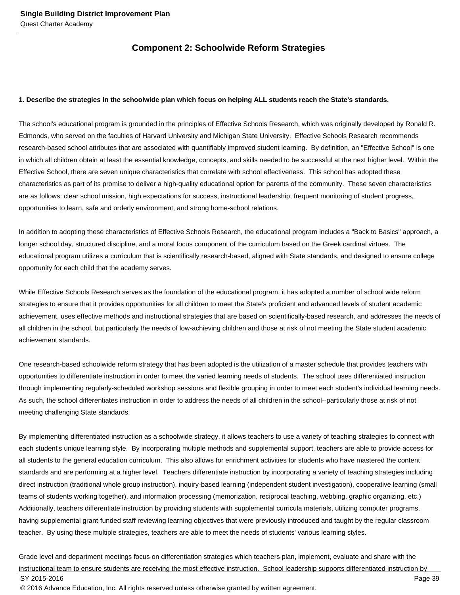# **Component 2: Schoolwide Reform Strategies**

#### **1. Describe the strategies in the schoolwide plan which focus on helping ALL students reach the State's standards.**

The school's educational program is grounded in the principles of Effective Schools Research, which was originally developed by Ronald R. Edmonds, who served on the faculties of Harvard University and Michigan State University. Effective Schools Research recommends research-based school attributes that are associated with quantifiably improved student learning. By definition, an "Effective School" is one in which all children obtain at least the essential knowledge, concepts, and skills needed to be successful at the next higher level. Within the Effective School, there are seven unique characteristics that correlate with school effectiveness. This school has adopted these characteristics as part of its promise to deliver a high-quality educational option for parents of the community. These seven characteristics are as follows: clear school mission, high expectations for success, instructional leadership, frequent monitoring of student progress, opportunities to learn, safe and orderly environment, and strong home-school relations.

In addition to adopting these characteristics of Effective Schools Research, the educational program includes a "Back to Basics" approach, a longer school day, structured discipline, and a moral focus component of the curriculum based on the Greek cardinal virtues. The educational program utilizes a curriculum that is scientifically research-based, aligned with State standards, and designed to ensure college opportunity for each child that the academy serves.

While Effective Schools Research serves as the foundation of the educational program, it has adopted a number of school wide reform strategies to ensure that it provides opportunities for all children to meet the State's proficient and advanced levels of student academic achievement, uses effective methods and instructional strategies that are based on scientifically-based research, and addresses the needs of all children in the school, but particularly the needs of low-achieving children and those at risk of not meeting the State student academic achievement standards.

One research-based schoolwide reform strategy that has been adopted is the utilization of a master schedule that provides teachers with opportunities to differentiate instruction in order to meet the varied learning needs of students. The school uses differentiated instruction through implementing regularly-scheduled workshop sessions and flexible grouping in order to meet each student's individual learning needs. As such, the school differentiates instruction in order to address the needs of all children in the school--particularly those at risk of not meeting challenging State standards.

By implementing differentiated instruction as a schoolwide strategy, it allows teachers to use a variety of teaching strategies to connect with each student's unique learning style. By incorporating multiple methods and supplemental support, teachers are able to provide access for all students to the general education curriculum. This also allows for enrichment activities for students who have mastered the content standards and are performing at a higher level. Teachers differentiate instruction by incorporating a variety of teaching strategies including direct instruction (traditional whole group instruction), inquiry-based learning (independent student investigation), cooperative learning (small teams of students working together), and information processing (memorization, reciprocal teaching, webbing, graphic organizing, etc.) Additionally, teachers differentiate instruction by providing students with supplemental curricula materials, utilizing computer programs, having supplemental grant-funded staff reviewing learning objectives that were previously introduced and taught by the regular classroom teacher. By using these multiple strategies, teachers are able to meet the needs of students' various learning styles.

Grade level and department meetings focus on differentiation strategies which teachers plan, implement, evaluate and share with the instructional team to ensure students are receiving the most effective instruction. School leadership supports differentiated instruction by SY 2015-2016 Page 39 © 2016 Advance Education, Inc. All rights reserved unless otherwise granted by written agreement.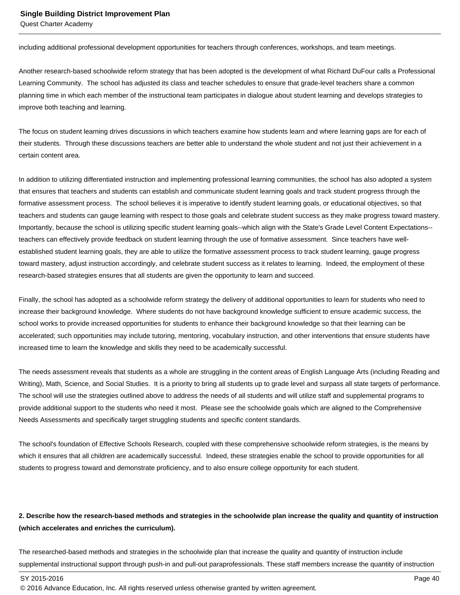including additional professional development opportunities for teachers through conferences, workshops, and team meetings.

Another research-based schoolwide reform strategy that has been adopted is the development of what Richard DuFour calls a Professional Learning Community. The school has adjusted its class and teacher schedules to ensure that grade-level teachers share a common planning time in which each member of the instructional team participates in dialogue about student learning and develops strategies to improve both teaching and learning.

The focus on student learning drives discussions in which teachers examine how students learn and where learning gaps are for each of their students. Through these discussions teachers are better able to understand the whole student and not just their achievement in a certain content area.

In addition to utilizing differentiated instruction and implementing professional learning communities, the school has also adopted a system that ensures that teachers and students can establish and communicate student learning goals and track student progress through the formative assessment process. The school believes it is imperative to identify student learning goals, or educational objectives, so that teachers and students can gauge learning with respect to those goals and celebrate student success as they make progress toward mastery. Importantly, because the school is utilizing specific student learning goals--which align with the State's Grade Level Content Expectations- teachers can effectively provide feedback on student learning through the use of formative assessment. Since teachers have wellestablished student learning goals, they are able to utilize the formative assessment process to track student learning, gauge progress toward mastery, adjust instruction accordingly, and celebrate student success as it relates to learning. Indeed, the employment of these research-based strategies ensures that all students are given the opportunity to learn and succeed.

Finally, the school has adopted as a schoolwide reform strategy the delivery of additional opportunities to learn for students who need to increase their background knowledge. Where students do not have background knowledge sufficient to ensure academic success, the school works to provide increased opportunities for students to enhance their background knowledge so that their learning can be accelerated; such opportunities may include tutoring, mentoring, vocabulary instruction, and other interventions that ensure students have increased time to learn the knowledge and skills they need to be academically successful.

The needs assessment reveals that students as a whole are struggling in the content areas of English Language Arts (including Reading and Writing), Math, Science, and Social Studies. It is a priority to bring all students up to grade level and surpass all state targets of performance. The school will use the strategies outlined above to address the needs of all students and will utilize staff and supplemental programs to provide additional support to the students who need it most. Please see the schoolwide goals which are aligned to the Comprehensive Needs Assessments and specifically target struggling students and specific content standards.

The school's foundation of Effective Schools Research, coupled with these comprehensive schoolwide reform strategies, is the means by which it ensures that all children are academically successful. Indeed, these strategies enable the school to provide opportunities for all students to progress toward and demonstrate proficiency, and to also ensure college opportunity for each student.

## **2. Describe how the research-based methods and strategies in the schoolwide plan increase the quality and quantity of instruction (which accelerates and enriches the curriculum).**

The researched-based methods and strategies in the schoolwide plan that increase the quality and quantity of instruction include supplemental instructional support through push-in and pull-out paraprofessionals. These staff members increase the quantity of instruction

<sup>© 2016</sup> Advance Education, Inc. All rights reserved unless otherwise granted by written agreement.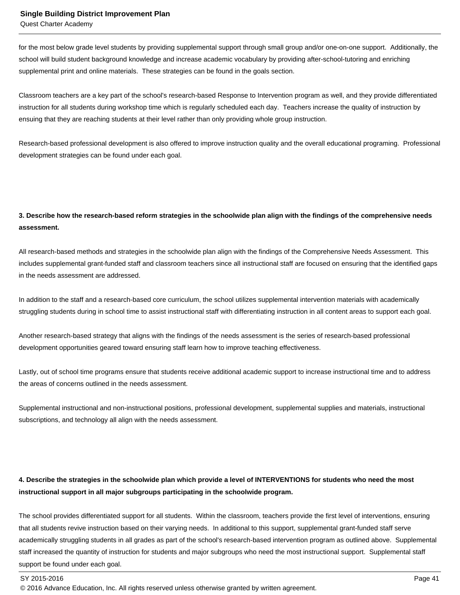for the most below grade level students by providing supplemental support through small group and/or one-on-one support. Additionally, the school will build student background knowledge and increase academic vocabulary by providing after-school-tutoring and enriching supplemental print and online materials. These strategies can be found in the goals section.

Classroom teachers are a key part of the school's research-based Response to Intervention program as well, and they provide differentiated instruction for all students during workshop time which is regularly scheduled each day. Teachers increase the quality of instruction by ensuing that they are reaching students at their level rather than only providing whole group instruction.

Research-based professional development is also offered to improve instruction quality and the overall educational programing. Professional development strategies can be found under each goal.

## **3. Describe how the research-based reform strategies in the schoolwide plan align with the findings of the comprehensive needs assessment.**

All research-based methods and strategies in the schoolwide plan align with the findings of the Comprehensive Needs Assessment. This includes supplemental grant-funded staff and classroom teachers since all instructional staff are focused on ensuring that the identified gaps in the needs assessment are addressed.

In addition to the staff and a research-based core curriculum, the school utilizes supplemental intervention materials with academically struggling students during in school time to assist instructional staff with differentiating instruction in all content areas to support each goal.

Another research-based strategy that aligns with the findings of the needs assessment is the series of research-based professional development opportunities geared toward ensuring staff learn how to improve teaching effectiveness.

Lastly, out of school time programs ensure that students receive additional academic support to increase instructional time and to address the areas of concerns outlined in the needs assessment.

Supplemental instructional and non-instructional positions, professional development, supplemental supplies and materials, instructional subscriptions, and technology all align with the needs assessment.

# **4. Describe the strategies in the schoolwide plan which provide a level of INTERVENTIONS for students who need the most instructional support in all major subgroups participating in the schoolwide program.**

The school provides differentiated support for all students. Within the classroom, teachers provide the first level of interventions, ensuring that all students revive instruction based on their varying needs. In additional to this support, supplemental grant-funded staff serve academically struggling students in all grades as part of the school's research-based intervention program as outlined above. Supplemental staff increased the quantity of instruction for students and major subgroups who need the most instructional support. Supplemental staff support be found under each goal.

#### SY 2015-2016 Page 41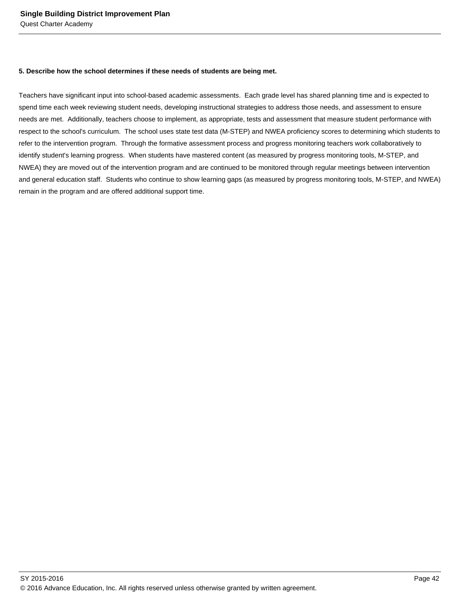#### **5. Describe how the school determines if these needs of students are being met.**

Teachers have significant input into school-based academic assessments. Each grade level has shared planning time and is expected to spend time each week reviewing student needs, developing instructional strategies to address those needs, and assessment to ensure needs are met. Additionally, teachers choose to implement, as appropriate, tests and assessment that measure student performance with respect to the school's curriculum. The school uses state test data (M-STEP) and NWEA proficiency scores to determining which students to refer to the intervention program. Through the formative assessment process and progress monitoring teachers work collaboratively to identify student's learning progress. When students have mastered content (as measured by progress monitoring tools, M-STEP, and NWEA) they are moved out of the intervention program and are continued to be monitored through regular meetings between intervention and general education staff. Students who continue to show learning gaps (as measured by progress monitoring tools, M-STEP, and NWEA) remain in the program and are offered additional support time.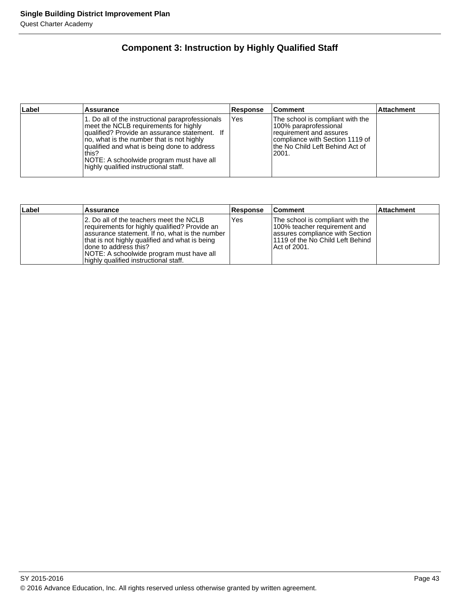# **Component 3: Instruction by Highly Qualified Staff**

| ∣Label | <b>Assurance</b>                                                                                                                                                                                                                                                                                                                     | Response | <b>Comment</b>                                                                                                                                                         | <b>Attachment</b> |
|--------|--------------------------------------------------------------------------------------------------------------------------------------------------------------------------------------------------------------------------------------------------------------------------------------------------------------------------------------|----------|------------------------------------------------------------------------------------------------------------------------------------------------------------------------|-------------------|
|        | 1. Do all of the instructional paraprofessionals<br>meet the NCLB requirements for highly<br>qualified? Provide an assurance statement. If<br>no, what is the number that is not highly<br>qualified and what is being done to address<br>this?<br>NOTE: A schoolwide program must have all<br>highly qualified instructional staff. | Yes      | The school is compliant with the<br>100% paraprofessional<br>requirement and assures<br>Icompliance with Section 1119 of<br>lthe No Child Left Behind Act of<br> 2001. |                   |

| Label | Assurance                                                                                                                                                                                                                                                                                                    | <b>Response</b> | <b>Comment</b>                                                                                                                                             | <b>Attachment</b> |
|-------|--------------------------------------------------------------------------------------------------------------------------------------------------------------------------------------------------------------------------------------------------------------------------------------------------------------|-----------------|------------------------------------------------------------------------------------------------------------------------------------------------------------|-------------------|
|       | 12. Do all of the teachers meet the NCLB<br>requirements for highly qualified? Provide an<br>assurance statement. If no, what is the number<br>that is not highly qualified and what is being<br>Idone to address this?<br>NOTE: A schoolwide program must have all<br>highly qualified instructional staff. | Yes             | The school is compliant with the<br>100% teacher requirement and<br>lassures compliance with Section<br>l 1119 of the No Child Left Behind<br>Act of 2001. |                   |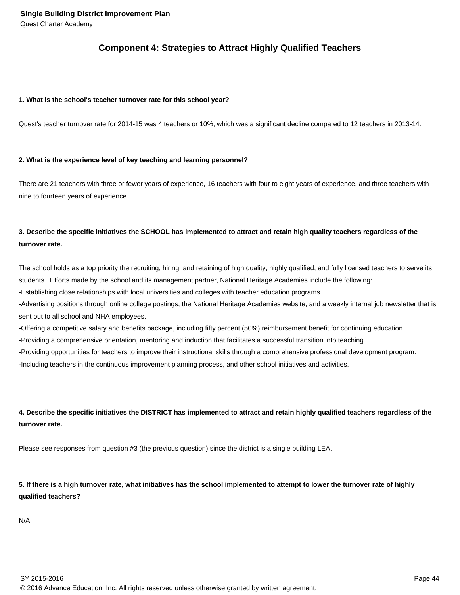# **Component 4: Strategies to Attract Highly Qualified Teachers**

#### **1. What is the school's teacher turnover rate for this school year?**

Quest's teacher turnover rate for 2014-15 was 4 teachers or 10%, which was a significant decline compared to 12 teachers in 2013-14.

#### **2. What is the experience level of key teaching and learning personnel?**

There are 21 teachers with three or fewer years of experience, 16 teachers with four to eight years of experience, and three teachers with nine to fourteen years of experience.

## **3. Describe the specific initiatives the SCHOOL has implemented to attract and retain high quality teachers regardless of the turnover rate.**

The school holds as a top priority the recruiting, hiring, and retaining of high quality, highly qualified, and fully licensed teachers to serve its students. Efforts made by the school and its management partner, National Heritage Academies include the following:

- Establishing close relationships with local universities and colleges with teacher education programs.

- Advertising positions through online college postings, the National Heritage Academies website, and a weekly internal job newsletter that is sent out to all school and NHA employees.

- Offering a competitive salary and benefits package, including fifty percent (50%) reimbursement benefit for continuing education.

- Providing a comprehensive orientation, mentoring and induction that facilitates a successful transition into teaching.

- Providing opportunities for teachers to improve their instructional skills through a comprehensive professional development program.

- Including teachers in the continuous improvement planning process, and other school initiatives and activities.

# **4. Describe the specific initiatives the DISTRICT has implemented to attract and retain highly qualified teachers regardless of the turnover rate.**

Please see responses from question #3 (the previous question) since the district is a single building LEA.

## **5. If there is a high turnover rate, what initiatives has the school implemented to attempt to lower the turnover rate of highly qualified teachers?**

N/A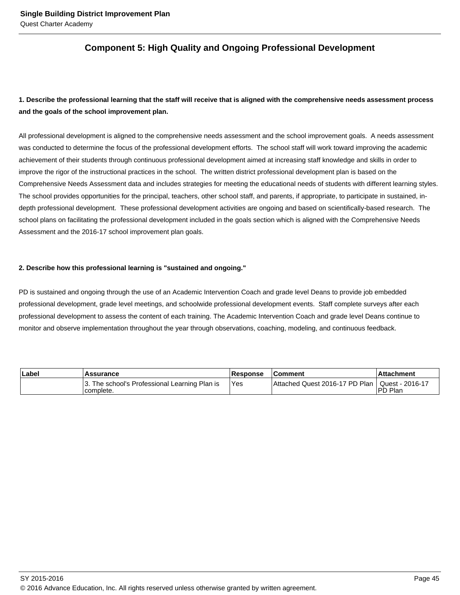# **Component 5: High Quality and Ongoing Professional Development**

# **1. Describe the professional learning that the staff will receive that is aligned with the comprehensive needs assessment process and the goals of the school improvement plan.**

All professional development is aligned to the comprehensive needs assessment and the school improvement goals. A needs assessment was conducted to determine the focus of the professional development efforts. The school staff will work toward improving the academic achievement of their students through continuous professional development aimed at increasing staff knowledge and skills in order to improve the rigor of the instructional practices in the school. The written district professional development plan is based on the Comprehensive Needs Assessment data and includes strategies for meeting the educational needs of students with different learning styles. The school provides opportunities for the principal, teachers, other school staff, and parents, if appropriate, to participate in sustained, indepth professional development. These professional development activities are ongoing and based on scientifically-based research. The school plans on facilitating the professional development included in the goals section which is aligned with the Comprehensive Needs Assessment and the 2016-17 school improvement plan goals.

### **2. Describe how this professional learning is "sustained and ongoing."**

PD is sustained and ongoing through the use of an Academic Intervention Coach and grade level Deans to provide job embedded professional development, grade level meetings, and schoolwide professional development events. Staff complete surveys after each professional development to assess the content of each training. The Academic Intervention Coach and grade level Deans continue to monitor and observe implementation throughout the year through observations, coaching, modeling, and continuous feedback.

| ∣Label | Assurance                                                  | <b>Response</b> | <b>Comment</b>                                   | l Attachment |  |
|--------|------------------------------------------------------------|-----------------|--------------------------------------------------|--------------|--|
|        | 3. The school's Professional Learning Plan is<br>complete. | Yes             | Attached Quest 2016-17 PD Plan   Quest - 2016-17 | IPD Plan     |  |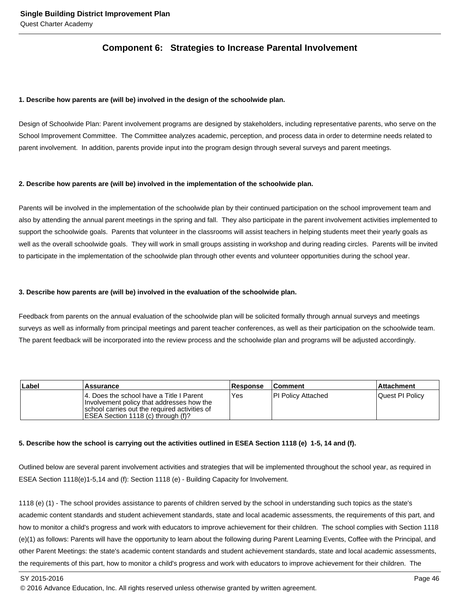## **Component 6: Strategies to Increase Parental Involvement**

#### **1. Describe how parents are (will be) involved in the design of the schoolwide plan.**

Design of Schoolwide Plan: Parent involvement programs are designed by stakeholders, including representative parents, who serve on the School Improvement Committee. The Committee analyzes academic, perception, and process data in order to determine needs related to parent involvement. In addition, parents provide input into the program design through several surveys and parent meetings.

#### **2. Describe how parents are (will be) involved in the implementation of the schoolwide plan.**

Parents will be involved in the implementation of the schoolwide plan by their continued participation on the school improvement team and also by attending the annual parent meetings in the spring and fall. They also participate in the parent involvement activities implemented to support the schoolwide goals. Parents that volunteer in the classrooms will assist teachers in helping students meet their yearly goals as well as the overall schoolwide goals. They will work in small groups assisting in workshop and during reading circles. Parents will be invited to participate in the implementation of the schoolwide plan through other events and volunteer opportunities during the school year.

#### **3. Describe how parents are (will be) involved in the evaluation of the schoolwide plan.**

Feedback from parents on the annual evaluation of the schoolwide plan will be solicited formally through annual surveys and meetings surveys as well as informally from principal meetings and parent teacher conferences, as well as their participation on the schoolwide team. The parent feedback will be incorporated into the review process and the schoolwide plan and programs will be adjusted accordingly.

| Label | Assurance                                                                                                                                                                      | <b>Response</b> | <b>Comment</b>      | <b>Attachment</b> |
|-------|--------------------------------------------------------------------------------------------------------------------------------------------------------------------------------|-----------------|---------------------|-------------------|
|       | 14. Does the school have a Title I Parent<br>Involvement policy that addresses how the<br>school carries out the required activities of<br>IESEA Section 1118 (c) through (f)? | <b>Yes</b>      | IPI Policy Attached | Quest PI Policy   |

#### **5. Describe how the school is carrying out the activities outlined in ESEA Section 1118 (e) 1-5, 14 and (f).**

Outlined below are several parent involvement activities and strategies that will be implemented throughout the school year, as required in ESEA Section 1118(e)1-5,14 and (f): Section 1118 (e) - Building Capacity for Involvement.

1118 (e) (1) - The school provides assistance to parents of children served by the school in understanding such topics as the state's academic content standards and student achievement standards, state and local academic assessments, the requirements of this part, and how to monitor a child's progress and work with educators to improve achievement for their children. The school complies with Section 1118 (e)(1) as follows: Parents will have the opportunity to learn about the following during Parent Learning Events, Coffee with the Principal, and other Parent Meetings: the state's academic content standards and student achievement standards, state and local academic assessments, the requirements of this part, how to monitor a child's progress and work with educators to improve achievement for their children. The

SY 2015-2016 Page 46

<sup>© 2016</sup> Advance Education, Inc. All rights reserved unless otherwise granted by written agreement.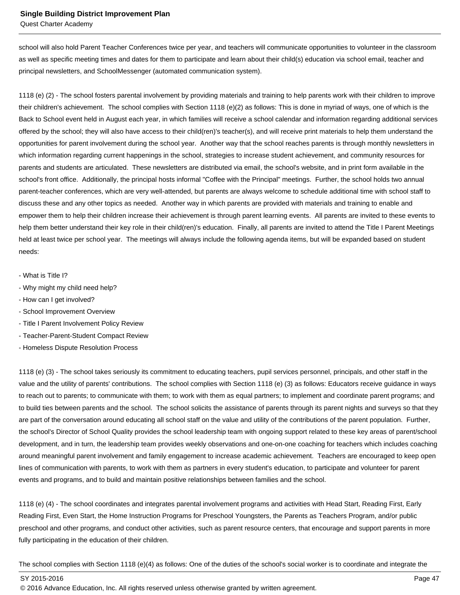school will also hold Parent Teacher Conferences twice per year, and teachers will communicate opportunities to volunteer in the classroom as well as specific meeting times and dates for them to participate and learn about their child(s) education via school email, teacher and principal newsletters, and SchoolMessenger (automated communication system).

1118 (e) (2) - The school fosters parental involvement by providing materials and training to help parents work with their children to improve their children's achievement. The school complies with Section 1118 (e)(2) as follows: This is done in myriad of ways, one of which is the Back to School event held in August each year, in which families will receive a school calendar and information regarding additional services offered by the school; they will also have access to their child(ren)'s teacher(s), and will receive print materials to help them understand the opportunities for parent involvement during the school year. Another way that the school reaches parents is through monthly newsletters in which information regarding current happenings in the school, strategies to increase student achievement, and community resources for parents and students are articulated. These newsletters are distributed via email, the school's website, and in print form available in the school's front office. Additionally, the principal hosts informal "Coffee with the Principal" meetings. Further, the school holds two annual parent-teacher conferences, which are very well-attended, but parents are always welcome to schedule additional time with school staff to discuss these and any other topics as needed. Another way in which parents are provided with materials and training to enable and empower them to help their children increase their achievement is through parent learning events. All parents are invited to these events to help them better understand their key role in their child(ren)'s education. Finally, all parents are invited to attend the Title I Parent Meetings held at least twice per school year. The meetings will always include the following agenda items, but will be expanded based on student needs:

- What is Title I?
- Why might my child need help?
- How can I get involved?
- School Improvement Overview
- Title I Parent Involvement Policy Review
- Teacher-Parent-Student Compact Review
- Homeless Dispute Resolution Process

1118 (e) (3) - The school takes seriously its commitment to educating teachers, pupil services personnel, principals, and other staff in the value and the utility of parents' contributions. The school complies with Section 1118 (e) (3) as follows: Educators receive guidance in ways to reach out to parents; to communicate with them; to work with them as equal partners; to implement and coordinate parent programs; and to build ties between parents and the school. The school solicits the assistance of parents through its parent nights and surveys so that they are part of the conversation around educating all school staff on the value and utility of the contributions of the parent population. Further, the school's Director of School Quality provides the school leadership team with ongoing support related to these key areas of parent/school development, and in turn, the leadership team provides weekly observations and one-on-one coaching for teachers which includes coaching around meaningful parent involvement and family engagement to increase academic achievement. Teachers are encouraged to keep open lines of communication with parents, to work with them as partners in every student's education, to participate and volunteer for parent events and programs, and to build and maintain positive relationships between families and the school.

1118 (e) (4) - The school coordinates and integrates parental involvement programs and activities with Head Start, Reading First, Early Reading First, Even Start, the Home Instruction Programs for Preschool Youngsters, the Parents as Teachers Program, and/or public preschool and other programs, and conduct other activities, such as parent resource centers, that encourage and support parents in more fully participating in the education of their children.

The school complies with Section 1118 (e)(4) as follows: One of the duties of the school's social worker is to coordinate and integrate the

SY 2015-2016 Page 47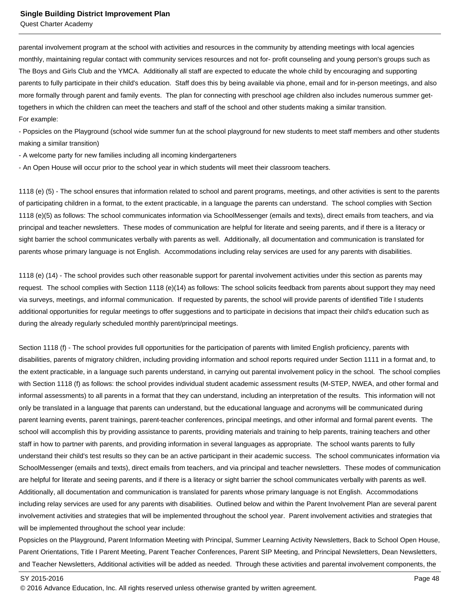parental involvement program at the school with activities and resources in the community by attending meetings with local agencies monthly, maintaining regular contact with community services resources and not for- profit counseling and young person's groups such as The Boys and Girls Club and the YMCA. Additionally all staff are expected to educate the whole child by encouraging and supporting parents to fully participate in their child's education. Staff does this by being available via phone, email and for in-person meetings, and also more formally through parent and family events. The plan for connecting with preschool age children also includes numerous summer gettogethers in which the children can meet the teachers and staff of the school and other students making a similar transition. For example:

- Popsicles on the Playground (school wide summer fun at the school playground for new students to meet staff members and other students making a similar transition)

- A welcome party for new families including all incoming kindergarteners

- An Open House will occur prior to the school year in which students will meet their classroom teachers.

1118 (e) (5) - The school ensures that information related to school and parent programs, meetings, and other activities is sent to the parents of participating children in a format, to the extent practicable, in a language the parents can understand. The school complies with Section 1118 (e)(5) as follows: The school communicates information via SchoolMessenger (emails and texts), direct emails from teachers, and via principal and teacher newsletters. These modes of communication are helpful for literate and seeing parents, and if there is a literacy or sight barrier the school communicates verbally with parents as well. Additionally, all documentation and communication is translated for parents whose primary language is not English. Accommodations including relay services are used for any parents with disabilities.

1118 (e) (14) - The school provides such other reasonable support for parental involvement activities under this section as parents may request. The school complies with Section 1118 (e)(14) as follows: The school solicits feedback from parents about support they may need via surveys, meetings, and informal communication. If requested by parents, the school will provide parents of identified Title I students additional opportunities for regular meetings to offer suggestions and to participate in decisions that impact their child's education such as during the already regularly scheduled monthly parent/principal meetings.

Section 1118 (f) - The school provides full opportunities for the participation of parents with limited English proficiency, parents with disabilities, parents of migratory children, including providing information and school reports required under Section 1111 in a format and, to the extent practicable, in a language such parents understand, in carrying out parental involvement policy in the school. The school complies with Section 1118 (f) as follows: the school provides individual student academic assessment results (M-STEP, NWEA, and other formal and informal assessments) to all parents in a format that they can understand, including an interpretation of the results. This information will not only be translated in a language that parents can understand, but the educational language and acronyms will be communicated during parent learning events, parent trainings, parent-teacher conferences, principal meetings, and other informal and formal parent events. The school will accomplish this by providing assistance to parents, providing materials and training to help parents, training teachers and other staff in how to partner with parents, and providing information in several languages as appropriate. The school wants parents to fully understand their child's test results so they can be an active participant in their academic success. The school communicates information via SchoolMessenger (emails and texts), direct emails from teachers, and via principal and teacher newsletters. These modes of communication are helpful for literate and seeing parents, and if there is a literacy or sight barrier the school communicates verbally with parents as well. Additionally, all documentation and communication is translated for parents whose primary language is not English. Accommodations including relay services are used for any parents with disabilities. Outlined below and within the Parent Involvement Plan are several parent involvement activities and strategies that will be implemented throughout the school year. Parent involvement activities and strategies that will be implemented throughout the school year include:

Popsicles on the Playground, Parent Information Meeting with Principal, Summer Learning Activity Newsletters, Back to School Open House, Parent Orientations, Title I Parent Meeting, Parent Teacher Conferences, Parent SIP Meeting, and Principal Newsletters, Dean Newsletters, and Teacher Newsletters, Additional activities will be added as needed. Through these activities and parental involvement components, the

<sup>© 2016</sup> Advance Education, Inc. All rights reserved unless otherwise granted by written agreement.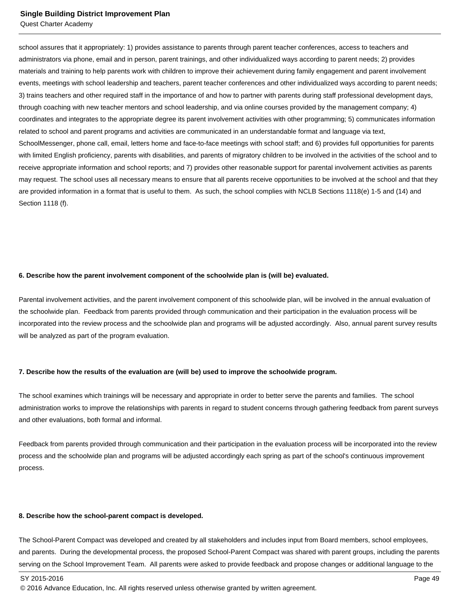#### **Single Building District Improvement Plan**

Quest Charter Academy

school assures that it appropriately: 1) provides assistance to parents through parent teacher conferences, access to teachers and administrators via phone, email and in person, parent trainings, and other individualized ways according to parent needs; 2) provides materials and training to help parents work with children to improve their achievement during family engagement and parent involvement events, meetings with school leadership and teachers, parent teacher conferences and other individualized ways according to parent needs; 3) trains teachers and other required staff in the importance of and how to partner with parents during staff professional development days, through coaching with new teacher mentors and school leadership, and via online courses provided by the management company; 4) coordinates and integrates to the appropriate degree its parent involvement activities with other programming; 5) communicates information related to school and parent programs and activities are communicated in an understandable format and language via text, SchoolMessenger, phone call, email, letters home and face-to-face meetings with school staff; and 6) provides full opportunities for parents with limited English proficiency, parents with disabilities, and parents of migratory children to be involved in the activities of the school and to receive appropriate information and school reports; and 7) provides other reasonable support for parental involvement activities as parents may request. The school uses all necessary means to ensure that all parents receive opportunities to be involved at the school and that they are provided information in a format that is useful to them. As such, the school complies with NCLB Sections 1118(e) 1-5 and (14) and Section 1118 (f).

#### **6. Describe how the parent involvement component of the schoolwide plan is (will be) evaluated.**

Parental involvement activities, and the parent involvement component of this schoolwide plan, will be involved in the annual evaluation of the schoolwide plan. Feedback from parents provided through communication and their participation in the evaluation process will be incorporated into the review process and the schoolwide plan and programs will be adjusted accordingly. Also, annual parent survey results will be analyzed as part of the program evaluation.

#### **7. Describe how the results of the evaluation are (will be) used to improve the schoolwide program.**

The school examines which trainings will be necessary and appropriate in order to better serve the parents and families. The school administration works to improve the relationships with parents in regard to student concerns through gathering feedback from parent surveys and other evaluations, both formal and informal.

Feedback from parents provided through communication and their participation in the evaluation process will be incorporated into the review process and the schoolwide plan and programs will be adjusted accordingly each spring as part of the school's continuous improvement process.

#### **8. Describe how the school-parent compact is developed.**

The School-Parent Compact was developed and created by all stakeholders and includes input from Board members, school employees, and parents. During the developmental process, the proposed School-Parent Compact was shared with parent groups, including the parents serving on the School Improvement Team. All parents were asked to provide feedback and propose changes or additional language to the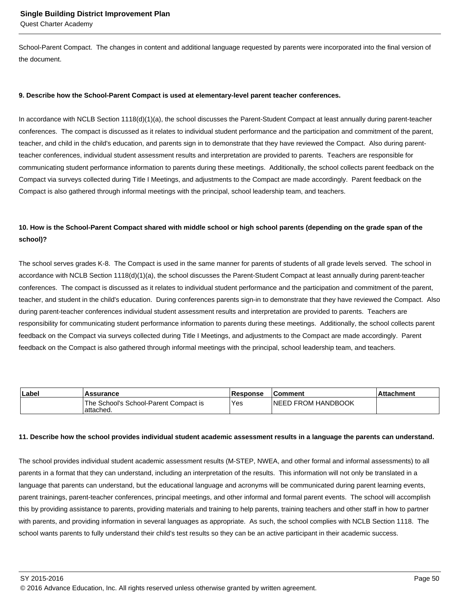School-Parent Compact. The changes in content and additional language requested by parents were incorporated into the final version of the document.

#### **9. Describe how the School-Parent Compact is used at elementary-level parent teacher conferences.**

In accordance with NCLB Section 1118(d)(1)(a), the school discusses the Parent-Student Compact at least annually during parent-teacher conferences. The compact is discussed as it relates to individual student performance and the participation and commitment of the parent, teacher, and child in the child's education, and parents sign in to demonstrate that they have reviewed the Compact. Also during parentteacher conferences, individual student assessment results and interpretation are provided to parents. Teachers are responsible for communicating student performance information to parents during these meetings. Additionally, the school collects parent feedback on the Compact via surveys collected during Title I Meetings, and adjustments to the Compact are made accordingly. Parent feedback on the Compact is also gathered through informal meetings with the principal, school leadership team, and teachers.

## **10. How is the School-Parent Compact shared with middle school or high school parents (depending on the grade span of the school)?**

The school serves grades K-8. The Compact is used in the same manner for parents of students of all grade levels served. The school in accordance with NCLB Section 1118(d)(1)(a), the school discusses the Parent-Student Compact at least annually during parent-teacher conferences. The compact is discussed as it relates to individual student performance and the participation and commitment of the parent, teacher, and student in the child's education. During conferences parents sign-in to demonstrate that they have reviewed the Compact. Also during parent-teacher conferences individual student assessment results and interpretation are provided to parents. Teachers are responsibility for communicating student performance information to parents during these meetings. Additionally, the school collects parent feedback on the Compact via surveys collected during Title I Meetings, and adjustments to the Compact are made accordingly. Parent feedback on the Compact is also gathered through informal meetings with the principal, school leadership team, and teachers.

| Label | <b>Assurance</b>                                    | <b>Response</b> | ∣Comment                   | .Attachment |
|-------|-----------------------------------------------------|-----------------|----------------------------|-------------|
|       | The School's School-Parent Compact is<br>'attached. | Yes             | <b>INEED FROM HANDBOOK</b> |             |

#### **11. Describe how the school provides individual student academic assessment results in a language the parents can understand.**

The school provides individual student academic assessment results (M-STEP, NWEA, and other formal and informal assessments) to all parents in a format that they can understand, including an interpretation of the results. This information will not only be translated in a language that parents can understand, but the educational language and acronyms will be communicated during parent learning events, parent trainings, parent-teacher conferences, principal meetings, and other informal and formal parent events. The school will accomplish this by providing assistance to parents, providing materials and training to help parents, training teachers and other staff in how to partner with parents, and providing information in several languages as appropriate. As such, the school complies with NCLB Section 1118. The school wants parents to fully understand their child's test results so they can be an active participant in their academic success.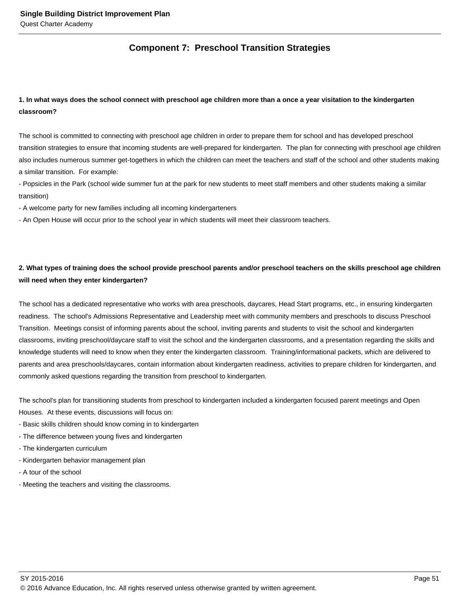# **Component 7: Preschool Transition Strategies**

# **1. In what ways does the school connect with preschool age children more than a once a year visitation to the kindergarten classroom?**

The school is committed to connecting with preschool age children in order to prepare them for school and has developed preschool transition strategies to ensure that incoming students are well-prepared for kindergarten. The plan for connecting with preschool age children also includes numerous summer get-togethers in which the children can meet the teachers and staff of the school and other students making a similar transition. For example:

- Popsicles in the Park (school wide summer fun at the park for new students to meet staff members and other students making a similar transition)

- A welcome party for new families including all incoming kindergarteners

- An Open House will occur prior to the school year in which students will meet their classroom teachers.

# **2. What types of training does the school provide preschool parents and/or preschool teachers on the skills preschool age children will need when they enter kindergarten?**

The school has a dedicated representative who works with area preschools, daycares, Head Start programs, etc., in ensuring kindergarten readiness. The school's Admissions Representative and Leadership meet with community members and preschools to discuss Preschool Transition. Meetings consist of informing parents about the school, inviting parents and students to visit the school and kindergarten classrooms, inviting preschool/daycare staff to visit the school and the kindergarten classrooms, and a presentation regarding the skills and knowledge students will need to know when they enter the kindergarten classroom. Training/informational packets, which are delivered to parents and area preschools/daycares, contain information about kindergarten readiness, activities to prepare children for kindergarten, and commonly asked questions regarding the transition from preschool to kindergarten.

The school's plan for transitioning students from preschool to kindergarten included a kindergarten focused parent meetings and Open Houses. At these events, discussions will focus on:

- Basic skills children should know coming in to kindergarten
- The difference between young fives and kindergarten
- The kindergarten curriculum
- Kindergarten behavior management plan
- A tour of the school
- Meeting the teachers and visiting the classrooms.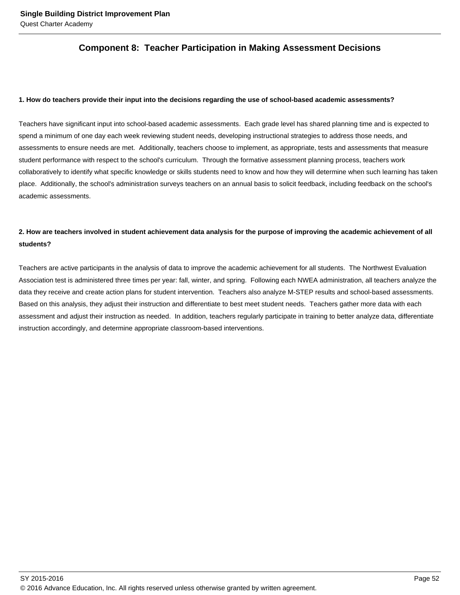# **Component 8: Teacher Participation in Making Assessment Decisions**

#### **1. How do teachers provide their input into the decisions regarding the use of school-based academic assessments?**

Teachers have significant input into school-based academic assessments. Each grade level has shared planning time and is expected to spend a minimum of one day each week reviewing student needs, developing instructional strategies to address those needs, and assessments to ensure needs are met. Additionally, teachers choose to implement, as appropriate, tests and assessments that measure student performance with respect to the school's curriculum. Through the formative assessment planning process, teachers work collaboratively to identify what specific knowledge or skills students need to know and how they will determine when such learning has taken place. Additionally, the school's administration surveys teachers on an annual basis to solicit feedback, including feedback on the school's academic assessments.

# **2. How are teachers involved in student achievement data analysis for the purpose of improving the academic achievement of all students?**

Teachers are active participants in the analysis of data to improve the academic achievement for all students. The Northwest Evaluation Association test is administered three times per year: fall, winter, and spring. Following each NWEA administration, all teachers analyze the data they receive and create action plans for student intervention. Teachers also analyze M-STEP results and school-based assessments. Based on this analysis, they adjust their instruction and differentiate to best meet student needs. Teachers gather more data with each assessment and adjust their instruction as needed. In addition, teachers regularly participate in training to better analyze data, differentiate instruction accordingly, and determine appropriate classroom-based interventions.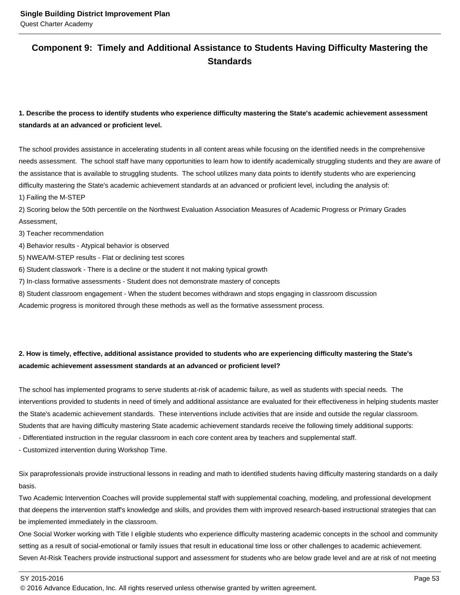# **Component 9: Timely and Additional Assistance to Students Having Difficulty Mastering the Standards**

# **1. Describe the process to identify students who experience difficulty mastering the State's academic achievement assessment standards at an advanced or proficient level.**

The school provides assistance in accelerating students in all content areas while focusing on the identified needs in the comprehensive needs assessment. The school staff have many opportunities to learn how to identify academically struggling students and they are aware of the assistance that is available to struggling students. The school utilizes many data points to identify students who are experiencing difficulty mastering the State's academic achievement standards at an advanced or proficient level, including the analysis of:

1) Failing the M-STEP

2) Scoring below the 50th percentile on the Northwest Evaluation Association Measures of Academic Progress or Primary Grades Assessment,

3) Teacher recommendation

4) Behavior results - Atypical behavior is observed

5) NWEA/M-STEP results - Flat or declining test scores

6) Student classwork - There is a decline or the student it not making typical growth

7) In-class formative assessments - Student does not demonstrate mastery of concepts

8) Student classroom engagement - When the student becomes withdrawn and stops engaging in classroom discussion

Academic progress is monitored through these methods as well as the formative assessment process.

# **2. How is timely, effective, additional assistance provided to students who are experiencing difficulty mastering the State's academic achievement assessment standards at an advanced or proficient level?**

The school has implemented programs to serve students at-risk of academic failure, as well as students with special needs. The interventions provided to students in need of timely and additional assistance are evaluated for their effectiveness in helping students master the State's academic achievement standards. These interventions include activities that are inside and outside the regular classroom. Students that are having difficulty mastering State academic achievement standards receive the following timely additional supports:

- Differentiated instruction in the regular classroom in each core content area by teachers and supplemental staff.

- Customized intervention during Workshop Time.

Six paraprofessionals provide instructional lessons in reading and math to identified students having difficulty mastering standards on a daily basis.

Two Academic Intervention Coaches will provide supplemental staff with supplemental coaching, modeling, and professional development that deepens the intervention staff's knowledge and skills, and provides them with improved research-based instructional strategies that can be implemented immediately in the classroom.

One Social Worker working with Title I eligible students who experience difficulty mastering academic concepts in the school and community setting as a result of social-emotional or family issues that result in educational time loss or other challenges to academic achievement. Seven At-Risk Teachers provide instructional support and assessment for students who are below grade level and are at risk of not meeting

<sup>© 2016</sup> Advance Education, Inc. All rights reserved unless otherwise granted by written agreement.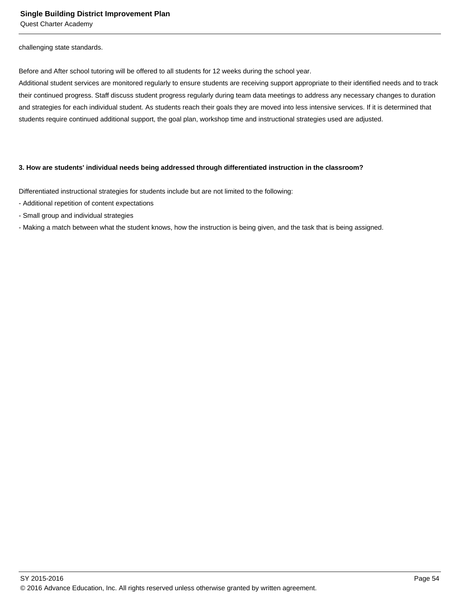challenging state standards.

Before and After school tutoring will be offered to all students for 12 weeks during the school year.

Additional student services are monitored regularly to ensure students are receiving support appropriate to their identified needs and to track their continued progress. Staff discuss student progress regularly during team data meetings to address any necessary changes to duration and strategies for each individual student. As students reach their goals they are moved into less intensive services. If it is determined that students require continued additional support, the goal plan, workshop time and instructional strategies used are adjusted.

#### **3. How are students' individual needs being addressed through differentiated instruction in the classroom?**

Differentiated instructional strategies for students include but are not limited to the following:

- Additional repetition of content expectations
- Small group and individual strategies
- Making a match between what the student knows, how the instruction is being given, and the task that is being assigned.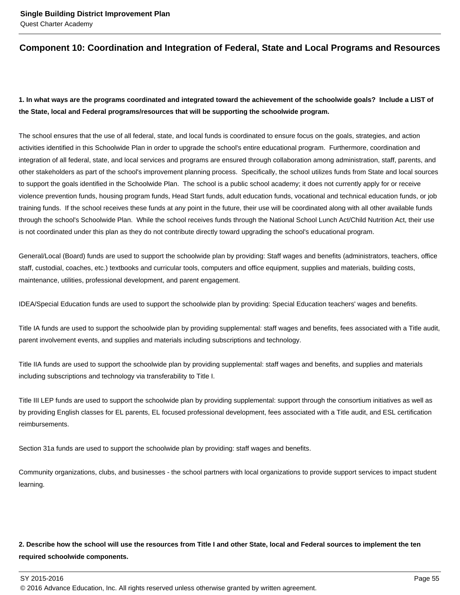# **Component 10: Coordination and Integration of Federal, State and Local Programs and Resources**

# **1. In what ways are the programs coordinated and integrated toward the achievement of the schoolwide goals? Include a LIST of the State, local and Federal programs/resources that will be supporting the schoolwide program.**

The school ensures that the use of all federal, state, and local funds is coordinated to ensure focus on the goals, strategies, and action activities identified in this Schoolwide Plan in order to upgrade the school's entire educational program. Furthermore, coordination and integration of all federal, state, and local services and programs are ensured through collaboration among administration, staff, parents, and other stakeholders as part of the school's improvement planning process. Specifically, the school utilizes funds from State and local sources to support the goals identified in the Schoolwide Plan. The school is a public school academy; it does not currently apply for or receive violence prevention funds, housing program funds, Head Start funds, adult education funds, vocational and technical education funds, or job training funds. If the school receives these funds at any point in the future, their use will be coordinated along with all other available funds through the school's Schoolwide Plan. While the school receives funds through the National School Lunch Act/Child Nutrition Act, their use is not coordinated under this plan as they do not contribute directly toward upgrading the school's educational program.

General/Local (Board) funds are used to support the schoolwide plan by providing: Staff wages and benefits (administrators, teachers, office staff, custodial, coaches, etc.) textbooks and curricular tools, computers and office equipment, supplies and materials, building costs, maintenance, utilities, professional development, and parent engagement.

IDEA/Special Education funds are used to support the schoolwide plan by providing: Special Education teachers' wages and benefits.

Title IA funds are used to support the schoolwide plan by providing supplemental: staff wages and benefits, fees associated with a Title audit, parent involvement events, and supplies and materials including subscriptions and technology.

Title IIA funds are used to support the schoolwide plan by providing supplemental: staff wages and benefits, and supplies and materials including subscriptions and technology via transferability to Title I.

Title III LEP funds are used to support the schoolwide plan by providing supplemental: support through the consortium initiatives as well as by providing English classes for EL parents, EL focused professional development, fees associated with a Title audit, and ESL certification reimbursements.

Section 31a funds are used to support the schoolwide plan by providing: staff wages and benefits.

Community organizations, clubs, and businesses - the school partners with local organizations to provide support services to impact student learning.

# **2. Describe how the school will use the resources from Title I and other State, local and Federal sources to implement the ten required schoolwide components.**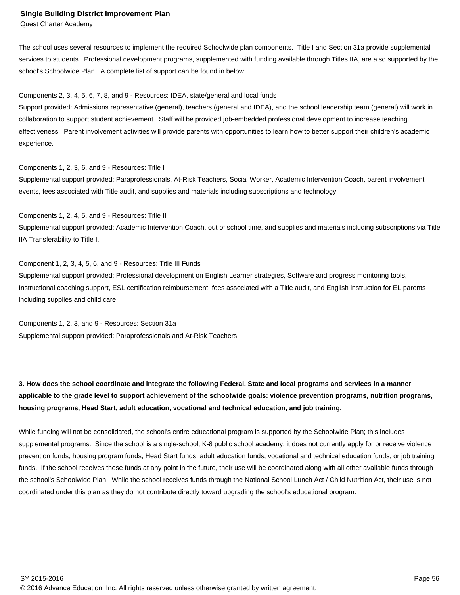#### **Single Building District Improvement Plan**

Quest Charter Academy

The school uses several resources to implement the required Schoolwide plan components. Title I and Section 31a provide supplemental services to students. Professional development programs, supplemented with funding available through Titles IIA, are also supported by the school's Schoolwide Plan. A complete list of support can be found in below.

#### Components 2, 3, 4, 5, 6, 7, 8, and 9 - Resources: IDEA, state/general and local funds

Support provided: Admissions representative (general), teachers (general and IDEA), and the school leadership team (general) will work in collaboration to support student achievement. Staff will be provided job-embedded professional development to increase teaching effectiveness. Parent involvement activities will provide parents with opportunities to learn how to better support their children's academic experience.

Components 1, 2, 3, 6, and 9 - Resources: Title I

Supplemental support provided: Paraprofessionals, At-Risk Teachers, Social Worker, Academic Intervention Coach, parent involvement events, fees associated with Title audit, and supplies and materials including subscriptions and technology.

Components 1, 2, 4, 5, and 9 - Resources: Title II Supplemental support provided: Academic Intervention Coach, out of school time, and supplies and materials including subscriptions via Title IIA Transferability to Title I.

Component 1, 2, 3, 4, 5, 6, and 9 - Resources: Title III Funds Supplemental support provided: Professional development on English Learner strategies, Software and progress monitoring tools, Instructional coaching support, ESL certification reimbursement, fees associated with a Title audit, and English instruction for EL parents including supplies and child care.

Components 1, 2, 3, and 9 - Resources: Section 31a Supplemental support provided: Paraprofessionals and At-Risk Teachers.

**3. How does the school coordinate and integrate the following Federal, State and local programs and services in a manner applicable to the grade level to support achievement of the schoolwide goals: violence prevention programs, nutrition programs, housing programs, Head Start, adult education, vocational and technical education, and job training.** 

While funding will not be consolidated, the school's entire educational program is supported by the Schoolwide Plan; this includes supplemental programs. Since the school is a single-school, K-8 public school academy, it does not currently apply for or receive violence prevention funds, housing program funds, Head Start funds, adult education funds, vocational and technical education funds, or job training funds. If the school receives these funds at any point in the future, their use will be coordinated along with all other available funds through the school's Schoolwide Plan. While the school receives funds through the National School Lunch Act / Child Nutrition Act, their use is not coordinated under this plan as they do not contribute directly toward upgrading the school's educational program.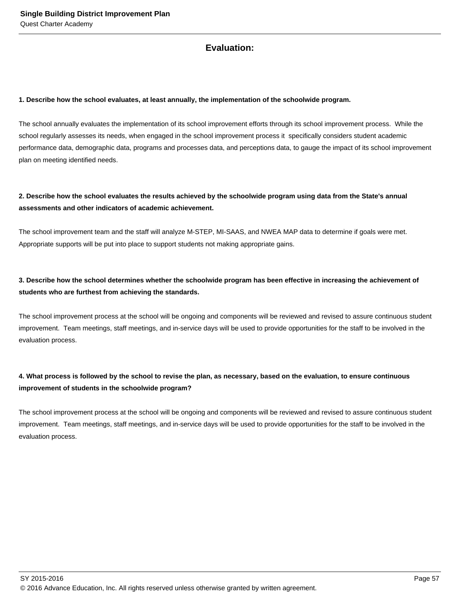# **Evaluation:**

#### **1. Describe how the school evaluates, at least annually, the implementation of the schoolwide program.**

The school annually evaluates the implementation of its school improvement efforts through its school improvement process. While the school regularly assesses its needs, when engaged in the school improvement process it specifically considers student academic performance data, demographic data, programs and processes data, and perceptions data, to gauge the impact of its school improvement plan on meeting identified needs.

## **2. Describe how the school evaluates the results achieved by the schoolwide program using data from the State's annual assessments and other indicators of academic achievement.**

The school improvement team and the staff will analyze M-STEP, MI-SAAS, and NWEA MAP data to determine if goals were met. Appropriate supports will be put into place to support students not making appropriate gains.

# **3. Describe how the school determines whether the schoolwide program has been effective in increasing the achievement of students who are furthest from achieving the standards.**

The school improvement process at the school will be ongoing and components will be reviewed and revised to assure continuous student improvement. Team meetings, staff meetings, and in-service days will be used to provide opportunities for the staff to be involved in the evaluation process.

# **4. What process is followed by the school to revise the plan, as necessary, based on the evaluation, to ensure continuous improvement of students in the schoolwide program?**

The school improvement process at the school will be ongoing and components will be reviewed and revised to assure continuous student improvement. Team meetings, staff meetings, and in-service days will be used to provide opportunities for the staff to be involved in the evaluation process.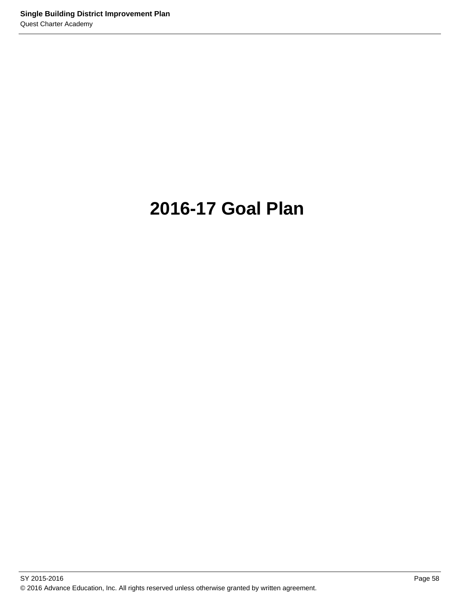# **2016-17 Goal Plan**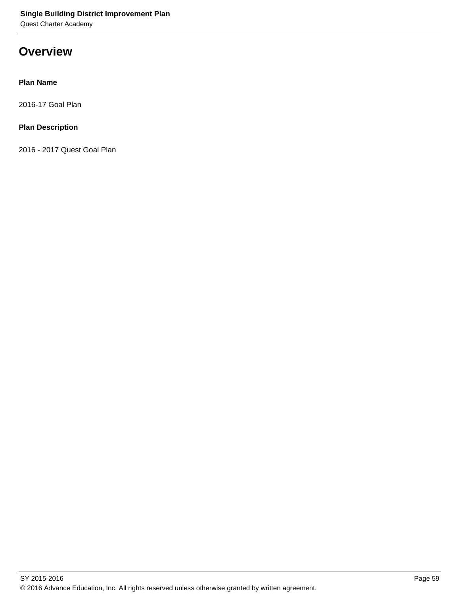# **Overview**

## **Plan Name**

2016-17 Goal Plan

## **Plan Description**

2016 - 2017 Quest Goal Plan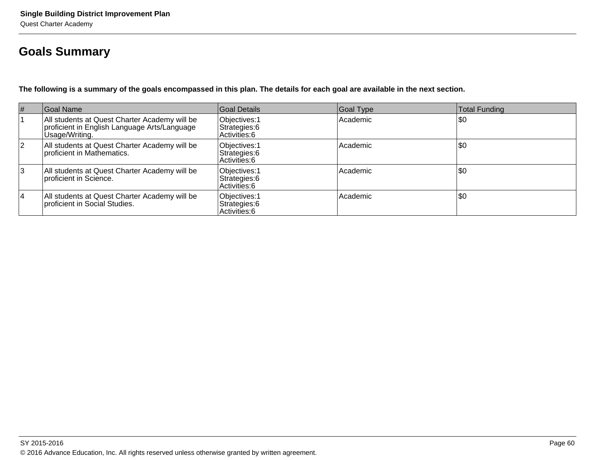# **Goals Summary**

**The following is a summary of the goals encompassed in this plan. The details for each goal are available in the next section.**

| #         | Goal Name                                                                                                       | Goal Details                                    | Goal Type | <b>Total Funding</b> |
|-----------|-----------------------------------------------------------------------------------------------------------------|-------------------------------------------------|-----------|----------------------|
|           | All students at Quest Charter Academy will be<br>proficient in English Language Arts/Language<br>Usage/Writing. | Objectives: 1<br>Strategies: 6<br>Activities: 6 | Academic  | \$0                  |
| <u> 2</u> | All students at Quest Charter Academy will be<br>proficient in Mathematics.                                     | Objectives: 1<br>Strategies: 6<br>Activities: 6 | Academic  | \$0                  |
| 3         | All students at Quest Charter Academy will be<br>proficient in Science.                                         | Objectives: 1<br>Strategies: 6<br>Activities: 6 | Academic  | \$0                  |
| 14        | All students at Quest Charter Academy will be<br>proficient in Social Studies.                                  | Objectives: 1<br>Strategies: 6<br>Activities: 6 | Academic  | \$0                  |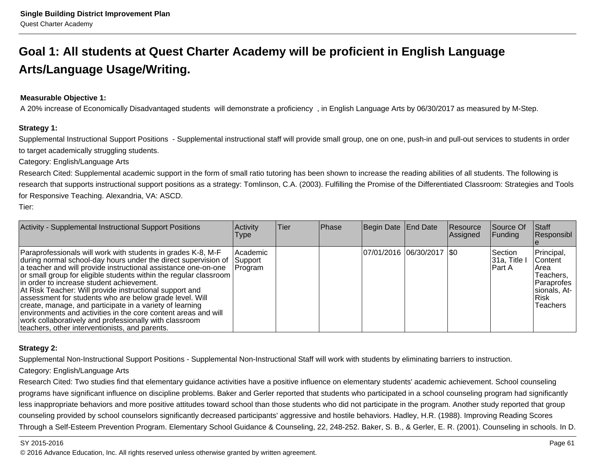# **Goal 1: All students at Quest Charter Academy will be proficient in English LanguageArts/Language Usage/Writing.**

## **Measurable Objective 1:**

A 20% increase of Economically Disadvantaged students will demonstrate a proficiency , in English Language Arts by 06/30/2017 as measured by M-Step.

## **Strategy 1:**

Supplemental Instructional Support Positions - Supplemental instructional staff will provide small group, one on one, push-in and pull-out services to students in orderto target academically struggling students.

Category: English/Language Arts

Research Cited: Supplemental academic support in the form of small ratio tutoring has been shown to increase the reading abilities of all students. The following isresearch that supports instructional support positions as a strategy: Tomlinson, C.A. (2003). Fulfilling the Promise of the Differentiated Classroom: Strategies and Tools for Responsive Teaching. Alexandria, VA: ASCD.

Tier:

| Activity - Supplemental Instructional Support Positions                                                                                                                                                                                                                                                                                                                                                                                                                                                                                                                                                                                                                               | Activity<br>Type               | Tier | Phase | Begin Date End Date |                             | Resource<br>Assigned | Source Of<br><b>Funding</b>             | <b>Staff</b><br>Responsibl                                                                                       |
|---------------------------------------------------------------------------------------------------------------------------------------------------------------------------------------------------------------------------------------------------------------------------------------------------------------------------------------------------------------------------------------------------------------------------------------------------------------------------------------------------------------------------------------------------------------------------------------------------------------------------------------------------------------------------------------|--------------------------------|------|-------|---------------------|-----------------------------|----------------------|-----------------------------------------|------------------------------------------------------------------------------------------------------------------|
| Paraprofessionals will work with students in grades K-8, M-F<br>during normal school-day hours under the direct supervision of<br>a teacher and will provide instructional assistance one-on-one<br>or small group for eligible students within the regular classroom  <br>lin order to increase student achievement.<br>At Risk Teacher: Will provide instructional support and<br>assessment for students who are below grade level. Will<br>create, manage, and participate in a variety of learning<br>environments and activities in the core content areas and will<br>work collaboratively and professionally with classroom<br>teachers, other interventionists, and parents. | Academic<br>Support<br>Program |      |       |                     | 07/01/2016  06/30/2017  \$0 |                      | <b>Section</b><br>31a, Title<br>IPart A | Principal,<br><b>IContent</b><br>IArea<br>Teachers,<br> Paraprofes <br>sionals, At-<br>l Risk<br><b>Teachers</b> |

## **Strategy 2:**

Supplemental Non-Instructional Support Positions - Supplemental Non-Instructional Staff will work with students by eliminating barriers to instruction.

## Category: English/Language Arts

Research Cited: Two studies find that elementary guidance activities have a positive influence on elementary students' academic achievement. School counseling programs have significant influence on discipline problems. Baker and Gerler reported that students who participated in a school counseling program had significantlyless inappropriate behaviors and more positive attitudes toward school than those students who did not participate in the program. Another study reported that groupcounseling provided by school counselors significantly decreased participants' aggressive and hostile behaviors. Hadley, H.R. (1988). Improving Reading ScoresThrough a Self-Esteem Prevention Program. Elementary School Guidance & Counseling, 22, 248-252. Baker, S. B., & Gerler, E. R. (2001). Counseling in schools. In D.

### SY 2015-2016

en and the state of the state of the state of the state of the state of the state of the state of the Page 61  $\,$ © 2016 Advance Education, Inc. All rights reserved unless otherwise granted by written agreement.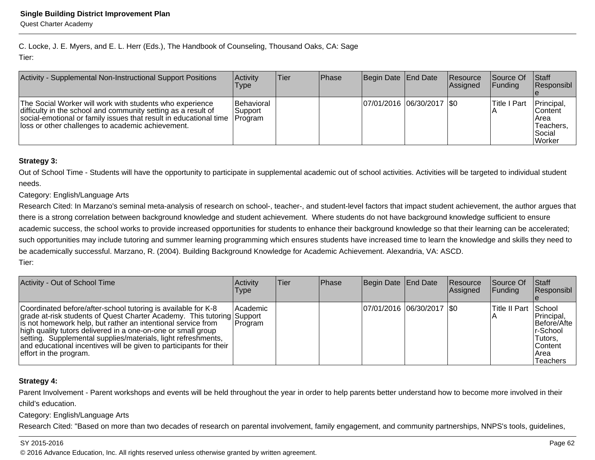C. Locke, J. E. Myers, and E. L. Herr (Eds.), The Handbook of Counseling, Thousand Oaks, CA: SageTier:

| Activity - Supplemental Non-Instructional Support Positions                                                                                                                                                                                         | Activity<br>Type                          | lTier: | <b>Phase</b> | Begin Date End Date         | Resource<br><b>Assigned</b> | Source Of<br><b>Funding</b> | <b>Staff</b><br>Responsibl                                          |
|-----------------------------------------------------------------------------------------------------------------------------------------------------------------------------------------------------------------------------------------------------|-------------------------------------------|--------|--------------|-----------------------------|-----------------------------|-----------------------------|---------------------------------------------------------------------|
| The Social Worker will work with students who experience<br>difficulty in the school and community setting as a result of<br>social-emotional or family issues that result in educational time<br>loss or other challenges to academic achievement. | Behavioral<br> Support<br><b>IProgram</b> |        |              | 07/01/2016 06/30/2017   \$0 |                             | Title I Part                | Principal,<br>lContent<br>Area<br>Teachers,<br>l Social<br>l Worker |

## **Strategy 3:**

Out of School Time - Students will have the opportunity to participate in supplemental academic out of school activities. Activities will be targeted to individual student needs.

## Category: English/Language Arts

Research Cited: In Marzano's seminal meta-analysis of research on school-, teacher-, and student-level factors that impact student achievement, the author argues thatthere is a strong correlation between background knowledge and student achievement. Where students do not have background knowledge sufficient to ensureacademic success, the school works to provide increased opportunities for students to enhance their background knowledge so that their learning can be accelerated;such opportunities may include tutoring and summer learning programming which ensures students have increased time to learn the knowledge and skills they need to be academically successful. Marzano, R. (2004). Building Background Knowledge for Academic Achievement. Alexandria, VA: ASCD. Tier:

| Activity - Out of School Time                                                                                                                                                                                                                                                                                                                                                                                                            | Activity<br><b>Type</b> | <b>Tier</b> | Phase | Begin Date End Date |                            | Resource<br><b>Assigned</b> | Source Of<br><b>Funding</b> | <b>Staff</b><br>Responsibl                                                               |
|------------------------------------------------------------------------------------------------------------------------------------------------------------------------------------------------------------------------------------------------------------------------------------------------------------------------------------------------------------------------------------------------------------------------------------------|-------------------------|-------------|-------|---------------------|----------------------------|-----------------------------|-----------------------------|------------------------------------------------------------------------------------------|
| Coordinated before/after-school tutoring is available for K-8<br>grade at-risk students of Quest Charter Academy. This tutoring Support<br>is not homework help, but rather an intentional service from<br>high quality tutors delivered in a one-on-one or small group<br>setting. Supplemental supplies/materials, light refreshments,<br>and educational incentives will be given to participants for their<br>effort in the program. | Academic<br> Program    |             |       |                     | 07/01/2016 06/30/2017 \\$0 |                             | Title II Part School        | Principal,<br>Before/Afte<br>Ir-School<br>Tutors.<br><b>Content</b><br>IArea<br>Teachers |

## **Strategy 4:**

Parent Involvement - Parent workshops and events will be held throughout the year in order to help parents better understand how to become more involved in their child's education.

## Category: English/Language Arts

Research Cited: "Based on more than two decades of research on parental involvement, family engagement, and community partnerships, NNPS's tools, guidelines,

## SY 2015-2016

en and the set of the set of the set of the set of the set of the set of the set of the set of the set of the set of the set of the set of the set of the set of the set of the set of the set of the set of the set of the se © 2016 Advance Education, Inc. All rights reserved unless otherwise granted by written agreement.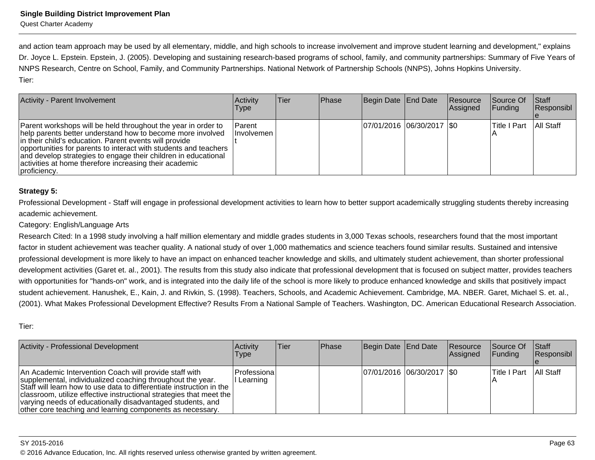and action team approach may be used by all elementary, middle, and high schools to increase involvement and improve student learning and development," explainsDr. Joyce L. Epstein. Epstein, J. (2005). Developing and sustaining research-based programs of school, family, and community partnerships: Summary of Five Years of NNPS Research, Centre on School, Family, and Community Partnerships. National Network of Partnership Schools (NNPS), Johns Hopkins University.Tier:

| Activity - Parent Involvement                                                                                                                                                                                                                                                                                                                                                                         | Activity<br>Type            | lTier. | <b>Phase</b> | Begin Date End Date           | Resource<br>Assigned | Source Of<br> Funding | Staff<br>Responsibl |
|-------------------------------------------------------------------------------------------------------------------------------------------------------------------------------------------------------------------------------------------------------------------------------------------------------------------------------------------------------------------------------------------------------|-----------------------------|--------|--------------|-------------------------------|----------------------|-----------------------|---------------------|
| Parent workshops will be held throughout the year in order to<br>help parents better understand how to become more involved<br>in their child's education. Parent events will provide<br>opportunities for parents to interact with students and teachers<br>and develop strategies to engage their children in educational<br>activities at home therefore increasing their academic<br>proficiency. | <b>Parent</b><br>Involvemen |        |              | $ 07/01/2016 06/30/2017 $ \$0 |                      | lTitle I Part         | <b>All Staff</b>    |

## **Strategy 5:**

Professional Development - Staff will engage in professional development activities to learn how to better support academically struggling students thereby increasingacademic achievement.

Category: English/Language Arts

Research Cited: In a 1998 study involving a half million elementary and middle grades students in 3,000 Texas schools, researchers found that the most importantfactor in student achievement was teacher quality. A national study of over 1,000 mathematics and science teachers found similar results. Sustained and intensiveprofessional development is more likely to have an impact on enhanced teacher knowledge and skills, and ultimately student achievement, than shorter professionaldevelopment activities (Garet et. al., 2001). The results from this study also indicate that professional development that is focused on subject matter, provides teacherswith opportunities for "hands-on" work, and is integrated into the daily life of the school is more likely to produce enhanced knowledge and skills that positively impact student achievement. Hanushek, E., Kain, J. and Rivkin, S. (1998). Teachers, Schools, and Academic Achievement. Cambridge, MA. NBER. Garet, Michael S. et. al.,(2001). What Makes Professional Development Effective? Results From a National Sample of Teachers. Washington, DC. American Educational Research Association.

Tier:

| Activity - Professional Development                                                                                                                                                                                                                                                                                                                                                            | Activitv<br>Type           | lTier. | <b>IPhase</b> | Begin Date End Date           | Resource<br>Assigned | Source Of<br><b>Funding</b> | <b>Staff</b><br>Responsibl |
|------------------------------------------------------------------------------------------------------------------------------------------------------------------------------------------------------------------------------------------------------------------------------------------------------------------------------------------------------------------------------------------------|----------------------------|--------|---------------|-------------------------------|----------------------|-----------------------------|----------------------------|
| An Academic Intervention Coach will provide staff with<br>supplemental, individualized coaching throughout the year.<br>Staff will learn how to use data to differentiate instruction in the<br>classroom, utilize effective instructional strategies that meet the<br>varying needs of educationally disadvantaged students, and<br>other core teaching and learning components as necessary. | Professiona <br>I Learning |        |               | $ 07/01/2016 06/30/2017 $ \$0 |                      | lTitle I Part               | All Staff                  |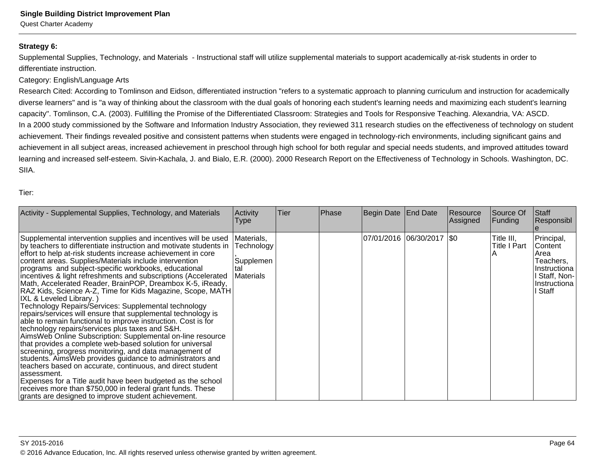## **Strategy 6:**

Supplemental Supplies, Technology, and Materials - Instructional staff will utilize supplemental materials to support academically at-risk students in order todifferentiate instruction.

## Category: English/Language Arts

Research Cited: According to Tomlinson and Eidson, differentiated instruction "refers to a systematic approach to planning curriculum and instruction for academicallydiverse learners" and is "a way of thinking about the classroom with the dual goals of honoring each student's learning needs and maximizing each student's learningcapacity". Tomlinson, C.A. (2003). Fulfilling the Promise of the Differentiated Classroom: Strategies and Tools for Responsive Teaching. Alexandria, VA: ASCD.In a 2000 study commissioned by the Software and Information Industry Association, they reviewed 311 research studies on the effectiveness of technology on studentachievement. Their findings revealed positive and consistent patterns when students were engaged in technology-rich environments, including significant gains and achievement in all subject areas, increased achievement in preschool through high school for both regular and special needs students, and improved attitudes toward learning and increased self-esteem. Sivin-Kachala, J. and Bialo, E.R. (2000). 2000 Research Report on the Effectiveness of Technology in Schools. Washington, DC.SIIA.

Tier:

| Activity - Supplemental Supplies, Technology, and Materials                                                                                                                                                                                                                                                                                                                                                                                                                                                                                                                                                                                                                                                                                                                                                                                                                                                                                                                                                                                                                                                                                                                                                                                                                                                    | Activity<br>Type                                           | Tier | <b>Phase</b> | Begin Date End Date         | Resource<br> Assigned | Source Of<br>Funding              | Staff<br> Responsibl_                                                                                  |
|----------------------------------------------------------------------------------------------------------------------------------------------------------------------------------------------------------------------------------------------------------------------------------------------------------------------------------------------------------------------------------------------------------------------------------------------------------------------------------------------------------------------------------------------------------------------------------------------------------------------------------------------------------------------------------------------------------------------------------------------------------------------------------------------------------------------------------------------------------------------------------------------------------------------------------------------------------------------------------------------------------------------------------------------------------------------------------------------------------------------------------------------------------------------------------------------------------------------------------------------------------------------------------------------------------------|------------------------------------------------------------|------|--------------|-----------------------------|-----------------------|-----------------------------------|--------------------------------------------------------------------------------------------------------|
| Supplemental intervention supplies and incentives will be used<br>by teachers to differentiate instruction and motivate students in<br>effort to help at-risk students increase achievement in core<br>content areas. Supplies/Materials include intervention<br>programs and subject-specific workbooks, educational<br>incentives & light refreshments and subscriptions (Accelerated<br>Math, Accelerated Reader, BrainPOP, Dreambox K-5, iReady,<br>RAZ Kids, Science A-Z, Time for Kids Magazine, Scope, MATH<br>IXL & Leveled Library.)<br>Technology Repairs/Services: Supplemental technology<br>repairs/services will ensure that supplemental technology is<br>able to remain functional to improve instruction. Cost is for<br>technology repairs/services plus taxes and S&H.<br>AimsWeb Online Subscription: Supplemental on-line resource<br>that provides a complete web-based solution for universal<br>screening, progress monitoring, and data management of<br>students. Aims Web provides guidance to administrators and<br>teachers based on accurate, continuous, and direct student<br>lassessment.<br>Expenses for a Title audit have been budgeted as the school<br>receives more than \$750,000 in federal grant funds. These<br>grants are designed to improve student achievement. | Materials,<br>Technology<br>Supplemen<br>ltal<br>Materials |      |              | 07/01/2016  06/30/2017  \$0 |                       | Title III,<br><b>Title I Part</b> | Principal,<br>Content<br>Area<br>Teachers,<br>Instructiona<br>I Staff, Non-<br>Instructiona<br>I Staff |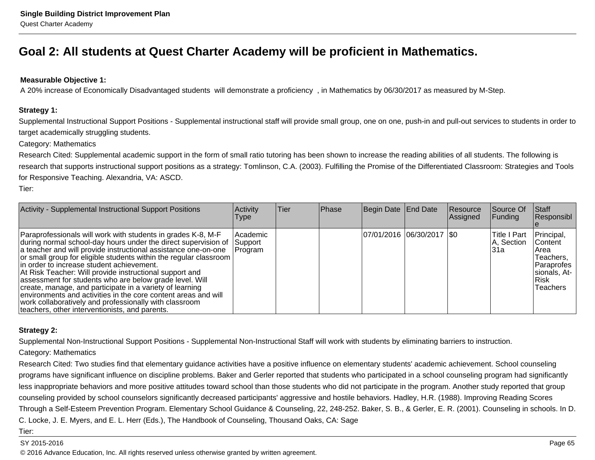# **Goal 2: All students at Quest Charter Academy will be proficient in Mathematics.**

## **Measurable Objective 1:**

A 20% increase of Economically Disadvantaged students will demonstrate a proficiency , in Mathematics by 06/30/2017 as measured by M-Step.

### **Strategy 1:**

Supplemental Instructional Support Positions - Supplemental instructional staff will provide small group, one on one, push-in and pull-out services to students in order totarget academically struggling students.

## Category: Mathematics

Research Cited: Supplemental academic support in the form of small ratio tutoring has been shown to increase the reading abilities of all students. The following isresearch that supports instructional support positions as a strategy: Tomlinson, C.A. (2003). Fulfilling the Promise of the Differentiated Classroom: Strategies and Toolsfor Responsive Teaching. Alexandria, VA: ASCD.

Tier:

| Activity - Supplemental Instructional Support Positions                                                                                                                                                                                                                                                                                                                                                                                                                                                                                                                                                                                                                               | Activity<br>Type                 | Tier | Phase | Begin Date End Date         | Resource<br>Assigned | Source Of<br> Funding              | Staff<br>Responsibl                                                                                          |
|---------------------------------------------------------------------------------------------------------------------------------------------------------------------------------------------------------------------------------------------------------------------------------------------------------------------------------------------------------------------------------------------------------------------------------------------------------------------------------------------------------------------------------------------------------------------------------------------------------------------------------------------------------------------------------------|----------------------------------|------|-------|-----------------------------|----------------------|------------------------------------|--------------------------------------------------------------------------------------------------------------|
| Paraprofessionals will work with students in grades K-8, M-F<br>during normal school-day hours under the direct supervision of<br>a teacher and will provide instructional assistance one-on-one<br>or small group for eligible students within the regular classroom  <br>lin order to increase student achievement.<br>At Risk Teacher: Will provide instructional support and<br>assessment for students who are below grade level. Will<br>create, manage, and participate in a variety of learning<br>environments and activities in the core content areas and will<br>work collaboratively and professionally with classroom<br>teachers, other interventionists, and parents. | Academic <br>Support<br> Program |      |       | 07/01/2016  06/30/2017  \$0 |                      | Title I Part<br>A, Section<br>l31a | Principal,<br><b>IContent</b><br>IArea<br>Teachers,<br>Paraprofes<br>sionals, At-<br>Risk<br><b>Teachers</b> |

## **Strategy 2:**

Supplemental Non-Instructional Support Positions - Supplemental Non-Instructional Staff will work with students by eliminating barriers to instruction.

## Category: Mathematics

Research Cited: Two studies find that elementary guidance activities have a positive influence on elementary students' academic achievement. School counseling programs have significant influence on discipline problems. Baker and Gerler reported that students who participated in a school counseling program had significantlyless inappropriate behaviors and more positive attitudes toward school than those students who did not participate in the program. Another study reported that groupcounseling provided by school counselors significantly decreased participants' aggressive and hostile behaviors. Hadley, H.R. (1988). Improving Reading ScoresThrough a Self-Esteem Prevention Program. Elementary School Guidance & Counseling, 22, 248-252. Baker, S. B., & Gerler, E. R. (2001). Counseling in schools. In D.C. Locke, J. E. Myers, and E. L. Herr (Eds.), The Handbook of Counseling, Thousand Oaks, CA: Sage

### Tier:

### SY 2015-2016

6 and the contract of the contract of the contract of the contract of the contract of the contract of the contract of the contract of the contract of the contract of the contract of the contract of the contract of the cont © 2016 Advance Education, Inc. All rights reserved unless otherwise granted by written agreement.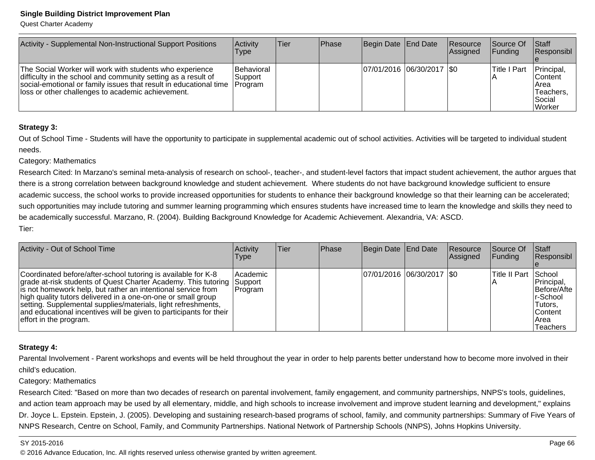## **Single Building District Improvement Plan**

Quest Charter Academy

| Activity - Supplemental Non-Instructional Support Positions                                                                                                                                                                                         | Activity<br>Type                        | ∣Tier | <b>Phase</b> | Begin Date End Date        | Resource<br>Assigned | <b>Source Of</b><br> Funding | <b>Staff</b><br><b>Responsibl</b>                                |
|-----------------------------------------------------------------------------------------------------------------------------------------------------------------------------------------------------------------------------------------------------|-----------------------------------------|-------|--------------|----------------------------|----------------------|------------------------------|------------------------------------------------------------------|
| The Social Worker will work with students who experience<br>difficulty in the school and community setting as a result of<br>social-emotional or family issues that result in educational time<br>loss or other challenges to academic achievement. | Behavioral<br>Support<br><b>Program</b> |       |              | 07/01/2016 06/30/2017 \\$0 |                      | lTitle I Part                | Principal,<br>lContent<br>Area<br>lTeachers.<br>Social<br>Worker |

## **Strategy 3:**

Out of School Time - Students will have the opportunity to participate in supplemental academic out of school activities. Activities will be targeted to individual studentneeds.

## Category: Mathematics

Research Cited: In Marzano's seminal meta-analysis of research on school-, teacher-, and student-level factors that impact student achievement, the author argues thatthere is a strong correlation between background knowledge and student achievement. Where students do not have background knowledge sufficient to ensureacademic success, the school works to provide increased opportunities for students to enhance their background knowledge so that their learning can be accelerated;such opportunities may include tutoring and summer learning programming which ensures students have increased time to learn the knowledge and skills they need to be academically successful. Marzano, R. (2004). Building Background Knowledge for Academic Achievement. Alexandria, VA: ASCD. Tier:

| Activity - Out of School Time                                                                                                                                                                                                                                                                                                                                                                                                            | Activity<br><b>Type</b> | Tier | Phase | Begin Date End Date |                               | Resource<br>Assigned | Source Of<br><b>Funding</b> | <b>Staff</b><br>Responsibl                                                              |
|------------------------------------------------------------------------------------------------------------------------------------------------------------------------------------------------------------------------------------------------------------------------------------------------------------------------------------------------------------------------------------------------------------------------------------------|-------------------------|------|-------|---------------------|-------------------------------|----------------------|-----------------------------|-----------------------------------------------------------------------------------------|
| Coordinated before/after-school tutoring is available for K-8<br>grade at-risk students of Quest Charter Academy. This tutoring Support<br>is not homework help, but rather an intentional service from<br>high quality tutors delivered in a one-on-one or small group<br>setting. Supplemental supplies/materials, light refreshments,<br>and educational incentives will be given to participants for their<br>effort in the program. | Academic<br> Program    |      |       |                     | $ 07/01/2016 06/30/2017 $ \$0 |                      | <b>Title II Part School</b> | Principal,<br>Before/Afte<br>Ir-School<br>Tutors,<br><b>Content</b><br>Area<br>Teachers |

## **Strategy 4:**

Parental Involvement - Parent workshops and events will be held throughout the year in order to help parents better understand how to become more involved in their child's education.

Category: Mathematics

 Research Cited: "Based on more than two decades of research on parental involvement, family engagement, and community partnerships, NNPS's tools, guidelines,and action team approach may be used by all elementary, middle, and high schools to increase involvement and improve student learning and development," explainsDr. Joyce L. Epstein. Epstein, J. (2005). Developing and sustaining research-based programs of school, family, and community partnerships: Summary of Five Years of NNPS Research, Centre on School, Family, and Community Partnerships. National Network of Partnership Schools (NNPS), Johns Hopkins University.

### SY 2015-2016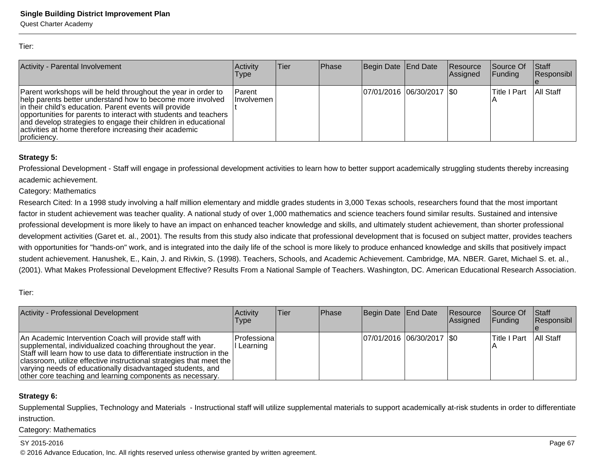Tier:

| Activity - Parental Involvement                                                                                                                                                                                                                                                                                                                                                                       | Activity<br><b>Type</b>            | lTier | Phase | Begin Date End Date           | Resource<br>Assigned | Source Of<br><b>Funding</b> | Staff<br>Responsibl |
|-------------------------------------------------------------------------------------------------------------------------------------------------------------------------------------------------------------------------------------------------------------------------------------------------------------------------------------------------------------------------------------------------------|------------------------------------|-------|-------|-------------------------------|----------------------|-----------------------------|---------------------|
| Parent workshops will be held throughout the year in order to<br>help parents better understand how to become more involved<br>in their child's education. Parent events will provide<br>opportunities for parents to interact with students and teachers<br>and develop strategies to engage their children in educational<br>activities at home therefore increasing their academic<br>proficiency. | <b>Parent</b><br><b>Involvemen</b> |       |       | $ 07/01/2016 06/30/2017 $ \$0 |                      | <b>Title I Part</b>         | All Staff           |

## **Strategy 5:**

Professional Development - Staff will engage in professional development activities to learn how to better support academically struggling students thereby increasingacademic achievement.

## Category: Mathematics

Research Cited: In a 1998 study involving a half million elementary and middle grades students in 3,000 Texas schools, researchers found that the most importantfactor in student achievement was teacher quality. A national study of over 1,000 mathematics and science teachers found similar results. Sustained and intensive professional development is more likely to have an impact on enhanced teacher knowledge and skills, and ultimately student achievement, than shorter professionaldevelopment activities (Garet et. al., 2001). The results from this study also indicate that professional development that is focused on subject matter, provides teacherswith opportunities for "hands-on" work, and is integrated into the daily life of the school is more likely to produce enhanced knowledge and skills that positively impact student achievement. Hanushek, E., Kain, J. and Rivkin, S. (1998). Teachers, Schools, and Academic Achievement. Cambridge, MA. NBER. Garet, Michael S. et. al.,(2001). What Makes Professional Development Effective? Results From a National Sample of Teachers. Washington, DC. American Educational Research Association.

Tier:

| Activity - Professional Development                                                                                                                                                                                                                                                                                                                                                              | <b>Activity</b><br><b>Type</b> | lTier. | <b>IPhase</b> | Begin Date End Date        | <b>Resource</b><br>Assigned | <b>Source Of</b><br><b>Funding</b> | <b>Staff</b><br>Responsibl |
|--------------------------------------------------------------------------------------------------------------------------------------------------------------------------------------------------------------------------------------------------------------------------------------------------------------------------------------------------------------------------------------------------|--------------------------------|--------|---------------|----------------------------|-----------------------------|------------------------------------|----------------------------|
| An Academic Intervention Coach will provide staff with<br>supplemental, individualized coaching throughout the year.<br>Staff will learn how to use data to differentiate instruction in the<br>  classroom, utilize effective instructional strategies that meet the<br>varying needs of educationally disadvantaged students, and<br>other core teaching and learning components as necessary. | Professional<br>II Learning    |        |               | 07/01/2016 06/30/2017 \\$0 |                             | Title I Part   All Staff           |                            |

## **Strategy 6:**

Supplemental Supplies, Technology and Materials - Instructional staff will utilize supplemental materials to support academically at-risk students in order to differentiateinstruction.

Category: Mathematics

## SY 2015-2016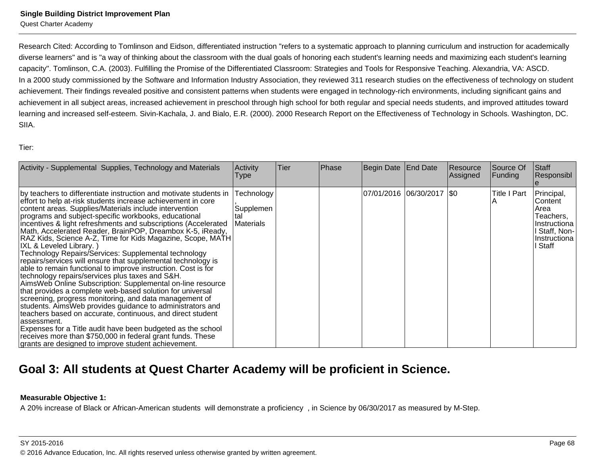## **Single Building District Improvement Plan**

Quest Charter Academy

Research Cited: According to Tomlinson and Eidson, differentiated instruction "refers to a systematic approach to planning curriculum and instruction for academically diverse learners" and is "a way of thinking about the classroom with the dual goals of honoring each student's learning needs and maximizing each student's learningcapacity". Tomlinson, C.A. (2003). Fulfilling the Promise of the Differentiated Classroom: Strategies and Tools for Responsive Teaching. Alexandria, VA: ASCD.In a 2000 study commissioned by the Software and Information Industry Association, they reviewed 311 research studies on the effectiveness of technology on studentachievement. Their findings revealed positive and consistent patterns when students were engaged in technology-rich environments, including significant gains andachievement in all subject areas, increased achievement in preschool through high school for both regular and special needs students, and improved attitudes towardlearning and increased self-esteem. Sivin-Kachala, J. and Bialo, E.R. (2000). 2000 Research Report on the Effectiveness of Technology in Schools. Washington, DC.SIIA.

Tier:

| Activity - Supplemental Supplies, Technology and Materials                                                                                                                                                                                                                                                                                                                                                                                                                                                                                                                                                                                                                                                                                                                                                                                                                                                                                                                                                                                                                                                                                                                                                                                              | Activity<br><b>Type</b>        | <b>Tier</b> | Phase | Begin Date End Date |                             | Resource<br> Assigned | Source Of<br>Funding | <b>Staff</b><br>Responsibl                                                                         |
|---------------------------------------------------------------------------------------------------------------------------------------------------------------------------------------------------------------------------------------------------------------------------------------------------------------------------------------------------------------------------------------------------------------------------------------------------------------------------------------------------------------------------------------------------------------------------------------------------------------------------------------------------------------------------------------------------------------------------------------------------------------------------------------------------------------------------------------------------------------------------------------------------------------------------------------------------------------------------------------------------------------------------------------------------------------------------------------------------------------------------------------------------------------------------------------------------------------------------------------------------------|--------------------------------|-------------|-------|---------------------|-----------------------------|-----------------------|----------------------|----------------------------------------------------------------------------------------------------|
| by teachers to differentiate instruction and motivate students in Technology<br>effort to help at-risk students increase achievement in core<br>content areas. Supplies/Materials include intervention<br>programs and subject-specific workbooks, educational<br>incentives & light refreshments and subscriptions (Accelerated<br>Math, Accelerated Reader, BrainPOP, Dreambox K-5, iReady,<br>RAZ Kids, Science A-Z, Time for Kids Magazine, Scope, MATH<br>IXL & Leveled Library.)<br>Technology Repairs/Services: Supplemental technology<br>repairs/services will ensure that supplemental technology is<br>able to remain functional to improve instruction. Cost is for<br>technology repairs/services plus taxes and S&H.<br>AimsWeb Online Subscription: Supplemental on-line resource<br>that provides a complete web-based solution for universal<br>screening, progress monitoring, and data management of<br>students. Aims Web provides guidance to administrators and<br>teachers based on accurate, continuous, and direct student<br>lassessment.<br>Expenses for a Title audit have been budgeted as the school<br>receives more than \$750,000 in federal grant funds. These<br>grants are designed to improve student achievement. | Supplemen<br>Ital<br>Materials |             |       |                     | 07/01/2016  06/30/2017  \$0 |                       | <b>Title I Part</b>  | Principal,<br>Content<br>Area<br>Teachers,<br>Instructiona<br>Staff, Non-<br>Instructiona<br>Staff |

# **Goal 3: All students at Quest Charter Academy will be proficient in Science.**

## **Measurable Objective 1:**

A 20% increase of Black or African-American students will demonstrate a proficiency , in Science by 06/30/2017 as measured by M-Step.

SY 2015-2016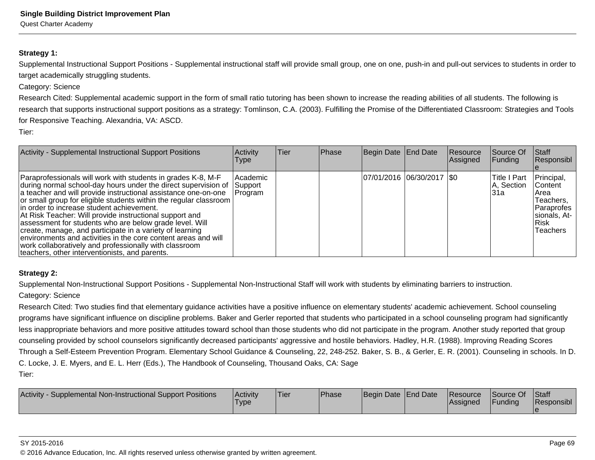### **Strategy 1:**

Supplemental Instructional Support Positions - Supplemental instructional staff will provide small group, one on one, push-in and pull-out services to students in order totarget academically struggling students.

#### Category: Science

Research Cited: Supplemental academic support in the form of small ratio tutoring has been shown to increase the reading abilities of all students. The following isresearch that supports instructional support positions as a strategy: Tomlinson, C.A. (2003). Fulfilling the Promise of the Differentiated Classroom: Strategies and Toolsfor Responsive Teaching. Alexandria, VA: ASCD.

Tier:

| Activity - Supplemental Instructional Support Positions                                                                                                                                                                                                                                                                                                                                                                                                                                                                                                                                                                                                                                      | Activity<br>l ype   | Tier | <b>Phase</b> | Begin Date End Date         | Resource<br>Assigned | Source Of<br>Funding                      | lStaff<br> Responsibl                                                                                    |
|----------------------------------------------------------------------------------------------------------------------------------------------------------------------------------------------------------------------------------------------------------------------------------------------------------------------------------------------------------------------------------------------------------------------------------------------------------------------------------------------------------------------------------------------------------------------------------------------------------------------------------------------------------------------------------------------|---------------------|------|--------------|-----------------------------|----------------------|-------------------------------------------|----------------------------------------------------------------------------------------------------------|
| Paraprofessionals will work with students in grades K-8, M-F<br>during normal school-day hours under the direct supervision of Support<br>a teacher and will provide instructional assistance one-on-one<br>or small group for eligible students within the regular classroom<br>lin order to increase student achievement.<br>At Risk Teacher: Will provide instructional support and<br>assessment for students who are below grade level. Will<br>create, manage, and participate in a variety of learning<br>lenvironments and activities in the core content areas and will<br>work collaboratively and professionally with classroom<br>teachers, other interventionists, and parents. | Academic<br>Program |      |              | 07/01/2016 06/30/2017   \$0 |                      | <b>Title I Part</b><br>A, Section<br>l31a | Principal,<br><b>Content</b><br>IArea<br>Teachers.<br> Paraprofes <br>sionals, At-<br>l Risk<br>Teachers |

#### **Strategy 2:**

Supplemental Non-Instructional Support Positions - Supplemental Non-Instructional Staff will work with students by eliminating barriers to instruction.

#### Category: Science

Research Cited: Two studies find that elementary guidance activities have a positive influence on elementary students' academic achievement. School counseling programs have significant influence on discipline problems. Baker and Gerler reported that students who participated in a school counseling program had significantlyless inappropriate behaviors and more positive attitudes toward school than those students who did not participate in the program. Another study reported that group counseling provided by school counselors significantly decreased participants' aggressive and hostile behaviors. Hadley, H.R. (1988). Improving Reading Scores Through a Self-Esteem Prevention Program. Elementary School Guidance & Counseling, 22, 248-252. Baker, S. B., & Gerler, E. R. (2001). Counseling in schools. In D.C. Locke, J. E. Myers, and E. L. Herr (Eds.), The Handbook of Counseling, Thousand Oaks, CA: SageTier:

| <b>Activity</b><br>Supplemental Non-Instructional Support Positions | Activity<br>'Type | 'Tier | <b>Phase</b> | Begin Date End Date | <b>Resource</b><br><b>IAssianed</b> | Source Of<br>Funding | Staff<br><b>Responsibl</b> |
|---------------------------------------------------------------------|-------------------|-------|--------------|---------------------|-------------------------------------|----------------------|----------------------------|
|                                                                     |                   |       |              |                     |                                     |                      |                            |

#### SY 2015-2016

© 2016 Advance Education, Inc. All rights reserved unless otherwise granted by written agreement.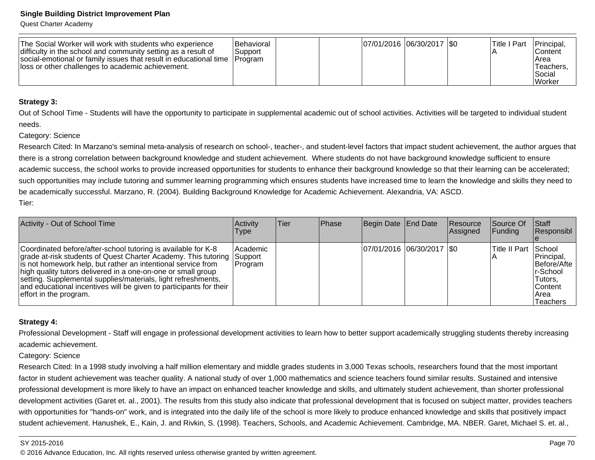Quest Charter Academy

| The Social Worker will work with students who experience<br>difficulty in the school and community setting as a result of<br>social-emotional or family issues that result in educational time<br>lloss or other challenges to academic achievement. | <b>Behavioral</b><br>Support<br><b>IProgram</b> |  | 07/01/2016 06/30/2017 \$0 |  |  | Title I Part | Principal,<br>lContent<br>IArea<br>Teachers.<br>l Social<br> Worker |
|------------------------------------------------------------------------------------------------------------------------------------------------------------------------------------------------------------------------------------------------------|-------------------------------------------------|--|---------------------------|--|--|--------------|---------------------------------------------------------------------|
|------------------------------------------------------------------------------------------------------------------------------------------------------------------------------------------------------------------------------------------------------|-------------------------------------------------|--|---------------------------|--|--|--------------|---------------------------------------------------------------------|

#### **Strategy 3:**

Out of School Time - Students will have the opportunity to participate in supplemental academic out of school activities. Activities will be targeted to individual studentneeds.

#### Category: Science

Research Cited: In Marzano's seminal meta-analysis of research on school-, teacher-, and student-level factors that impact student achievement, the author argues thatthere is a strong correlation between background knowledge and student achievement. Where students do not have background knowledge sufficient to ensureacademic success, the school works to provide increased opportunities for students to enhance their background knowledge so that their learning can be accelerated;such opportunities may include tutoring and summer learning programming which ensures students have increased time to learn the knowledge and skills they need to be academically successful. Marzano, R. (2004). Building Background Knowledge for Academic Achievement. Alexandria, VA: ASCD. Tier:

| Activity - Out of School Time                                                                                                                                                                                                                                                                                                                                                                                                    | Activity<br><b>Type</b>         | lTier. | <b>Phase</b> | Begin Date End Date |                               | <b>Resource</b><br><b>Assigned</b> | Source Of<br>$\vert$ Funding | <b>Staff</b><br>Responsibl                                                               |
|----------------------------------------------------------------------------------------------------------------------------------------------------------------------------------------------------------------------------------------------------------------------------------------------------------------------------------------------------------------------------------------------------------------------------------|---------------------------------|--------|--------------|---------------------|-------------------------------|------------------------------------|------------------------------|------------------------------------------------------------------------------------------|
| Coordinated before/after-school tutoring is available for K-8<br>grade at-risk students of Quest Charter Academy. This tutoring<br>is not homework help, but rather an intentional service from<br>high quality tutors delivered in a one-on-one or small group<br>setting. Supplemental supplies/materials, light refreshments,<br>and educational incentives will be given to participants for their<br>effort in the program. | Academic<br>Support<br> Program |        |              |                     | $ 07/01/2016 06/30/2017 $ \$0 |                                    | Title II Part   School       | Principal,<br>Before/Afte<br>Ir-School<br>Tutors,<br><b>Content</b><br>IArea<br>Teachers |

#### **Strategy 4:**

Professional Development - Staff will engage in professional development activities to learn how to better support academically struggling students thereby increasingacademic achievement.

Category: Science

Research Cited: In a 1998 study involving a half million elementary and middle grades students in 3,000 Texas schools, researchers found that the most important factor in student achievement was teacher quality. A national study of over 1,000 mathematics and science teachers found similar results. Sustained and intensiveprofessional development is more likely to have an impact on enhanced teacher knowledge and skills, and ultimately student achievement, than shorter professionaldevelopment activities (Garet et. al., 2001). The results from this study also indicate that professional development that is focused on subject matter, provides teacherswith opportunities for "hands-on" work, and is integrated into the daily life of the school is more likely to produce enhanced knowledge and skills that positively impact student achievement. Hanushek, E., Kain, J. and Rivkin, S. (1998). Teachers, Schools, and Academic Achievement. Cambridge, MA. NBER. Garet, Michael S. et. al.,

#### SY 2015-2016

© 2016 Advance Education, Inc. All rights reserved unless otherwise granted by written agreement.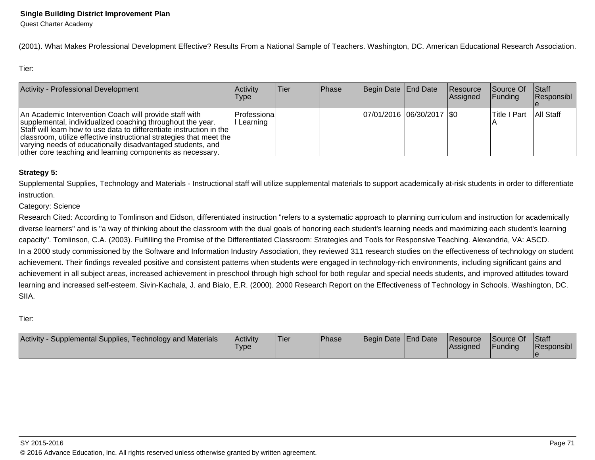(2001). What Makes Professional Development Effective? Results From a National Sample of Teachers. Washington, DC. American Educational Research Association.

Tier:

| Activity - Professional Development                                                                                                                                                                                                                                                                                                                                                              | Activity<br><b>Type</b>     | lTier. | <b>IPhase</b> | Begin Date End Date        | Resource<br><b>Assigned</b> | Source Of<br><b>IFunding</b> | Stat<br>Responsibl |
|--------------------------------------------------------------------------------------------------------------------------------------------------------------------------------------------------------------------------------------------------------------------------------------------------------------------------------------------------------------------------------------------------|-----------------------------|--------|---------------|----------------------------|-----------------------------|------------------------------|--------------------|
| An Academic Intervention Coach will provide staff with<br>supplemental, individualized coaching throughout the year.<br>Staff will learn how to use data to differentiate instruction in the<br>  classroom, utilize effective instructional strategies that meet the<br>varying needs of educationally disadvantaged students, and<br>other core teaching and learning components as necessary. | Professional<br>II Learning |        |               | 07/01/2016 06/30/2017 \\$0 |                             | lTitle I Part                | All Staff          |

### **Strategy 5:**

Supplemental Supplies, Technology and Materials - Instructional staff will utilize supplemental materials to support academically at-risk students in order to differentiateinstruction.

### Category: Science

Research Cited: According to Tomlinson and Eidson, differentiated instruction "refers to a systematic approach to planning curriculum and instruction for academically diverse learners" and is "a way of thinking about the classroom with the dual goals of honoring each student's learning needs and maximizing each student's learningcapacity". Tomlinson, C.A. (2003). Fulfilling the Promise of the Differentiated Classroom: Strategies and Tools for Responsive Teaching. Alexandria, VA: ASCD.In a 2000 study commissioned by the Software and Information Industry Association, they reviewed 311 research studies on the effectiveness of technology on student achievement. Their findings revealed positive and consistent patterns when students were engaged in technology-rich environments, including significant gains and achievement in all subject areas, increased achievement in preschool through high school for both regular and special needs students, and improved attitudes toward learning and increased self-esteem. Sivin-Kachala, J. and Bialo, E.R. (2000). 2000 Research Report on the Effectiveness of Technology in Schools. Washington, DC.SIIA.

Tier:

| Supplemental Supplies, Technology and Materials<br><b>Activity</b> | <b>Activity</b><br>'Type | <b>Tier</b> | Phase | Begin Date End Date |  | Resource<br>lAssianed | Source Of<br>Funding | Staff<br>Responsibl |
|--------------------------------------------------------------------|--------------------------|-------------|-------|---------------------|--|-----------------------|----------------------|---------------------|
|--------------------------------------------------------------------|--------------------------|-------------|-------|---------------------|--|-----------------------|----------------------|---------------------|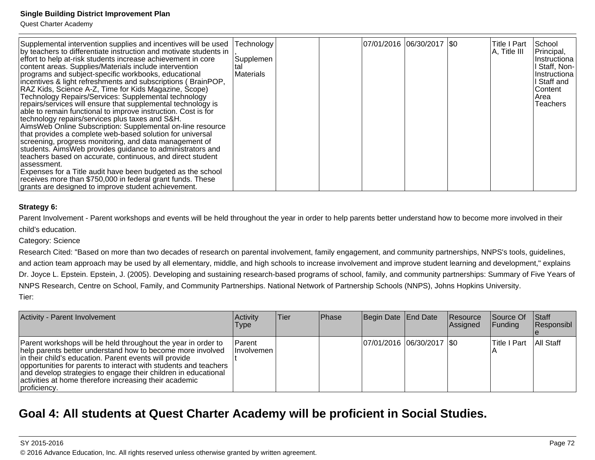Quest Charter Academy

### **Strategy 6:**

Parent Involvement - Parent workshops and events will be held throughout the year in order to help parents better understand how to become more involved in their child's education.

Category: Science

 Research Cited: "Based on more than two decades of research on parental involvement, family engagement, and community partnerships, NNPS's tools, guidelines,and action team approach may be used by all elementary, middle, and high schools to increase involvement and improve student learning and development," explainsDr. Joyce L. Epstein. Epstein, J. (2005). Developing and sustaining research-based programs of school, family, and community partnerships: Summary of Five Years of NNPS Research, Centre on School, Family, and Community Partnerships. National Network of Partnership Schools (NNPS), Johns Hopkins University.Tier:

| Activity - Parent Involvement                                                                                                                                                                                                                                                                                                                                                                         | <b>Activity</b><br>Type     | lTier. | <b>IPhase</b> | Begin Date End Date         | Resource<br>Assigned | Source Of<br><b>Funding</b> | <b>Staff</b><br>Responsibl |
|-------------------------------------------------------------------------------------------------------------------------------------------------------------------------------------------------------------------------------------------------------------------------------------------------------------------------------------------------------------------------------------------------------|-----------------------------|--------|---------------|-----------------------------|----------------------|-----------------------------|----------------------------|
| Parent workshops will be held throughout the year in order to<br>help parents better understand how to become more involved<br>in their child's education. Parent events will provide<br>opportunities for parents to interact with students and teachers<br>and develop strategies to engage their children in educational<br>activities at home therefore increasing their academic<br>proficiency. | Parent<br><b>Involvemen</b> |        |               | 07/01/2016 06/30/2017   \$0 |                      | lTitle I Part               | All Staff                  |

# **Goal 4: All students at Quest Charter Academy will be proficient in Social Studies.**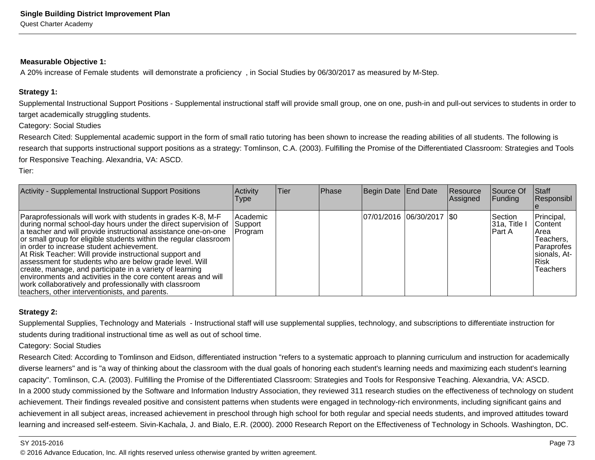#### **Measurable Objective 1:**

A 20% increase of Female students will demonstrate a proficiency , in Social Studies by 06/30/2017 as measured by M-Step.

### **Strategy 1:**

Supplemental Instructional Support Positions - Supplemental instructional staff will provide small group, one on one, push-in and pull-out services to students in order totarget academically struggling students.

Category: Social Studies

Research Cited: Supplemental academic support in the form of small ratio tutoring has been shown to increase the reading abilities of all students. The following isresearch that supports instructional support positions as a strategy: Tomlinson, C.A. (2003). Fulfilling the Promise of the Differentiated Classroom: Strategies and Toolsfor Responsive Teaching. Alexandria, VA: ASCD.

Tier:

| <b>Activity - Supplemental Instructional Support Positions</b>                                                                                                                                                                                                                                                                                                                                                                                                                                                                                                                                                                                                                        | <b>Activity</b><br>l ype        | lTier. | Phase | Begin Date End Date         | Resource<br>Assigned | Source Of<br> Funding                    | <b>Staff</b><br>Responsibl                                                                                    |
|---------------------------------------------------------------------------------------------------------------------------------------------------------------------------------------------------------------------------------------------------------------------------------------------------------------------------------------------------------------------------------------------------------------------------------------------------------------------------------------------------------------------------------------------------------------------------------------------------------------------------------------------------------------------------------------|---------------------------------|--------|-------|-----------------------------|----------------------|------------------------------------------|---------------------------------------------------------------------------------------------------------------|
| Paraprofessionals will work with students in grades K-8, M-F<br>during normal school-day hours under the direct supervision of<br>a teacher and will provide instructional assistance one-on-one<br>or small group for eligible students within the regular classroom  <br>lin order to increase student achievement.<br>At Risk Teacher: Will provide instructional support and<br>assessment for students who are below grade level. Will<br>create, manage, and participate in a variety of learning<br>environments and activities in the core content areas and will<br>work collaboratively and professionally with classroom<br>teachers, other interventionists, and parents. | Academic<br>Support<br> Program |        |       | 07/01/2016  06/30/2017  \$0 |                      | <b>Section</b><br> 31a, Title<br>lPart A | Principal,<br>IContent<br>lArea<br>Teachers,<br> Paraprofes  <br>Isionals. At- I<br>l Risk<br><b>Teachers</b> |

### **Strategy 2:**

Supplemental Supplies, Technology and Materials - Instructional staff will use supplemental supplies, technology, and subscriptions to differentiate instruction forstudents during traditional instructional time as well as out of school time.

Category: Social Studies

Research Cited: According to Tomlinson and Eidson, differentiated instruction "refers to a systematic approach to planning curriculum and instruction for academicallydiverse learners" and is "a way of thinking about the classroom with the dual goals of honoring each student's learning needs and maximizing each student's learningcapacity". Tomlinson, C.A. (2003). Fulfilling the Promise of the Differentiated Classroom: Strategies and Tools for Responsive Teaching. Alexandria, VA: ASCD.In a 2000 study commissioned by the Software and Information Industry Association, they reviewed 311 research studies on the effectiveness of technology on studentachievement. Their findings revealed positive and consistent patterns when students were engaged in technology-rich environments, including significant gains and achievement in all subject areas, increased achievement in preschool through high school for both regular and special needs students, and improved attitudes towardlearning and increased self-esteem. Sivin-Kachala, J. and Bialo, E.R. (2000). 2000 Research Report on the Effectiveness of Technology in Schools. Washington, DC.

#### SY 2015-2016

estimate the contract of the contract of the contract of the contract of the contract of the contract of the contract of the contract of the contract of the contract of the contract of the contract of the contract of the c © 2016 Advance Education, Inc. All rights reserved unless otherwise granted by written agreement.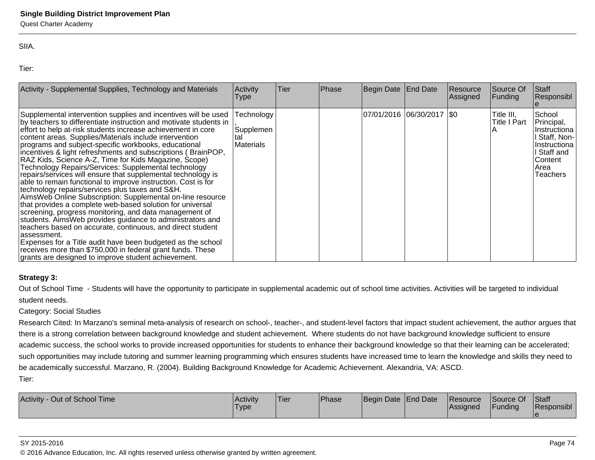Quest Charter Academy

SIIA.

Tier:

| Activity - Supplemental Supplies, Technology and Materials                                                                                                                                                                                                                                                                                                                                                                                                                                                                                                                                                                                                                                                                                                                                                                                                                                                                                                                                                                                                                                                                                                                                                      | Activity<br><b>Type</b>                     | Tier | Phase | Begin Date End Date |                             | Resource<br>Assigned | Source Of<br>Funding              | <b>Staff</b><br>Responsibl                                                                                       |
|-----------------------------------------------------------------------------------------------------------------------------------------------------------------------------------------------------------------------------------------------------------------------------------------------------------------------------------------------------------------------------------------------------------------------------------------------------------------------------------------------------------------------------------------------------------------------------------------------------------------------------------------------------------------------------------------------------------------------------------------------------------------------------------------------------------------------------------------------------------------------------------------------------------------------------------------------------------------------------------------------------------------------------------------------------------------------------------------------------------------------------------------------------------------------------------------------------------------|---------------------------------------------|------|-------|---------------------|-----------------------------|----------------------|-----------------------------------|------------------------------------------------------------------------------------------------------------------|
| Supplemental intervention supplies and incentives will be used<br>by teachers to differentiate instruction and motivate students in<br>effort to help at-risk students increase achievement in core<br>content areas. Supplies/Materials include intervention<br>programs and subject-specific workbooks, educational<br>incentives & light refreshments and subscriptions (BrainPOP,<br>RAZ Kids, Science A-Z, Time for Kids Magazine, Scope)<br>Technology Repairs/Services: Supplemental technology<br>repairs/services will ensure that supplemental technology is<br>able to remain functional to improve instruction. Cost is for<br>technology repairs/services plus taxes and S&H.<br>AimsWeb Online Subscription: Supplemental on-line resource<br>that provides a complete web-based solution for universal<br>screening, progress monitoring, and data management of<br>students. Aims Web provides guidance to administrators and<br>teachers based on accurate, continuous, and direct student<br>lassessment.<br>Expenses for a Title audit have been budgeted as the school<br>receives more than \$750,000 in federal grant funds. These<br>grants are designed to improve student achievement. | <b>Fechnology</b><br>Supplemen<br>Materials |      |       |                     | 07/01/2016  06/30/2017  \$0 |                      | Title III,<br><b>Title I Part</b> | School<br>Principal,<br>Instructiona<br>Staff, Non-<br>Instructiona<br>Staff and<br>Content<br> Area<br>Teachers |

### **Strategy 3:**

Out of School Time - Students will have the opportunity to participate in supplemental academic out of school time activities. Activities will be targeted to individualstudent needs.

### Category: Social Studies

Research Cited: In Marzano's seminal meta-analysis of research on school-, teacher-, and student-level factors that impact student achievement, the author argues that there is a strong correlation between background knowledge and student achievement. Where students do not have background knowledge sufficient to ensure academic success, the school works to provide increased opportunities for students to enhance their background knowledge so that their learning can be accelerated;such opportunities may include tutoring and summer learning programming which ensures students have increased time to learn the knowledge and skills they need to be academically successful. Marzano, R. (2004). Building Background Knowledge for Academic Achievement. Alexandria, VA: ASCD. Tier:

| Activity - Out of School Time | <b>Activity</b><br>'Type | 'Tier | <b>Phase</b> | Begin Date End Date | Resource<br><b>Assigned</b> | Source Of<br>Funding | <b>Staff</b><br><b>Responsibl</b> |
|-------------------------------|--------------------------|-------|--------------|---------------------|-----------------------------|----------------------|-----------------------------------|
|                               |                          |       |              |                     |                             |                      |                                   |

#### SY 2015-2016

© 2016 Advance Education, Inc. All rights reserved unless otherwise granted by written agreement.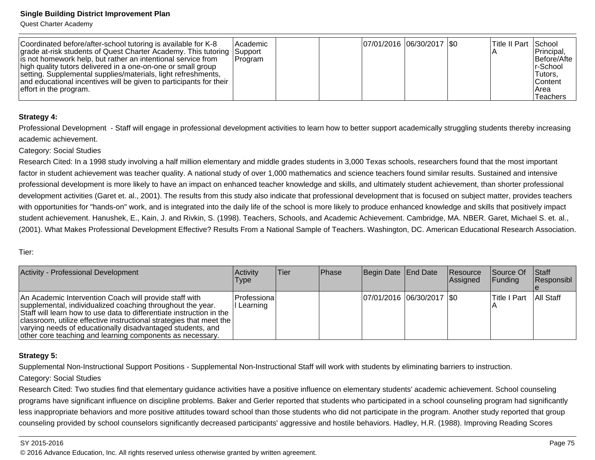Quest Charter Academy

| Coordinated before/after-school tutoring is available for K-8<br>grade at-risk students of Quest Charter Academy. This tutoring Support<br>is not homework help, but rather an intentional service from<br>high quality tutors delivered in a one-on-one or small group<br>setting. Supplemental supplies/materials, light refreshments,<br>and educational incentives will be given to participants for their | <i>Academic</i><br> Program | 07/01/2016 06/30/2017   \$0 |  | Title II Part School | Principal,<br> Before/Afte  <br>Ir-School<br>Tutors,<br><b>Content</b> |
|----------------------------------------------------------------------------------------------------------------------------------------------------------------------------------------------------------------------------------------------------------------------------------------------------------------------------------------------------------------------------------------------------------------|-----------------------------|-----------------------------|--|----------------------|------------------------------------------------------------------------|
| effort in the program.                                                                                                                                                                                                                                                                                                                                                                                         |                             |                             |  |                      | IArea<br><b>Teachers</b>                                               |

#### **Strategy 4:**

Professional Development - Staff will engage in professional development activities to learn how to better support academically struggling students thereby increasingacademic achievement.

Category: Social Studies

Research Cited: In a 1998 study involving a half million elementary and middle grades students in 3,000 Texas schools, researchers found that the most importantfactor in student achievement was teacher quality. A national study of over 1,000 mathematics and science teachers found similar results. Sustained and intensiveprofessional development is more likely to have an impact on enhanced teacher knowledge and skills, and ultimately student achievement, than shorter professionaldevelopment activities (Garet et. al., 2001). The results from this study also indicate that professional development that is focused on subject matter, provides teacherswith opportunities for "hands-on" work, and is integrated into the daily life of the school is more likely to produce enhanced knowledge and skills that positively impact student achievement. Hanushek, E., Kain, J. and Rivkin, S. (1998). Teachers, Schools, and Academic Achievement. Cambridge, MA. NBER. Garet, Michael S. et. al.,(2001). What Makes Professional Development Effective? Results From a National Sample of Teachers. Washington, DC. American Educational Research Association.

#### Tier:

| Activity - Professional Development                                                                                                                                                                                                                                                                                                                                                              | Activity<br><b>Type</b> | lTier: | <b>IPhase</b> | Begin Date End Date        | <b>Resource</b><br><b>Assigned</b> | <b>Source Of</b><br>IFundina | <b>Staff</b><br>Responsibl |
|--------------------------------------------------------------------------------------------------------------------------------------------------------------------------------------------------------------------------------------------------------------------------------------------------------------------------------------------------------------------------------------------------|-------------------------|--------|---------------|----------------------------|------------------------------------|------------------------------|----------------------------|
| An Academic Intervention Coach will provide staff with<br>supplemental, individualized coaching throughout the year.<br>Staff will learn how to use data to differentiate instruction in the<br>  classroom, utilize effective instructional strategies that meet the<br>varying needs of educationally disadvantaged students, and<br>other core teaching and learning components as necessary. | Professiona<br>Learning |        |               | 07/01/2016 06/30/2017 \\$0 |                                    | ITitle I Part                | All Staff                  |

#### **Strategy 5:**

Supplemental Non-Instructional Support Positions - Supplemental Non-Instructional Staff will work with students by eliminating barriers to instruction.

#### Category: Social Studies

Research Cited: Two studies find that elementary guidance activities have a positive influence on elementary students' academic achievement. School counseling programs have significant influence on discipline problems. Baker and Gerler reported that students who participated in a school counseling program had significantlyless inappropriate behaviors and more positive attitudes toward school than those students who did not participate in the program. Another study reported that group counseling provided by school counselors significantly decreased participants' aggressive and hostile behaviors. Hadley, H.R. (1988). Improving Reading Scores

#### SY 2015-2016

© 2016 Advance Education, Inc. All rights reserved unless otherwise granted by written agreement.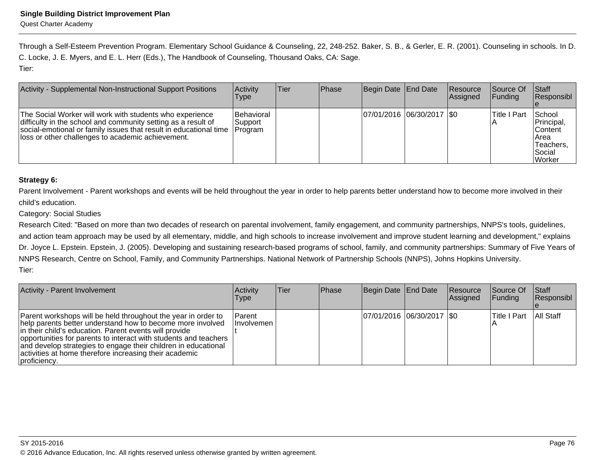Through a Self-Esteem Prevention Program. Elementary School Guidance & Counseling, 22, 248-252. Baker, S. B., & Gerler, E. R. (2001). Counseling in schools. In D.C. Locke, J. E. Myers, and E. L. Herr (Eds.), The Handbook of Counseling, Thousand Oaks, CA: Sage.Tier:

| Activity - Supplemental Non-Instructional Support Positions                                                                                                                                                                                         | Activity<br><b>Type</b>           | <b>Tier</b> | <b>Phase</b> | Begin Date End Date         | <b>Resource</b><br>Assigned | <b>Source Of</b><br>IFundina l | Staff<br>Responsibl                                                                |
|-----------------------------------------------------------------------------------------------------------------------------------------------------------------------------------------------------------------------------------------------------|-----------------------------------|-------------|--------------|-----------------------------|-----------------------------|--------------------------------|------------------------------------------------------------------------------------|
| The Social Worker will work with students who experience<br>difficulty in the school and community setting as a result of<br>social-emotional or family issues that result in educational time<br>loss or other challenges to academic achievement. | Behavioral<br>Support<br> Program |             |              | 07/01/2016 06/30/2017   \$0 |                             | Title I Part                   | School<br>Principal,<br>lContent<br>IArea<br>Teachers,<br>lSocial<br><b>Worker</b> |

### **Strategy 6:**

Parent Involvement - Parent workshops and events will be held throughout the year in order to help parents better understand how to become more involved in their child's education.

### Category: Social Studies

Research Cited: "Based on more than two decades of research on parental involvement, family engagement, and community partnerships, NNPS's tools, guidelines,and action team approach may be used by all elementary, middle, and high schools to increase involvement and improve student learning and development," explainsDr. Joyce L. Epstein. Epstein, J. (2005). Developing and sustaining research-based programs of school, family, and community partnerships: Summary of Five Years of NNPS Research, Centre on School, Family, and Community Partnerships. National Network of Partnership Schools (NNPS), Johns Hopkins University.Tier:

| Activity - Parent Involvement                                                                                                                                                                                                                                                                                                                                                                         | <b>Activity</b><br>Type            | Tier | <b>Phase</b> | Begin Date End Date         | Resource<br>Assigned | Source Of<br><b>Funding</b> | <b>Staff</b><br>Responsibl |
|-------------------------------------------------------------------------------------------------------------------------------------------------------------------------------------------------------------------------------------------------------------------------------------------------------------------------------------------------------------------------------------------------------|------------------------------------|------|--------------|-----------------------------|----------------------|-----------------------------|----------------------------|
| Parent workshops will be held throughout the year in order to<br>help parents better understand how to become more involved<br>in their child's education. Parent events will provide<br>opportunities for parents to interact with students and teachers<br>and develop strategies to engage their children in educational<br>activities at home therefore increasing their academic<br>proficiency. | <b>Parent</b><br><b>Involvemen</b> |      |              | 07/01/2016 06/30/2017   \$0 |                      | lTitle I Part               | All Staff                  |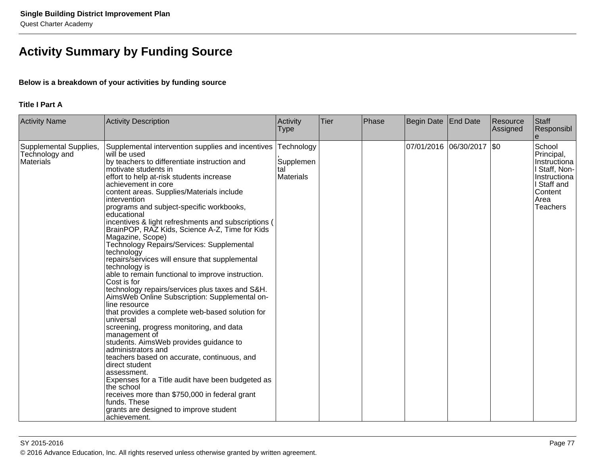# **Activity Summary by Funding Source**

### **Below is a breakdown of your activities by funding source**

### **Title I Part A**

| <b>Activity Name</b>                                  | Activity Description                                                                                                                                                                                                                                                                                                                                                                                                                                                                                                                                                                                                                                                                                                                                                                                                                                                                                                                                                                                                                                                                                                                                                                                                                                               | Activity<br><b>Type</b>                            | Tier | Phase | Begin Date | End Date                    | Resource<br>Assigned | Staff<br>Responsibl                                                                                                        |
|-------------------------------------------------------|--------------------------------------------------------------------------------------------------------------------------------------------------------------------------------------------------------------------------------------------------------------------------------------------------------------------------------------------------------------------------------------------------------------------------------------------------------------------------------------------------------------------------------------------------------------------------------------------------------------------------------------------------------------------------------------------------------------------------------------------------------------------------------------------------------------------------------------------------------------------------------------------------------------------------------------------------------------------------------------------------------------------------------------------------------------------------------------------------------------------------------------------------------------------------------------------------------------------------------------------------------------------|----------------------------------------------------|------|-------|------------|-----------------------------|----------------------|----------------------------------------------------------------------------------------------------------------------------|
| Supplemental Supplies,<br>Technology and<br>Materials | Supplemental intervention supplies and incentives<br>will be used<br>by teachers to differentiate instruction and<br>motivate students in<br>effort to help at-risk students increase<br>achievement in core<br>content areas. Supplies/Materials include<br>intervention<br>programs and subject-specific workbooks,<br>educational<br>incentives & light refreshments and subscriptions (<br>BrainPOP, RAZ Kids, Science A-Z, Time for Kids<br>Magazine, Scope)<br>Technology Repairs/Services: Supplemental<br>technology<br>repairs/services will ensure that supplemental<br>technology is<br>able to remain functional to improve instruction.<br>Cost is for<br>technology repairs/services plus taxes and S&H.<br>AimsWeb Online Subscription: Supplemental on-<br>line resource<br>that provides a complete web-based solution for<br>universal<br>screening, progress monitoring, and data<br>management of<br>students. AimsWeb provides guidance to<br>administrators and<br>teachers based on accurate, continuous, and<br>direct student<br>assessment.<br>Expenses for a Title audit have been budgeted as<br>the school<br>receives more than \$750,000 in federal grant<br>funds. These<br>grants are designed to improve student<br>achievement. | Technology<br>Supplemen<br>tal<br><b>Materials</b> |      |       |            | 07/01/2016  06/30/2017  \$0 |                      | School<br>Principal,<br>Instructiona<br>I Staff, Non-<br>Instructiona<br>I Staff and<br>Content<br>Area<br><b>Teachers</b> |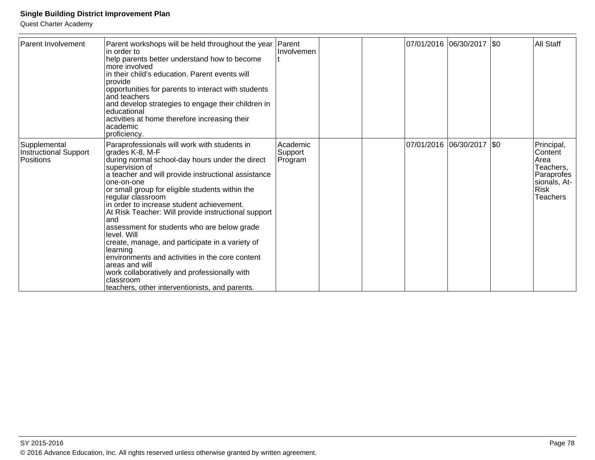| <b>Parent Involvement</b>                          | Parent workshops will be held throughout the year<br>in order to<br>help parents better understand how to become<br>more involved<br>in their child's education. Parent events will<br>provide<br>opportunities for parents to interact with students<br>and teachers<br>and develop strategies to engage their children in<br>educational<br>activities at home therefore increasing their<br>academic<br>proficiency.                                                                                                                                                                                                                                                                                        | Parent<br>Involvemen           |  | 07/01/2016  06/30/2017  \$0 | <b>All Staff</b>                                                                                           |
|----------------------------------------------------|----------------------------------------------------------------------------------------------------------------------------------------------------------------------------------------------------------------------------------------------------------------------------------------------------------------------------------------------------------------------------------------------------------------------------------------------------------------------------------------------------------------------------------------------------------------------------------------------------------------------------------------------------------------------------------------------------------------|--------------------------------|--|-----------------------------|------------------------------------------------------------------------------------------------------------|
| Supplemental<br>Instructional Support<br>Positions | Paraprofessionals will work with students in<br>grades K-8, M-F<br>during normal school-day hours under the direct<br>supervision of<br>a teacher and will provide instructional assistance<br>one-on-one<br>or small group for eligible students within the<br>regular classroom<br>in order to increase student achievement.<br>At Risk Teacher: Will provide instructional support<br>land<br>assessment for students who are below grade<br>level. Will<br>create, manage, and participate in a variety of<br>learning<br>environments and activities in the core content<br>areas and will<br>work collaboratively and professionally with<br>classroom<br>teachers, other interventionists, and parents. | Academic<br>Support<br>Program |  | 07/01/2016  06/30/2017  \$0 | Principal,<br>Content<br>Area<br>Teachers,<br>Paraprofes<br>sionals, At-<br><b>Risk</b><br><b>Teachers</b> |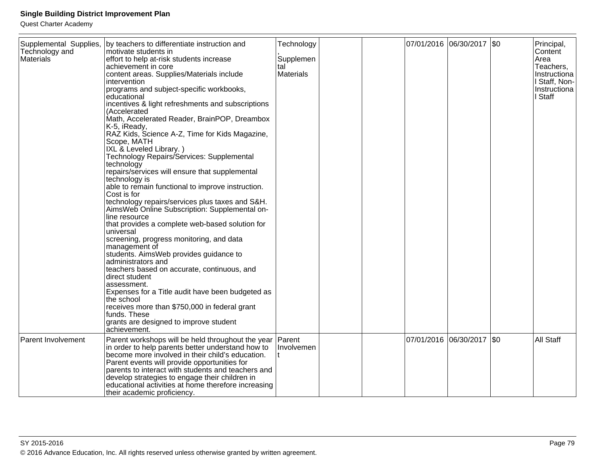| Supplemental Supplies,<br>Technology and | by teachers to differentiate instruction and<br>motivate students in                                   | Technology           |  | 07/01/2016 06/30/2017 \$0 | Principal,<br>Content |
|------------------------------------------|--------------------------------------------------------------------------------------------------------|----------------------|--|---------------------------|-----------------------|
| <b>Materials</b>                         | effort to help at-risk students increase                                                               | Supplemen            |  |                           | Area                  |
|                                          | achievement in core                                                                                    | tal                  |  |                           | Teachers,             |
|                                          | content areas. Supplies/Materials include                                                              | <b>Materials</b>     |  |                           | Instructiona          |
|                                          | intervention                                                                                           |                      |  |                           | I Staff, Non-         |
|                                          | programs and subject-specific workbooks,                                                               |                      |  |                           | Instructiona          |
|                                          | educational                                                                                            |                      |  |                           | I Staff               |
|                                          | incentives & light refreshments and subscriptions<br>(Accelerated                                      |                      |  |                           |                       |
|                                          | Math, Accelerated Reader, BrainPOP, Dreambox                                                           |                      |  |                           |                       |
|                                          | K-5, iReady,                                                                                           |                      |  |                           |                       |
|                                          | RAZ Kids, Science A-Z, Time for Kids Magazine,                                                         |                      |  |                           |                       |
|                                          | Scope, MATH                                                                                            |                      |  |                           |                       |
|                                          | IXL & Leveled Library.)                                                                                |                      |  |                           |                       |
|                                          | Technology Repairs/Services: Supplemental<br>technology                                                |                      |  |                           |                       |
|                                          | repairs/services will ensure that supplemental                                                         |                      |  |                           |                       |
|                                          | technology is                                                                                          |                      |  |                           |                       |
|                                          | able to remain functional to improve instruction.                                                      |                      |  |                           |                       |
|                                          | Cost is for                                                                                            |                      |  |                           |                       |
|                                          | technology repairs/services plus taxes and S&H.                                                        |                      |  |                           |                       |
|                                          | AimsWeb Online Subscription: Supplemental on-<br>line resource                                         |                      |  |                           |                       |
|                                          | that provides a complete web-based solution for                                                        |                      |  |                           |                       |
|                                          | universal                                                                                              |                      |  |                           |                       |
|                                          | screening, progress monitoring, and data                                                               |                      |  |                           |                       |
|                                          | management of                                                                                          |                      |  |                           |                       |
|                                          | students. AimsWeb provides guidance to                                                                 |                      |  |                           |                       |
|                                          | administrators and<br>teachers based on accurate, continuous, and                                      |                      |  |                           |                       |
|                                          | direct student                                                                                         |                      |  |                           |                       |
|                                          | assessment.                                                                                            |                      |  |                           |                       |
|                                          | Expenses for a Title audit have been budgeted as                                                       |                      |  |                           |                       |
|                                          | the school                                                                                             |                      |  |                           |                       |
|                                          | receives more than \$750,000 in federal grant                                                          |                      |  |                           |                       |
|                                          | funds. These                                                                                           |                      |  |                           |                       |
|                                          | grants are designed to improve student<br>achievement.                                                 |                      |  |                           |                       |
|                                          |                                                                                                        |                      |  | 07/01/2016 06/30/2017 \$0 |                       |
| <b>Parent Involvement</b>                | Parent workshops will be held throughout the year<br>in order to help parents better understand how to | Parent<br>Involvemen |  |                           | All Staff             |
|                                          | become more involved in their child's education.                                                       |                      |  |                           |                       |
|                                          | Parent events will provide opportunities for                                                           |                      |  |                           |                       |
|                                          | parents to interact with students and teachers and                                                     |                      |  |                           |                       |
|                                          | develop strategies to engage their children in                                                         |                      |  |                           |                       |
|                                          | educational activities at home therefore increasing                                                    |                      |  |                           |                       |
|                                          | their academic proficiency.                                                                            |                      |  |                           |                       |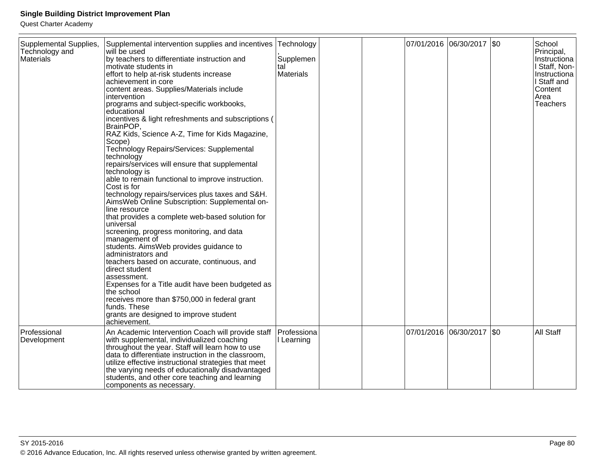| Supplemental Supplies,<br>Technology and<br>Materials | Supplemental intervention supplies and incentives<br>will be used<br>by teachers to differentiate instruction and<br>motivate students in<br>effort to help at-risk students increase<br>achievement in core<br>content areas. Supplies/Materials include<br>intervention<br>programs and subject-specific workbooks,<br>educational<br>incentives & light refreshments and subscriptions (<br>BrainPOP,<br>RAZ Kids, Science A-Z, Time for Kids Magazine,<br>Scope)<br>Technology Repairs/Services: Supplemental<br>technology<br>repairs/services will ensure that supplemental<br>technology is<br>able to remain functional to improve instruction.<br>Cost is for<br>technology repairs/services plus taxes and S&H.<br>AimsWeb Online Subscription: Supplemental on-<br>line resource<br>that provides a complete web-based solution for<br>universal<br>screening, progress monitoring, and data<br>management of<br>students. AimsWeb provides guidance to<br>administrators and<br>teachers based on accurate, continuous, and<br>direct student<br>assessment.<br>Expenses for a Title audit have been budgeted as<br>the school<br>receives more than \$750,000 in federal grant<br>funds. These<br>grants are designed to improve student<br>achievement. | Technology<br>Supplemen<br>tal<br><b>Materials</b> |  |                       | 07/01/2016 06/30/2017 \$0 |         | School<br>Principal,<br>Instructiona<br>I Staff, Non-<br>Instructiona<br>I Staff and<br>Content<br>Area<br>Teachers |
|-------------------------------------------------------|-----------------------------------------------------------------------------------------------------------------------------------------------------------------------------------------------------------------------------------------------------------------------------------------------------------------------------------------------------------------------------------------------------------------------------------------------------------------------------------------------------------------------------------------------------------------------------------------------------------------------------------------------------------------------------------------------------------------------------------------------------------------------------------------------------------------------------------------------------------------------------------------------------------------------------------------------------------------------------------------------------------------------------------------------------------------------------------------------------------------------------------------------------------------------------------------------------------------------------------------------------------------------|----------------------------------------------------|--|-----------------------|---------------------------|---------|---------------------------------------------------------------------------------------------------------------------|
|                                                       |                                                                                                                                                                                                                                                                                                                                                                                                                                                                                                                                                                                                                                                                                                                                                                                                                                                                                                                                                                                                                                                                                                                                                                                                                                                                       |                                                    |  |                       |                           |         |                                                                                                                     |
| Professional<br>Development                           | An Academic Intervention Coach will provide staff<br>with supplemental, individualized coaching<br>throughout the year. Staff will learn how to use<br>data to differentiate instruction in the classroom,<br>utilize effective instructional strategies that meet<br>the varying needs of educationally disadvantaged<br>students, and other core teaching and learning<br>components as necessary.                                                                                                                                                                                                                                                                                                                                                                                                                                                                                                                                                                                                                                                                                                                                                                                                                                                                  | Professiona<br>I Learning                          |  | 07/01/2016 06/30/2017 |                           | $ $ \$0 | All Staff                                                                                                           |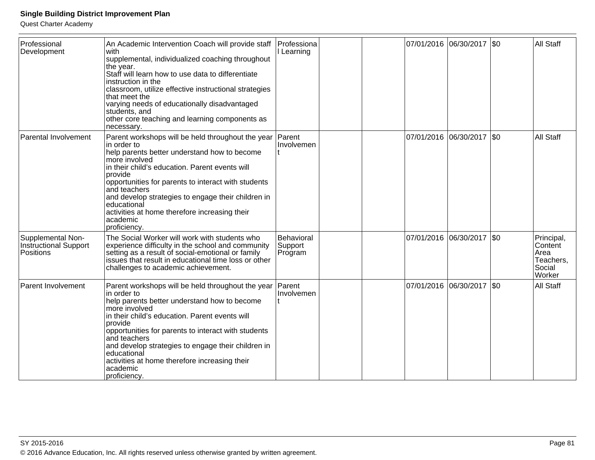| Professional<br>Development                             | An Academic Intervention Coach will provide staff<br>with<br>supplemental, individualized coaching throughout<br>the year.<br>Staff will learn how to use data to differentiate<br>instruction in the<br>classroom, utilize effective instructional strategies<br>that meet the<br>varying needs of educationally disadvantaged<br>students, and<br>other core teaching and learning components as<br>necessary.        | Professiona<br>I Learning        |  | 07/01/2016 06/30/2017 \$0   |      | All Staff                                                      |
|---------------------------------------------------------|-------------------------------------------------------------------------------------------------------------------------------------------------------------------------------------------------------------------------------------------------------------------------------------------------------------------------------------------------------------------------------------------------------------------------|----------------------------------|--|-----------------------------|------|----------------------------------------------------------------|
| Parental Involvement                                    | Parent workshops will be held throughout the year<br>in order to<br>help parents better understand how to become<br>more involved<br>in their child's education. Parent events will<br>provide<br>opportunities for parents to interact with students<br>and teachers<br>and develop strategies to engage their children in<br>educational<br>activities at home therefore increasing their<br>academic<br>proficiency. | Parent<br>Involvemen             |  | 07/01/2016 06/30/2017       | I\$0 | All Staff                                                      |
| Supplemental Non-<br>Instructional Support<br>Positions | The Social Worker will work with students who<br>experience difficulty in the school and community<br>setting as a result of social-emotional or family<br>issues that result in educational time loss or other<br>challenges to academic achievement.                                                                                                                                                                  | Behavioral<br>Support<br>Program |  | 07/01/2016 06/30/2017   \$0 |      | Principal,<br>Content<br>Area<br>Teachers,<br>Social<br>Worker |
| <b>Parent Involvement</b>                               | Parent workshops will be held throughout the year<br>in order to<br>help parents better understand how to become<br>more involved<br>in their child's education. Parent events will<br>provide<br>opportunities for parents to interact with students<br>and teachers<br>and develop strategies to engage their children in<br>educational<br>activities at home therefore increasing their<br>academic<br>proficiency. | Parent<br>Involvemen             |  | 07/01/2016 06/30/2017  \$0  |      | All Staff                                                      |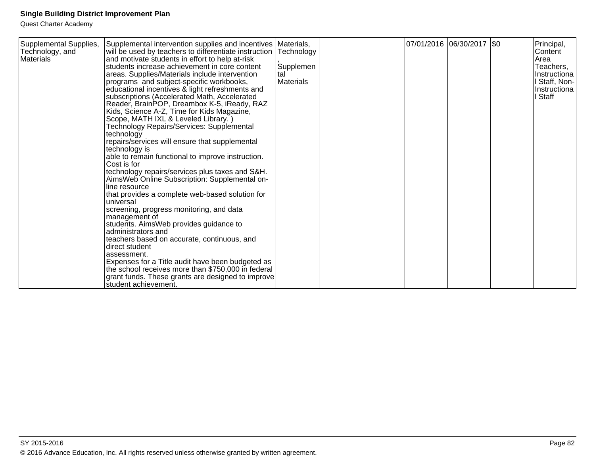| Supplemental Supplies,<br>Technology, and<br>Materials | Supplemental intervention supplies and incentives Materials,<br>will be used by teachers to differentiate instruction Technology<br>and motivate students in effort to help at-risk<br>students increase achievement in core content<br>areas. Supplies/Materials include intervention<br>programs and subject-specific workbooks,<br>educational incentives & light refreshments and<br>subscriptions (Accelerated Math, Accelerated<br>Reader, BrainPOP, Dreambox K-5, iReady, RAZ<br>Kids, Science A-Z, Time for Kids Magazine,<br>Scope, MATH IXL & Leveled Library.)<br>Technology Repairs/Services: Supplemental<br>technology<br>repairs/services will ensure that supplemental<br>technology is<br>able to remain functional to improve instruction.<br>Cost is for<br>technology repairs/services plus taxes and S&H.<br>AimsWeb Online Subscription: Supplemental on-<br>line resource<br>that provides a complete web-based solution for<br>universal<br>screening, progress monitoring, and data<br>management of<br>students. AimsWeb provides guidance to<br>administrators and<br>teachers based on accurate, continuous, and<br>direct student<br>assessment.<br>Expenses for a Title audit have been budgeted as<br>the school receives more than \$750,000 in federal | Supplemen<br>tal<br>Materials |  | 07/01/2016 06/30/2017 \$0 | Principal,<br>Content<br>Area<br>Teachers,<br>Instructiona<br>Staff, Non-<br>Instructiona<br>Staff |
|--------------------------------------------------------|-----------------------------------------------------------------------------------------------------------------------------------------------------------------------------------------------------------------------------------------------------------------------------------------------------------------------------------------------------------------------------------------------------------------------------------------------------------------------------------------------------------------------------------------------------------------------------------------------------------------------------------------------------------------------------------------------------------------------------------------------------------------------------------------------------------------------------------------------------------------------------------------------------------------------------------------------------------------------------------------------------------------------------------------------------------------------------------------------------------------------------------------------------------------------------------------------------------------------------------------------------------------------------------------|-------------------------------|--|---------------------------|----------------------------------------------------------------------------------------------------|
|                                                        | grant funds. These grants are designed to improve<br>student achievement.                                                                                                                                                                                                                                                                                                                                                                                                                                                                                                                                                                                                                                                                                                                                                                                                                                                                                                                                                                                                                                                                                                                                                                                                               |                               |  |                           |                                                                                                    |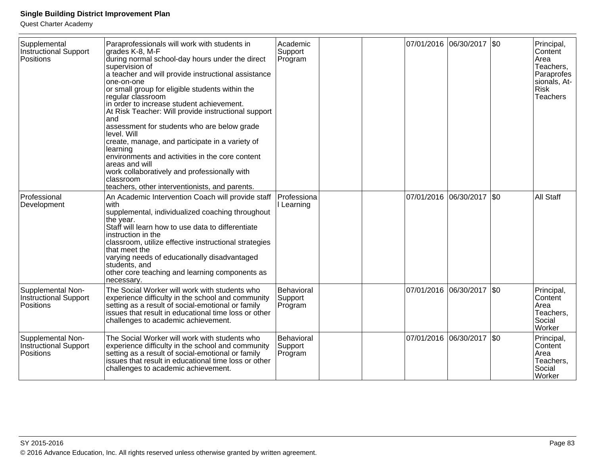| Supplemental<br><b>Instructional Support</b><br>Positions      | Paraprofessionals will work with students in<br>grades K-8, M-F<br>during normal school-day hours under the direct<br>supervision of<br>a teacher and will provide instructional assistance<br>one-on-one<br>or small group for eligible students within the<br>regular classroom<br>in order to increase student achievement.<br>At Risk Teacher: Will provide instructional support<br>and<br>assessment for students who are below grade<br>level. Will<br>create, manage, and participate in a variety of<br>learning<br>environments and activities in the core content<br>areas and will<br>work collaboratively and professionally with<br>classroom<br>teachers, other interventionists, and parents. | Academic<br>Support<br>Program   |  | 07/01/2016 06/30/2017     | SO      | Principal,<br>Content<br>Area<br>Teachers,<br>Paraprofes<br>sionals, At-<br><b>Risk</b><br><b>Teachers</b> |
|----------------------------------------------------------------|---------------------------------------------------------------------------------------------------------------------------------------------------------------------------------------------------------------------------------------------------------------------------------------------------------------------------------------------------------------------------------------------------------------------------------------------------------------------------------------------------------------------------------------------------------------------------------------------------------------------------------------------------------------------------------------------------------------|----------------------------------|--|---------------------------|---------|------------------------------------------------------------------------------------------------------------|
| Professional<br>Development                                    | An Academic Intervention Coach will provide staff<br>with<br>supplemental, individualized coaching throughout<br>the year.<br>Staff will learn how to use data to differentiate<br>instruction in the<br>classroom, utilize effective instructional strategies<br>that meet the<br>varying needs of educationally disadvantaged<br>students, and<br>other core teaching and learning components as<br>necessary.                                                                                                                                                                                                                                                                                              | Professiona<br>Learning          |  | 07/01/2016 06/30/2017     | $ $ \$0 | All Staff                                                                                                  |
| Supplemental Non-<br><b>Instructional Support</b><br>Positions | The Social Worker will work with students who<br>experience difficulty in the school and community<br>setting as a result of social-emotional or family<br>issues that result in educational time loss or other<br>challenges to academic achievement.                                                                                                                                                                                                                                                                                                                                                                                                                                                        | Behavioral<br>Support<br>Program |  | 07/01/2016 06/30/2017     | $ $ \$0 | Principal,<br>Content<br>Area<br>Teachers,<br>Social<br>Worker                                             |
| Supplemental Non-<br>Instructional Support<br>Positions        | The Social Worker will work with students who<br>experience difficulty in the school and community<br>setting as a result of social-emotional or family<br>issues that result in educational time loss or other<br>challenges to academic achievement.                                                                                                                                                                                                                                                                                                                                                                                                                                                        | Behavioral<br>Support<br>Program |  | 07/01/2016 06/30/2017 \$0 |         | Principal,<br>Content<br>Area<br>Teachers,<br>Social<br><b>Worker</b>                                      |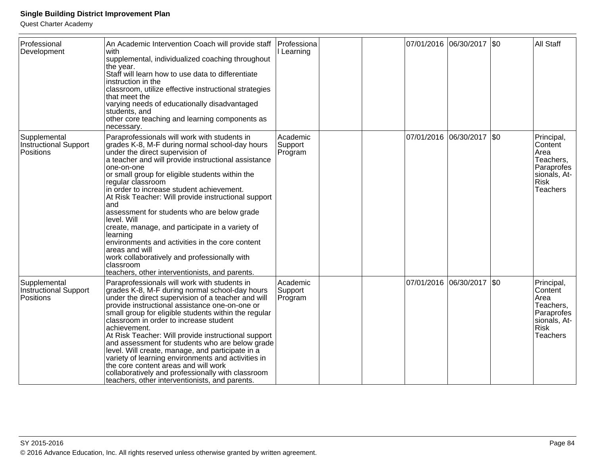| Professional<br>Development                               | An Academic Intervention Coach will provide staff<br>with<br>supplemental, individualized coaching throughout<br>the year.<br>Staff will learn how to use data to differentiate<br>instruction in the<br>classroom, utilize effective instructional strategies<br>that meet the<br>varying needs of educationally disadvantaged<br>students, and<br>other core teaching and learning components as<br>necessary.                                                                                                                                                                                                                                                                                           | Professiona<br>Learning        |  | 07/01/2016 06/30/2017 \$0   | <b>All Staff</b>                                                                                           |
|-----------------------------------------------------------|------------------------------------------------------------------------------------------------------------------------------------------------------------------------------------------------------------------------------------------------------------------------------------------------------------------------------------------------------------------------------------------------------------------------------------------------------------------------------------------------------------------------------------------------------------------------------------------------------------------------------------------------------------------------------------------------------------|--------------------------------|--|-----------------------------|------------------------------------------------------------------------------------------------------------|
| Supplemental<br><b>Instructional Support</b><br>Positions | Paraprofessionals will work with students in<br>grades K-8, M-F during normal school-day hours<br>under the direct supervision of<br>a teacher and will provide instructional assistance<br>one-on-one<br>or small group for eligible students within the<br>regular classroom<br>in order to increase student achievement.<br>At Risk Teacher: Will provide instructional support<br>and<br>assessment for students who are below grade<br>level. Will<br>create, manage, and participate in a variety of<br>learning<br>environments and activities in the core content<br>areas and will<br>work collaboratively and professionally with<br>classroom<br>teachers, other interventionists, and parents. | Academic<br>Support<br>Program |  | 07/01/2016 06/30/2017 \$0   | Principal,<br>Content<br>Area<br>Teachers,<br>Paraprofes<br>sionals, At-<br><b>Risk</b><br><b>Teachers</b> |
| Supplemental<br>Instructional Support<br>Positions        | Paraprofessionals will work with students in<br>grades K-8, M-F during normal school-day hours<br>under the direct supervision of a teacher and will<br>provide instructional assistance one-on-one or<br>small group for eligible students within the regular<br>classroom in order to increase student<br>achievement.<br>At Risk Teacher: Will provide instructional support<br>and assessment for students who are below grade<br>level. Will create, manage, and participate in a<br>variety of learning environments and activities in<br>the core content areas and will work<br>collaboratively and professionally with classroom<br>teachers, other interventionists, and parents.                | Academic<br>Support<br>Program |  | 07/01/2016 06/30/2017   \$0 | Principal,<br>Content<br>Area<br>Teachers,<br>Paraprofes<br>sionals, At-<br><b>Risk</b><br><b>Teachers</b> |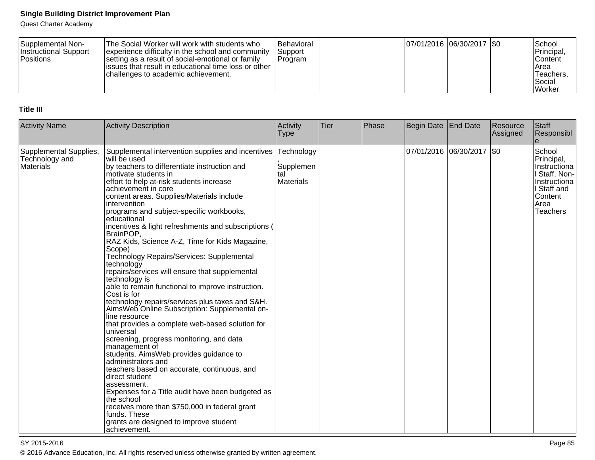Quest Charter Academy

| Supplemental Non-<br>Instructional Support<br><b>Positions</b> | The Social Worker will work with students who<br>experience difficulty in the school and community<br>setting as a result of social-emotional or family<br>lissues that result in educational time loss or other<br>challenges to academic achievement. | <b>IBehavioral</b><br> Support<br>IProgram | $ 07/01/2016 06/30/2017 $ \$0 |  | l School<br>Principal,<br><b>Content</b><br>IArea<br><sup>1</sup> Teachers,<br>Social |
|----------------------------------------------------------------|---------------------------------------------------------------------------------------------------------------------------------------------------------------------------------------------------------------------------------------------------------|--------------------------------------------|-------------------------------|--|---------------------------------------------------------------------------------------|
|                                                                |                                                                                                                                                                                                                                                         |                                            |                               |  | l Worker                                                                              |

### **Title III**

| <b>Activity Name</b>                                  | Activity Description                                                                                                                                                                                                                                                                                                                                                                                                                                                                                                                                                                                                                                                                                                                                                                                                                                                                                                                                                                                                                                                                                                                                                                                                                                                   | Activity<br><b>Type</b>                            | Tier | Phase | Begin Date | <b>End Date</b>             | Resource<br>Assigned | Staff<br>Responsibl                                                                                                 |
|-------------------------------------------------------|------------------------------------------------------------------------------------------------------------------------------------------------------------------------------------------------------------------------------------------------------------------------------------------------------------------------------------------------------------------------------------------------------------------------------------------------------------------------------------------------------------------------------------------------------------------------------------------------------------------------------------------------------------------------------------------------------------------------------------------------------------------------------------------------------------------------------------------------------------------------------------------------------------------------------------------------------------------------------------------------------------------------------------------------------------------------------------------------------------------------------------------------------------------------------------------------------------------------------------------------------------------------|----------------------------------------------------|------|-------|------------|-----------------------------|----------------------|---------------------------------------------------------------------------------------------------------------------|
| Supplemental Supplies,<br>Technology and<br>Materials | Supplemental intervention supplies and incentives<br>will be used<br>by teachers to differentiate instruction and<br>motivate students in<br>effort to help at-risk students increase<br>achievement in core<br>content areas. Supplies/Materials include<br>intervention<br>programs and subject-specific workbooks,<br>educational<br>incentives & light refreshments and subscriptions (<br>BrainPOP,<br>RAZ Kids, Science A-Z, Time for Kids Magazine,<br>Scope)<br>Technology Repairs/Services: Supplemental<br>technology<br>repairs/services will ensure that supplemental<br>technology is<br>able to remain functional to improve instruction.<br>Cost is for<br>technology repairs/services plus taxes and S&H.<br>AimsWeb Online Subscription: Supplemental on-<br>line resource<br>that provides a complete web-based solution for<br>universal<br>screening, progress monitoring, and data<br>management of<br>students. AimsWeb provides guidance to<br>administrators and<br>teachers based on accurate, continuous, and<br>direct student<br>assessment.<br>Expenses for a Title audit have been budgeted as<br>lthe school<br>receives more than \$750,000 in federal grant<br>funds. These<br>grants are designed to improve student<br>achievement. | Technology<br>Supplemen<br>tal<br><b>Materials</b> |      |       |            | 07/01/2016  06/30/2017  \$0 |                      | School<br>Principal,<br>Instructiona<br>I Staff, Non-<br>Instructiona<br>I Staff and<br>Content<br>Area<br>Teachers |

en and the state of the state of the state of the state of the state of the state of the state  $P$ age 85  $\,$ © 2016 Advance Education, Inc. All rights reserved unless otherwise granted by written agreement.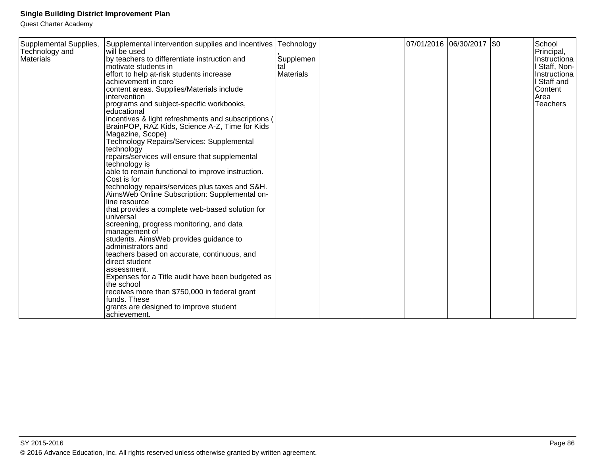| Supplemental Supplies,<br>Technology and<br>Materials | Supplemental intervention supplies and incentives<br>will be used<br>by teachers to differentiate instruction and<br>Imotivate students in<br>effort to help at-risk students increase<br>lachievement in core<br>content areas. Supplies/Materials include<br>lintervention<br>programs and subject-specific workbooks,<br>leducational<br>incentives & light refreshments and subscriptions (<br>BrainPOP, RAZ Kids, Science A-Z, Time for Kids<br>Magazine, Scope)<br>Technology Repairs/Services: Supplemental                                                                                                                                                                                                                                       | Technology<br>Supplemen<br>tal<br><b>Materials</b> |  | 07/01/2016  06/30/2017  \$0 | School<br>Principal,<br>Instructiona<br>I Staff, Non-<br>Instructiona<br>I Staff and<br>Content<br>Area<br><b>Teachers</b> |
|-------------------------------------------------------|----------------------------------------------------------------------------------------------------------------------------------------------------------------------------------------------------------------------------------------------------------------------------------------------------------------------------------------------------------------------------------------------------------------------------------------------------------------------------------------------------------------------------------------------------------------------------------------------------------------------------------------------------------------------------------------------------------------------------------------------------------|----------------------------------------------------|--|-----------------------------|----------------------------------------------------------------------------------------------------------------------------|
|                                                       | technology<br>repairs/services will ensure that supplemental<br>technology is<br>able to remain functional to improve instruction.<br>lCost is for<br>technology repairs/services plus taxes and S&H.<br>AimsWeb Online Subscription: Supplemental on-<br>lline resource<br>that provides a complete web-based solution for<br>Iuniversal<br>screening, progress monitoring, and data<br>management of<br>students. AimsWeb provides guidance to<br>ladministrators and<br>teachers based on accurate, continuous, and<br>Idirect student<br>lassessment.<br>Expenses for a Title audit have been budgeted as<br>the school<br>receives more than \$750,000 in federal grant<br>lfunds. These<br>grants are designed to improve student<br>lachievement. |                                                    |  |                             |                                                                                                                            |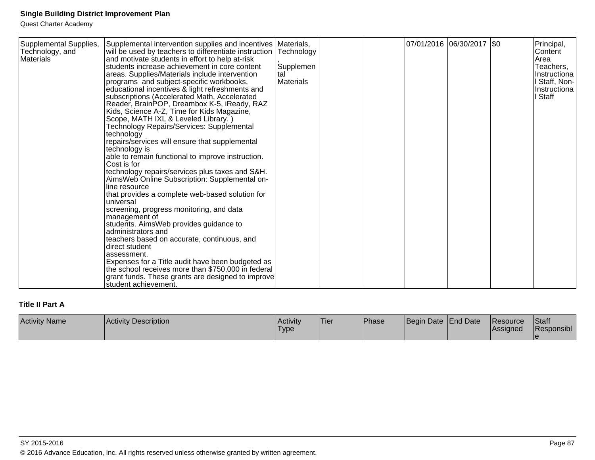Quest Charter Academy

# **Title II Part A**

| <b>Activity Name</b> | Activity Description | Activity<br><b>Type</b> | 'Tier | <b>Phase</b> | Begin Date End Date | <b>IResource</b><br><b>IAssigned</b> | <b>Staff</b><br>Responsibl |
|----------------------|----------------------|-------------------------|-------|--------------|---------------------|--------------------------------------|----------------------------|
|                      |                      |                         |       |              |                     |                                      |                            |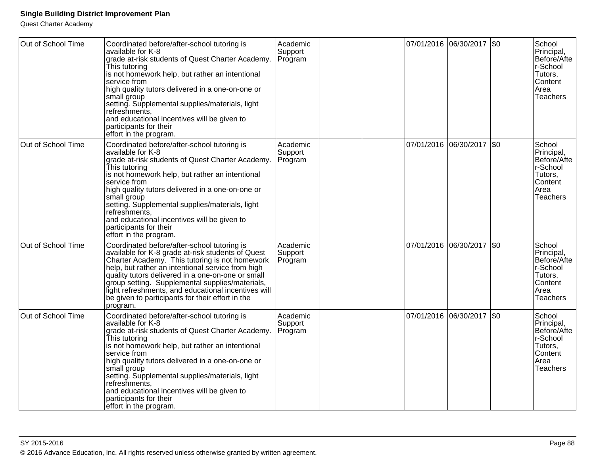| Out of School Time | Coordinated before/after-school tutoring is<br>available for K-8<br>grade at-risk students of Quest Charter Academy.<br>This tutoring<br>is not homework help, but rather an intentional<br>service from<br>high quality tutors delivered in a one-on-one or<br>small group<br>setting. Supplemental supplies/materials, light<br>refreshments,<br>and educational incentives will be given to<br>participants for their<br>effort in the program. | Academic<br>Support<br>Program |  | 07/01/2016 06/30/2017 \$0   | School<br>Principal,<br>Before/Afte<br>r-School<br>Tutors,<br>Content<br>Area<br><b>Teachers</b> |
|--------------------|----------------------------------------------------------------------------------------------------------------------------------------------------------------------------------------------------------------------------------------------------------------------------------------------------------------------------------------------------------------------------------------------------------------------------------------------------|--------------------------------|--|-----------------------------|--------------------------------------------------------------------------------------------------|
| Out of School Time | Coordinated before/after-school tutoring is<br>available for K-8<br>grade at-risk students of Quest Charter Academy.<br>This tutoring<br>is not homework help, but rather an intentional<br>service from<br>high quality tutors delivered in a one-on-one or<br>small group<br>setting. Supplemental supplies/materials, light<br>refreshments,<br>and educational incentives will be given to<br>participants for their<br>effort in the program. | Academic<br>Support<br>Program |  | 07/01/2016  06/30/2017  \$0 | School<br>Principal,<br>Before/Afte<br>r-School<br>Tutors,<br>Content<br>Area<br><b>Teachers</b> |
| Out of School Time | Coordinated before/after-school tutoring is<br>available for K-8 grade at-risk students of Quest<br>Charter Academy. This tutoring is not homework<br>help, but rather an intentional service from high<br>quality tutors delivered in a one-on-one or small<br>group setting. Supplemental supplies/materials,<br>light refreshments, and educational incentives will<br>be given to participants for their effort in the<br>program.             | Academic<br>Support<br>Program |  | 07/01/2016 06/30/2017 \$0   | School<br>Principal,<br>Before/Afte<br>r-School<br>Tutors,<br>Content<br>Area<br><b>Teachers</b> |
| Out of School Time | Coordinated before/after-school tutoring is<br>available for K-8<br>grade at-risk students of Quest Charter Academy.<br>This tutoring<br>is not homework help, but rather an intentional<br>service from<br>high quality tutors delivered in a one-on-one or<br>small group<br>setting. Supplemental supplies/materials, light<br>refreshments,<br>and educational incentives will be given to<br>participants for their<br>effort in the program. | Academic<br>Support<br>Program |  | 07/01/2016 06/30/2017 \$0   | School<br>Principal,<br>Before/Afte<br>r-School<br>Tutors,<br>Content<br>Area<br><b>Teachers</b> |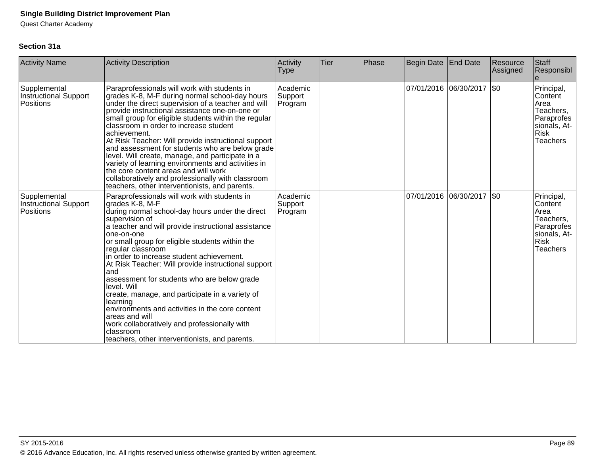Quest Charter Academy

### **Section 31a**

| <b>Activity Name</b>                               | <b>Activity Description</b>                                                                                                                                                                                                                                                                                                                                                                                                                                                                                                                                                                                                                                                                                   | Activity<br><b>Type</b>        | <b>Tier</b> | Phase | Begin Date            | <b>End Date</b> | Resource<br>Assigned | Staff<br>Responsibl                                                                                        |
|----------------------------------------------------|---------------------------------------------------------------------------------------------------------------------------------------------------------------------------------------------------------------------------------------------------------------------------------------------------------------------------------------------------------------------------------------------------------------------------------------------------------------------------------------------------------------------------------------------------------------------------------------------------------------------------------------------------------------------------------------------------------------|--------------------------------|-------------|-------|-----------------------|-----------------|----------------------|------------------------------------------------------------------------------------------------------------|
| Supplemental<br>Instructional Support<br>Positions | Paraprofessionals will work with students in<br>grades K-8, M-F during normal school-day hours<br>under the direct supervision of a teacher and will<br>provide instructional assistance one-on-one or<br>small group for eligible students within the regular<br>classroom in order to increase student<br>achievement.<br>At Risk Teacher: Will provide instructional support<br>and assessment for students who are below grade<br>level. Will create, manage, and participate in a<br>variety of learning environments and activities in<br>the core content areas and will work<br>collaboratively and professionally with classroom<br>teachers, other interventionists, and parents.                   | Academic<br>Support<br>Program |             |       | 07/01/2016 06/30/2017 |                 | \$0                  | Principal,<br>Content<br>Area<br>Teachers,<br>Paraprofes<br>sionals, At-<br><b>Risk</b><br><b>Teachers</b> |
| Supplemental<br>Instructional Support<br>Positions | Paraprofessionals will work with students in<br>grades K-8, M-F<br>during normal school-day hours under the direct<br>supervision of<br>a teacher and will provide instructional assistance<br>one-on-one<br>or small group for eligible students within the<br>regular classroom<br>in order to increase student achievement.<br>At Risk Teacher: Will provide instructional support<br>and<br>assessment for students who are below grade<br>level. Will<br>create, manage, and participate in a variety of<br>learning<br>environments and activities in the core content<br>areas and will<br>work collaboratively and professionally with<br>classroom<br>teachers, other interventionists, and parents. | Academic<br>Support<br>Program |             |       | 07/01/2016 06/30/2017 |                 | \$0                  | Principal,<br>Content<br>Area<br>Teachers,<br>Paraprofes<br>sionals, At-<br><b>Risk</b><br>Teachers        |